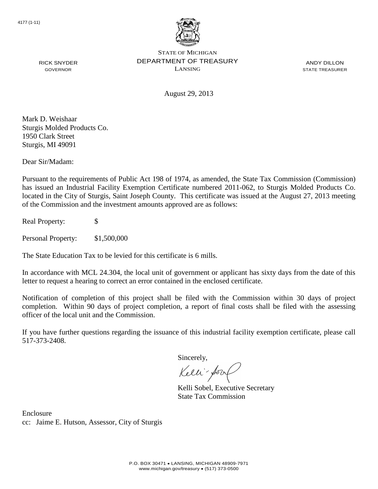

ANDY DILLON STATE TREASURER

August 29, 2013

Mark D. Weishaar Sturgis Molded Products Co. 1950 Clark Street Sturgis, MI 49091

RICK SNYDER GOVERNOR

Dear Sir/Madam:

Pursuant to the requirements of Public Act 198 of 1974, as amended, the State Tax Commission (Commission) has issued an Industrial Facility Exemption Certificate numbered 2011-062, to Sturgis Molded Products Co. located in the City of Sturgis, Saint Joseph County. This certificate was issued at the August 27, 2013 meeting of the Commission and the investment amounts approved are as follows:

Real Property: \$

Personal Property: \$1,500,000

The State Education Tax to be levied for this certificate is 6 mills.

In accordance with MCL 24.304, the local unit of government or applicant has sixty days from the date of this letter to request a hearing to correct an error contained in the enclosed certificate.

Notification of completion of this project shall be filed with the Commission within 30 days of project completion. Within 90 days of project completion, a report of final costs shall be filed with the assessing officer of the local unit and the Commission.

If you have further questions regarding the issuance of this industrial facility exemption certificate, please call 517-373-2408.

Sincerely,

Kelli-Sor

Kelli Sobel, Executive Secretary State Tax Commission

Enclosure cc: Jaime E. Hutson, Assessor, City of Sturgis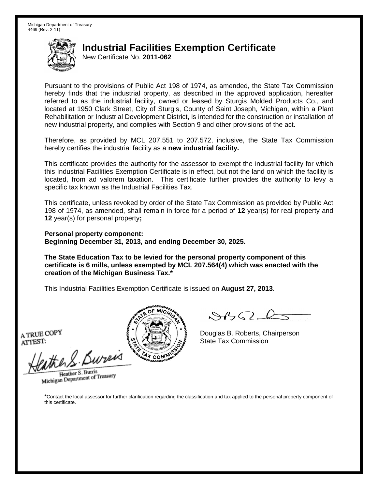New Certificate No. **2011-062**

Pursuant to the provisions of Public Act 198 of 1974, as amended, the State Tax Commission hereby finds that the industrial property, as described in the approved application, hereafter referred to as the industrial facility, owned or leased by Sturgis Molded Products Co., and located at 1950 Clark Street, City of Sturgis, County of Saint Joseph, Michigan, within a Plant Rehabilitation or Industrial Development District, is intended for the construction or installation of new industrial property, and complies with Section 9 and other provisions of the act.

Therefore, as provided by MCL 207.551 to 207.572, inclusive, the State Tax Commission hereby certifies the industrial facility as a **new industrial facility.**

This certificate provides the authority for the assessor to exempt the industrial facility for which this Industrial Facilities Exemption Certificate is in effect, but not the land on which the facility is located, from ad valorem taxation. This certificate further provides the authority to levy a specific tax known as the Industrial Facilities Tax.

This certificate, unless revoked by order of the State Tax Commission as provided by Public Act 198 of 1974, as amended, shall remain in force for a period of **12** year(s) for real property and **12** year(s) for personal property**;**

**Personal property component: Beginning December 31, 2013, and ending December 30, 2025.**

**The State Education Tax to be levied for the personal property component of this certificate is 6 mills, unless exempted by MCL 207.564(4) which was enacted with the creation of the Michigan Business Tax.\***

This Industrial Facilities Exemption Certificate is issued on **August 27, 2013**.

A TRUE COPY ATTEST:

eather & Bureix

Heather S. Burris Heather S. Burns<br>Michigan Department of Treasury



 $8450 - 6$ 

Douglas B. Roberts, Chairperson State Tax Commission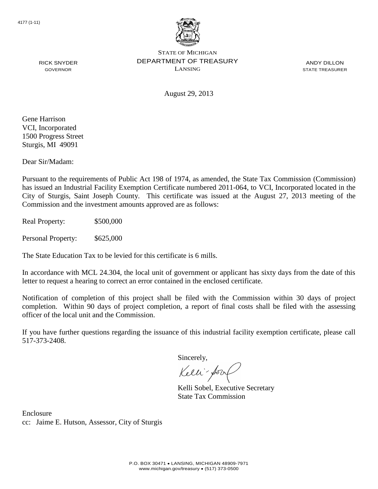

ANDY DILLON STATE TREASURER

August 29, 2013

Gene Harrison VCI, Incorporated 1500 Progress Street Sturgis, MI 49091

RICK SNYDER GOVERNOR

Dear Sir/Madam:

Pursuant to the requirements of Public Act 198 of 1974, as amended, the State Tax Commission (Commission) has issued an Industrial Facility Exemption Certificate numbered 2011-064, to VCI, Incorporated located in the City of Sturgis, Saint Joseph County. This certificate was issued at the August 27, 2013 meeting of the Commission and the investment amounts approved are as follows:

Real Property: \$500,000

Personal Property: \$625,000

The State Education Tax to be levied for this certificate is 6 mills.

In accordance with MCL 24.304, the local unit of government or applicant has sixty days from the date of this letter to request a hearing to correct an error contained in the enclosed certificate.

Notification of completion of this project shall be filed with the Commission within 30 days of project completion. Within 90 days of project completion, a report of final costs shall be filed with the assessing officer of the local unit and the Commission.

If you have further questions regarding the issuance of this industrial facility exemption certificate, please call 517-373-2408.

Sincerely,

Kelli-Sor

Kelli Sobel, Executive Secretary State Tax Commission

Enclosure cc: Jaime E. Hutson, Assessor, City of Sturgis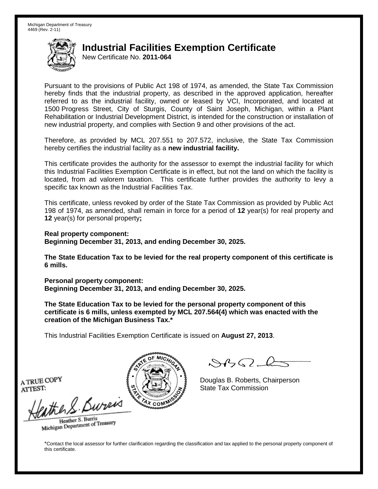New Certificate No. **2011-064**

Pursuant to the provisions of Public Act 198 of 1974, as amended, the State Tax Commission hereby finds that the industrial property, as described in the approved application, hereafter referred to as the industrial facility, owned or leased by VCI, Incorporated, and located at 1500 Progress Street, City of Sturgis, County of Saint Joseph, Michigan, within a Plant Rehabilitation or Industrial Development District, is intended for the construction or installation of new industrial property, and complies with Section 9 and other provisions of the act.

Therefore, as provided by MCL 207.551 to 207.572, inclusive, the State Tax Commission hereby certifies the industrial facility as a **new industrial facility.**

This certificate provides the authority for the assessor to exempt the industrial facility for which this Industrial Facilities Exemption Certificate is in effect, but not the land on which the facility is located, from ad valorem taxation. This certificate further provides the authority to levy a specific tax known as the Industrial Facilities Tax.

This certificate, unless revoked by order of the State Tax Commission as provided by Public Act 198 of 1974, as amended, shall remain in force for a period of **12** year(s) for real property and **12** year(s) for personal property**;**

**Real property component: Beginning December 31, 2013, and ending December 30, 2025.**

**The State Education Tax to be levied for the real property component of this certificate is 6 mills.**

**Personal property component: Beginning December 31, 2013, and ending December 30, 2025.**

**The State Education Tax to be levied for the personal property component of this certificate is 6 mills, unless exempted by MCL 207.564(4) which was enacted with the creation of the Michigan Business Tax.\***

This Industrial Facilities Exemption Certificate is issued on **August 27, 2013**.

 $882 - 6$ 

Douglas B. Roberts, Chairperson State Tax Commission

A TRUE COPY ATTEST:

eather & Burn

Heather S. Burris Heather S. Buris<br>Michigan Department of Treasury

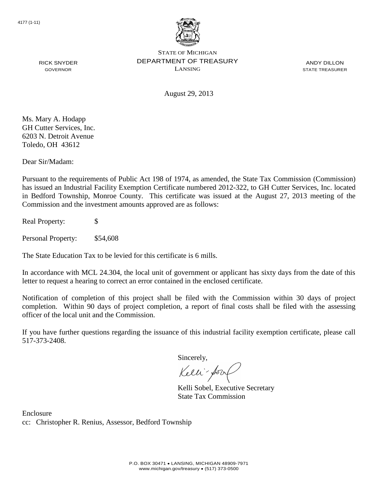

ANDY DILLON STATE TREASURER

RICK SNYDER GOVERNOR

August 29, 2013

Ms. Mary A. Hodapp GH Cutter Services, Inc. 6203 N. Detroit Avenue Toledo, OH 43612

Dear Sir/Madam:

Pursuant to the requirements of Public Act 198 of 1974, as amended, the State Tax Commission (Commission) has issued an Industrial Facility Exemption Certificate numbered 2012-322, to GH Cutter Services, Inc. located in Bedford Township, Monroe County. This certificate was issued at the August 27, 2013 meeting of the Commission and the investment amounts approved are as follows:

Real Property: \$

Personal Property: \$54,608

The State Education Tax to be levied for this certificate is 6 mills.

In accordance with MCL 24.304, the local unit of government or applicant has sixty days from the date of this letter to request a hearing to correct an error contained in the enclosed certificate.

Notification of completion of this project shall be filed with the Commission within 30 days of project completion. Within 90 days of project completion, a report of final costs shall be filed with the assessing officer of the local unit and the Commission.

If you have further questions regarding the issuance of this industrial facility exemption certificate, please call 517-373-2408.

Sincerely,

Kelli-Sorr

Kelli Sobel, Executive Secretary State Tax Commission

Enclosure cc: Christopher R. Renius, Assessor, Bedford Township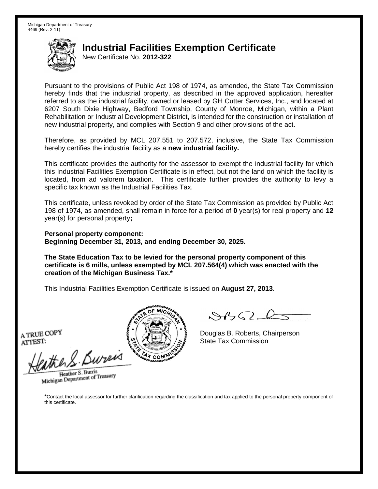New Certificate No. **2012-322**

Pursuant to the provisions of Public Act 198 of 1974, as amended, the State Tax Commission hereby finds that the industrial property, as described in the approved application, hereafter referred to as the industrial facility, owned or leased by GH Cutter Services, Inc., and located at 6207 South Dixie Highway, Bedford Township, County of Monroe, Michigan, within a Plant Rehabilitation or Industrial Development District, is intended for the construction or installation of new industrial property, and complies with Section 9 and other provisions of the act.

Therefore, as provided by MCL 207.551 to 207.572, inclusive, the State Tax Commission hereby certifies the industrial facility as a **new industrial facility.**

This certificate provides the authority for the assessor to exempt the industrial facility for which this Industrial Facilities Exemption Certificate is in effect, but not the land on which the facility is located, from ad valorem taxation. This certificate further provides the authority to levy a specific tax known as the Industrial Facilities Tax.

This certificate, unless revoked by order of the State Tax Commission as provided by Public Act 198 of 1974, as amended, shall remain in force for a period of **0** year(s) for real property and **12** year(s) for personal property**;**

**Personal property component: Beginning December 31, 2013, and ending December 30, 2025.**

**The State Education Tax to be levied for the personal property component of this certificate is 6 mills, unless exempted by MCL 207.564(4) which was enacted with the creation of the Michigan Business Tax.\***

This Industrial Facilities Exemption Certificate is issued on **August 27, 2013**.

A TRUE COPY ATTEST:

eather & Bureix

Heather S. Burris Heather S. Burns<br>Michigan Department of Treasury



 $8450 - 6$ 

Douglas B. Roberts, Chairperson State Tax Commission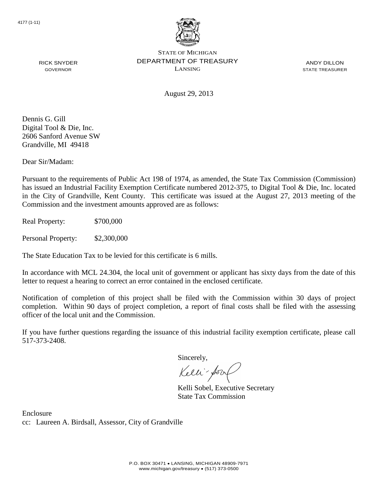

ANDY DILLON STATE TREASURER

RICK SNYDER GOVERNOR

August 29, 2013

Dennis G. Gill Digital Tool & Die, Inc. 2606 Sanford Avenue SW Grandville, MI 49418

Dear Sir/Madam:

Pursuant to the requirements of Public Act 198 of 1974, as amended, the State Tax Commission (Commission) has issued an Industrial Facility Exemption Certificate numbered 2012-375, to Digital Tool & Die, Inc. located in the City of Grandville, Kent County. This certificate was issued at the August 27, 2013 meeting of the Commission and the investment amounts approved are as follows:

Real Property: \$700,000

Personal Property: \$2,300,000

The State Education Tax to be levied for this certificate is 6 mills.

In accordance with MCL 24.304, the local unit of government or applicant has sixty days from the date of this letter to request a hearing to correct an error contained in the enclosed certificate.

Notification of completion of this project shall be filed with the Commission within 30 days of project completion. Within 90 days of project completion, a report of final costs shall be filed with the assessing officer of the local unit and the Commission.

If you have further questions regarding the issuance of this industrial facility exemption certificate, please call 517-373-2408.

Sincerely,

Kelli-Sor

Kelli Sobel, Executive Secretary State Tax Commission

Enclosure cc: Laureen A. Birdsall, Assessor, City of Grandville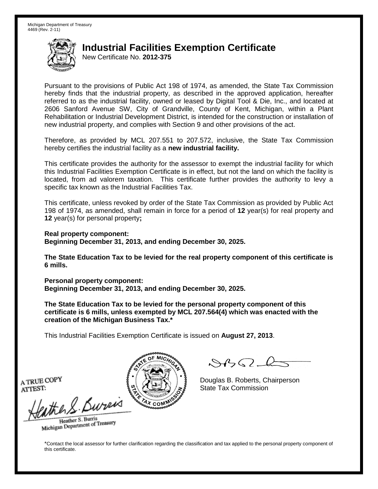New Certificate No. **2012-375**

Pursuant to the provisions of Public Act 198 of 1974, as amended, the State Tax Commission hereby finds that the industrial property, as described in the approved application, hereafter referred to as the industrial facility, owned or leased by Digital Tool & Die, Inc., and located at 2606 Sanford Avenue SW, City of Grandville, County of Kent, Michigan, within a Plant Rehabilitation or Industrial Development District, is intended for the construction or installation of new industrial property, and complies with Section 9 and other provisions of the act.

Therefore, as provided by MCL 207.551 to 207.572, inclusive, the State Tax Commission hereby certifies the industrial facility as a **new industrial facility.**

This certificate provides the authority for the assessor to exempt the industrial facility for which this Industrial Facilities Exemption Certificate is in effect, but not the land on which the facility is located, from ad valorem taxation. This certificate further provides the authority to levy a specific tax known as the Industrial Facilities Tax.

This certificate, unless revoked by order of the State Tax Commission as provided by Public Act 198 of 1974, as amended, shall remain in force for a period of **12** year(s) for real property and **12** year(s) for personal property**;**

**Real property component: Beginning December 31, 2013, and ending December 30, 2025.**

**The State Education Tax to be levied for the real property component of this certificate is 6 mills.**

**Personal property component: Beginning December 31, 2013, and ending December 30, 2025.**

**The State Education Tax to be levied for the personal property component of this certificate is 6 mills, unless exempted by MCL 207.564(4) which was enacted with the creation of the Michigan Business Tax.\***

This Industrial Facilities Exemption Certificate is issued on **August 27, 2013**.

 $882 - 6$ 

Douglas B. Roberts, Chairperson State Tax Commission

A TRUE COPY ATTEST:

eather & Burn

Heather S. Burris Heather S. Buris<br>Michigan Department of Treasury

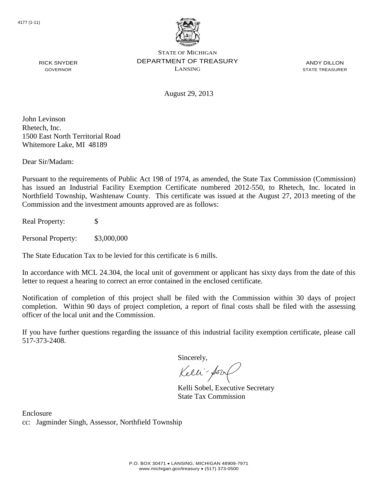

ANDY DILLON STATE TREASURER

August 29, 2013

John Levinson Rhetech, Inc. 1500 East North Territorial Road Whitemore Lake, MI 48189

RICK SNYDER GOVERNOR

Dear Sir/Madam:

Pursuant to the requirements of Public Act 198 of 1974, as amended, the State Tax Commission (Commission) has issued an Industrial Facility Exemption Certificate numbered 2012-550, to Rhetech, Inc. located in Northfield Township, Washtenaw County. This certificate was issued at the August 27, 2013 meeting of the Commission and the investment amounts approved are as follows:

Real Property: \$

Personal Property: \$3,000,000

The State Education Tax to be levied for this certificate is 6 mills.

In accordance with MCL 24.304, the local unit of government or applicant has sixty days from the date of this letter to request a hearing to correct an error contained in the enclosed certificate.

Notification of completion of this project shall be filed with the Commission within 30 days of project completion. Within 90 days of project completion, a report of final costs shall be filed with the assessing officer of the local unit and the Commission.

If you have further questions regarding the issuance of this industrial facility exemption certificate, please call 517-373-2408.

Sincerely,

Kelli-Sor

Kelli Sobel, Executive Secretary State Tax Commission

Enclosure cc: Jagminder Singh, Assessor, Northfield Township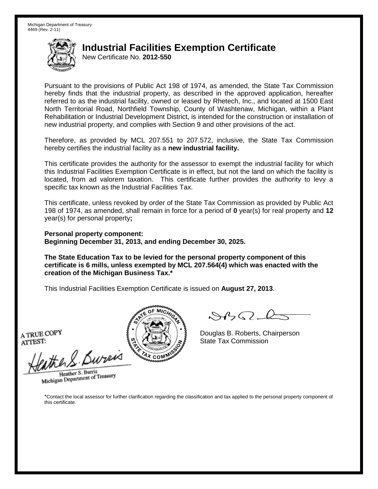New Certificate No. **2012-550**

Pursuant to the provisions of Public Act 198 of 1974, as amended, the State Tax Commission hereby finds that the industrial property, as described in the approved application, hereafter referred to as the industrial facility, owned or leased by Rhetech, Inc., and located at 1500 East North Territorial Road, Northfield Township, County of Washtenaw, Michigan, within a Plant Rehabilitation or Industrial Development District, is intended for the construction or installation of new industrial property, and complies with Section 9 and other provisions of the act.

Therefore, as provided by MCL 207.551 to 207.572, inclusive, the State Tax Commission hereby certifies the industrial facility as a **new industrial facility.**

This certificate provides the authority for the assessor to exempt the industrial facility for which this Industrial Facilities Exemption Certificate is in effect, but not the land on which the facility is located, from ad valorem taxation. This certificate further provides the authority to levy a specific tax known as the Industrial Facilities Tax.

This certificate, unless revoked by order of the State Tax Commission as provided by Public Act 198 of 1974, as amended, shall remain in force for a period of **0** year(s) for real property and **12** year(s) for personal property**;**

**Personal property component: Beginning December 31, 2013, and ending December 30, 2025.**

**The State Education Tax to be levied for the personal property component of this certificate is 6 mills, unless exempted by MCL 207.564(4) which was enacted with the creation of the Michigan Business Tax.\***

This Industrial Facilities Exemption Certificate is issued on **August 27, 2013**.

A TRUE COPY ATTEST:

eather & Bureix

Heather S. Burris Heather S. Burns<br>Michigan Department of Treasury



 $8450 - 6$ 

Douglas B. Roberts, Chairperson State Tax Commission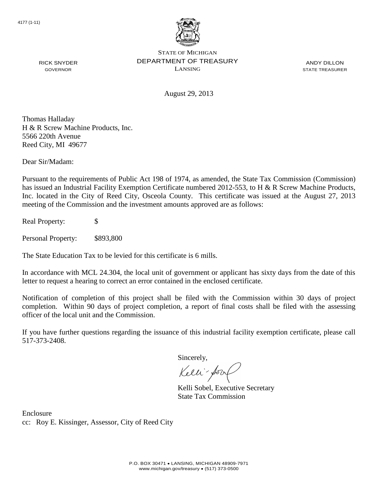

ANDY DILLON STATE TREASURER

August 29, 2013

Thomas Halladay H & R Screw Machine Products, Inc. 5566 220th Avenue Reed City, MI 49677

Dear Sir/Madam:

RICK SNYDER GOVERNOR

Pursuant to the requirements of Public Act 198 of 1974, as amended, the State Tax Commission (Commission) has issued an Industrial Facility Exemption Certificate numbered 2012-553, to H & R Screw Machine Products, Inc. located in the City of Reed City, Osceola County. This certificate was issued at the August 27, 2013 meeting of the Commission and the investment amounts approved are as follows:

Real Property: \$

Personal Property: \$893,800

The State Education Tax to be levied for this certificate is 6 mills.

In accordance with MCL 24.304, the local unit of government or applicant has sixty days from the date of this letter to request a hearing to correct an error contained in the enclosed certificate.

Notification of completion of this project shall be filed with the Commission within 30 days of project completion. Within 90 days of project completion, a report of final costs shall be filed with the assessing officer of the local unit and the Commission.

If you have further questions regarding the issuance of this industrial facility exemption certificate, please call 517-373-2408.

Sincerely,

Kelli-Sor

Kelli Sobel, Executive Secretary State Tax Commission

Enclosure cc: Roy E. Kissinger, Assessor, City of Reed City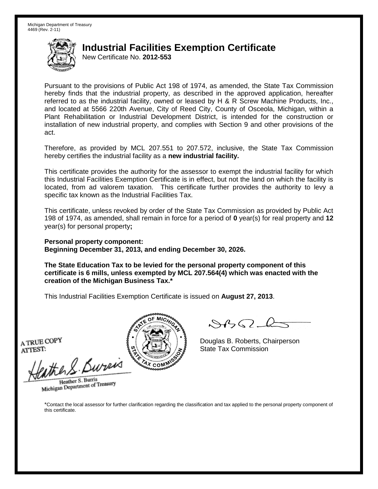New Certificate No. **2012-553**

Pursuant to the provisions of Public Act 198 of 1974, as amended, the State Tax Commission hereby finds that the industrial property, as described in the approved application, hereafter referred to as the industrial facility, owned or leased by H & R Screw Machine Products, Inc., and located at 5566 220th Avenue, City of Reed City, County of Osceola, Michigan, within a Plant Rehabilitation or Industrial Development District, is intended for the construction or installation of new industrial property, and complies with Section 9 and other provisions of the act.

Therefore, as provided by MCL 207.551 to 207.572, inclusive, the State Tax Commission hereby certifies the industrial facility as a **new industrial facility.**

This certificate provides the authority for the assessor to exempt the industrial facility for which this Industrial Facilities Exemption Certificate is in effect, but not the land on which the facility is located, from ad valorem taxation. This certificate further provides the authority to levy a specific tax known as the Industrial Facilities Tax.

This certificate, unless revoked by order of the State Tax Commission as provided by Public Act 198 of 1974, as amended, shall remain in force for a period of **0** year(s) for real property and **12** year(s) for personal property**;**

**Personal property component: Beginning December 31, 2013, and ending December 30, 2026.**

**The State Education Tax to be levied for the personal property component of this certificate is 6 mills, unless exempted by MCL 207.564(4) which was enacted with the creation of the Michigan Business Tax.\***

This Industrial Facilities Exemption Certificate is issued on **August 27, 2013**.

A TRUE COPY ATTEST:

ather S. Buren

Heather S. Burris Heather S. Burns<br>Michigan Department of Treasury



Douglas B. Roberts, Chairperson State Tax Commission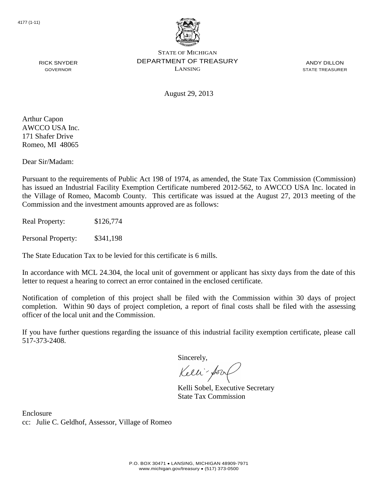

ANDY DILLON STATE TREASURER

August 29, 2013

Arthur Capon AWCCO USA Inc. 171 Shafer Drive Romeo, MI 48065

RICK SNYDER GOVERNOR

Dear Sir/Madam:

Pursuant to the requirements of Public Act 198 of 1974, as amended, the State Tax Commission (Commission) has issued an Industrial Facility Exemption Certificate numbered 2012-562, to AWCCO USA Inc. located in the Village of Romeo, Macomb County. This certificate was issued at the August 27, 2013 meeting of the Commission and the investment amounts approved are as follows:

Real Property: \$126,774

Personal Property: \$341,198

The State Education Tax to be levied for this certificate is 6 mills.

In accordance with MCL 24.304, the local unit of government or applicant has sixty days from the date of this letter to request a hearing to correct an error contained in the enclosed certificate.

Notification of completion of this project shall be filed with the Commission within 30 days of project completion. Within 90 days of project completion, a report of final costs shall be filed with the assessing officer of the local unit and the Commission.

If you have further questions regarding the issuance of this industrial facility exemption certificate, please call 517-373-2408.

Sincerely,

Kelli-Sor

Kelli Sobel, Executive Secretary State Tax Commission

Enclosure cc: Julie C. Geldhof, Assessor, Village of Romeo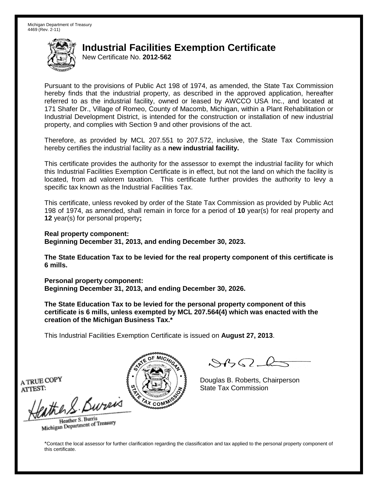New Certificate No. **2012-562**

Pursuant to the provisions of Public Act 198 of 1974, as amended, the State Tax Commission hereby finds that the industrial property, as described in the approved application, hereafter referred to as the industrial facility, owned or leased by AWCCO USA Inc., and located at 171 Shafer Dr., Village of Romeo, County of Macomb, Michigan, within a Plant Rehabilitation or Industrial Development District, is intended for the construction or installation of new industrial property, and complies with Section 9 and other provisions of the act.

Therefore, as provided by MCL 207.551 to 207.572, inclusive, the State Tax Commission hereby certifies the industrial facility as a **new industrial facility.**

This certificate provides the authority for the assessor to exempt the industrial facility for which this Industrial Facilities Exemption Certificate is in effect, but not the land on which the facility is located, from ad valorem taxation. This certificate further provides the authority to levy a specific tax known as the Industrial Facilities Tax.

This certificate, unless revoked by order of the State Tax Commission as provided by Public Act 198 of 1974, as amended, shall remain in force for a period of **10** year(s) for real property and **12** year(s) for personal property**;**

**Real property component: Beginning December 31, 2013, and ending December 30, 2023.**

**The State Education Tax to be levied for the real property component of this certificate is 6 mills.**

**Personal property component: Beginning December 31, 2013, and ending December 30, 2026.**

**The State Education Tax to be levied for the personal property component of this certificate is 6 mills, unless exempted by MCL 207.564(4) which was enacted with the creation of the Michigan Business Tax.\***

This Industrial Facilities Exemption Certificate is issued on **August 27, 2013**.

 $882 - 6$ 

Douglas B. Roberts, Chairperson State Tax Commission

A TRUE COPY ATTEST:

eather & Burn

Heather S. Burris Heather S. Buris<br>Michigan Department of Treasury

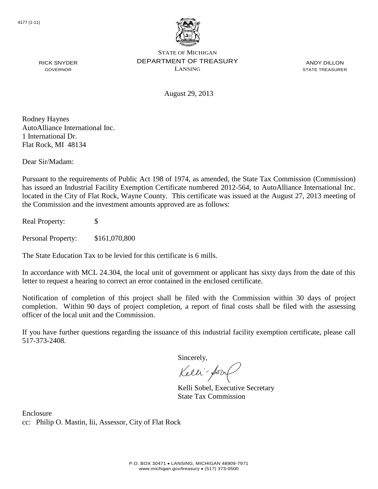

ANDY DILLON STATE TREASURER

August 29, 2013

Rodney Haynes AutoAlliance International Inc. 1 International Dr. Flat Rock, MI 48134

RICK SNYDER GOVERNOR

Dear Sir/Madam:

Pursuant to the requirements of Public Act 198 of 1974, as amended, the State Tax Commission (Commission) has issued an Industrial Facility Exemption Certificate numbered 2012-564, to AutoAlliance International Inc. located in the City of Flat Rock, Wayne County. This certificate was issued at the August 27, 2013 meeting of the Commission and the investment amounts approved are as follows:

Real Property: \$

Personal Property: \$161,070,800

The State Education Tax to be levied for this certificate is 6 mills.

In accordance with MCL 24.304, the local unit of government or applicant has sixty days from the date of this letter to request a hearing to correct an error contained in the enclosed certificate.

Notification of completion of this project shall be filed with the Commission within 30 days of project completion. Within 90 days of project completion, a report of final costs shall be filed with the assessing officer of the local unit and the Commission.

If you have further questions regarding the issuance of this industrial facility exemption certificate, please call 517-373-2408.

Sincerely,

Kelli-Sorr

Kelli Sobel, Executive Secretary State Tax Commission

Enclosure cc: Philip O. Mastin, Iii, Assessor, City of Flat Rock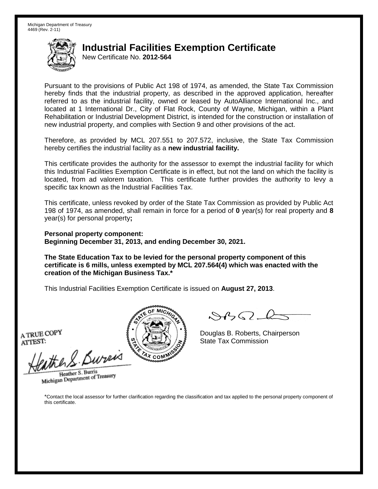New Certificate No. **2012-564**

Pursuant to the provisions of Public Act 198 of 1974, as amended, the State Tax Commission hereby finds that the industrial property, as described in the approved application, hereafter referred to as the industrial facility, owned or leased by AutoAlliance International Inc., and located at 1 International Dr., City of Flat Rock, County of Wayne, Michigan, within a Plant Rehabilitation or Industrial Development District, is intended for the construction or installation of new industrial property, and complies with Section 9 and other provisions of the act.

Therefore, as provided by MCL 207.551 to 207.572, inclusive, the State Tax Commission hereby certifies the industrial facility as a **new industrial facility.**

This certificate provides the authority for the assessor to exempt the industrial facility for which this Industrial Facilities Exemption Certificate is in effect, but not the land on which the facility is located, from ad valorem taxation. This certificate further provides the authority to levy a specific tax known as the Industrial Facilities Tax.

This certificate, unless revoked by order of the State Tax Commission as provided by Public Act 198 of 1974, as amended, shall remain in force for a period of **0** year(s) for real property and **8** year(s) for personal property**;**

**Personal property component: Beginning December 31, 2013, and ending December 30, 2021.**

**The State Education Tax to be levied for the personal property component of this certificate is 6 mills, unless exempted by MCL 207.564(4) which was enacted with the creation of the Michigan Business Tax.\***

This Industrial Facilities Exemption Certificate is issued on **August 27, 2013**.

A TRUE COPY ATTEST:

eather & Bureix

Heather S. Burris Heather S. Burns<br>Michigan Department of Treasury



 $8450 - 6$ 

Douglas B. Roberts, Chairperson State Tax Commission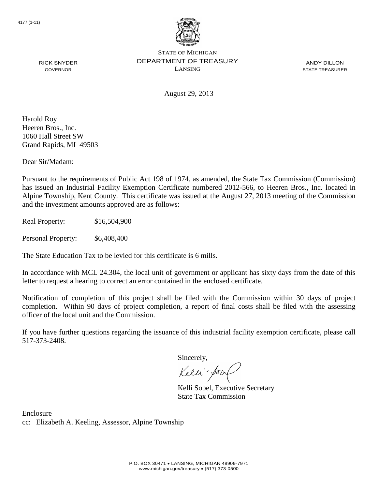

ANDY DILLON STATE TREASURER

August 29, 2013

Harold Roy Heeren Bros., Inc. 1060 Hall Street SW Grand Rapids, MI 49503

RICK SNYDER GOVERNOR

Dear Sir/Madam:

Pursuant to the requirements of Public Act 198 of 1974, as amended, the State Tax Commission (Commission) has issued an Industrial Facility Exemption Certificate numbered 2012-566, to Heeren Bros., Inc. located in Alpine Township, Kent County. This certificate was issued at the August 27, 2013 meeting of the Commission and the investment amounts approved are as follows:

Real Property: \$16,504,900

Personal Property:  $$6,408,400$ 

The State Education Tax to be levied for this certificate is 6 mills.

In accordance with MCL 24.304, the local unit of government or applicant has sixty days from the date of this letter to request a hearing to correct an error contained in the enclosed certificate.

Notification of completion of this project shall be filed with the Commission within 30 days of project completion. Within 90 days of project completion, a report of final costs shall be filed with the assessing officer of the local unit and the Commission.

If you have further questions regarding the issuance of this industrial facility exemption certificate, please call 517-373-2408.

Sincerely,

Kelli-Sorr

Kelli Sobel, Executive Secretary State Tax Commission

Enclosure cc: Elizabeth A. Keeling, Assessor, Alpine Township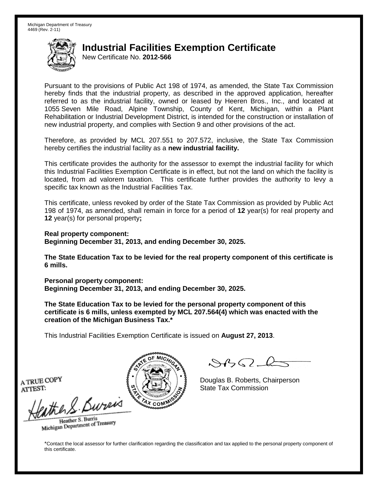New Certificate No. **2012-566**

Pursuant to the provisions of Public Act 198 of 1974, as amended, the State Tax Commission hereby finds that the industrial property, as described in the approved application, hereafter referred to as the industrial facility, owned or leased by Heeren Bros., Inc., and located at 1055 Seven Mile Road, Alpine Township, County of Kent, Michigan, within a Plant Rehabilitation or Industrial Development District, is intended for the construction or installation of new industrial property, and complies with Section 9 and other provisions of the act.

Therefore, as provided by MCL 207.551 to 207.572, inclusive, the State Tax Commission hereby certifies the industrial facility as a **new industrial facility.**

This certificate provides the authority for the assessor to exempt the industrial facility for which this Industrial Facilities Exemption Certificate is in effect, but not the land on which the facility is located, from ad valorem taxation. This certificate further provides the authority to levy a specific tax known as the Industrial Facilities Tax.

This certificate, unless revoked by order of the State Tax Commission as provided by Public Act 198 of 1974, as amended, shall remain in force for a period of **12** year(s) for real property and **12** year(s) for personal property**;**

**Real property component: Beginning December 31, 2013, and ending December 30, 2025.**

**The State Education Tax to be levied for the real property component of this certificate is 6 mills.**

**Personal property component: Beginning December 31, 2013, and ending December 30, 2025.**

**The State Education Tax to be levied for the personal property component of this certificate is 6 mills, unless exempted by MCL 207.564(4) which was enacted with the creation of the Michigan Business Tax.\***

This Industrial Facilities Exemption Certificate is issued on **August 27, 2013**.

 $882 - 6$ 

Douglas B. Roberts, Chairperson State Tax Commission

A TRUE COPY ATTEST:

eather & Burn

Heather S. Burris Heather S. Buris<br>Michigan Department of Treasury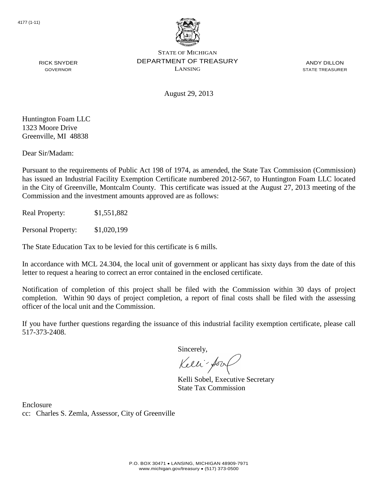

ANDY DILLON STATE TREASURER

August 29, 2013

Huntington Foam LLC 1323 Moore Drive Greenville, MI 48838

RICK SNYDER GOVERNOR

Dear Sir/Madam:

Pursuant to the requirements of Public Act 198 of 1974, as amended, the State Tax Commission (Commission) has issued an Industrial Facility Exemption Certificate numbered 2012-567, to Huntington Foam LLC located in the City of Greenville, Montcalm County. This certificate was issued at the August 27, 2013 meeting of the Commission and the investment amounts approved are as follows:

Real Property: \$1,551,882

Personal Property: \$1,020,199

The State Education Tax to be levied for this certificate is 6 mills.

In accordance with MCL 24.304, the local unit of government or applicant has sixty days from the date of this letter to request a hearing to correct an error contained in the enclosed certificate.

Notification of completion of this project shall be filed with the Commission within 30 days of project completion. Within 90 days of project completion, a report of final costs shall be filed with the assessing officer of the local unit and the Commission.

If you have further questions regarding the issuance of this industrial facility exemption certificate, please call 517-373-2408.

Sincerely,

Kelli-Sort

Kelli Sobel, Executive Secretary State Tax Commission

Enclosure cc: Charles S. Zemla, Assessor, City of Greenville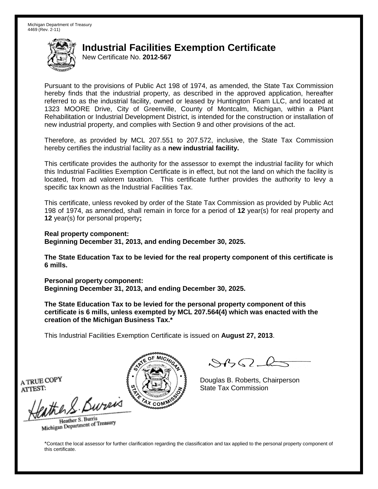New Certificate No. **2012-567**

Pursuant to the provisions of Public Act 198 of 1974, as amended, the State Tax Commission hereby finds that the industrial property, as described in the approved application, hereafter referred to as the industrial facility, owned or leased by Huntington Foam LLC, and located at 1323 MOORE Drive, City of Greenville, County of Montcalm, Michigan, within a Plant Rehabilitation or Industrial Development District, is intended for the construction or installation of new industrial property, and complies with Section 9 and other provisions of the act.

Therefore, as provided by MCL 207.551 to 207.572, inclusive, the State Tax Commission hereby certifies the industrial facility as a **new industrial facility.**

This certificate provides the authority for the assessor to exempt the industrial facility for which this Industrial Facilities Exemption Certificate is in effect, but not the land on which the facility is located, from ad valorem taxation. This certificate further provides the authority to levy a specific tax known as the Industrial Facilities Tax.

This certificate, unless revoked by order of the State Tax Commission as provided by Public Act 198 of 1974, as amended, shall remain in force for a period of **12** year(s) for real property and **12** year(s) for personal property**;**

**Real property component: Beginning December 31, 2013, and ending December 30, 2025.**

**The State Education Tax to be levied for the real property component of this certificate is 6 mills.**

**Personal property component: Beginning December 31, 2013, and ending December 30, 2025.**

**The State Education Tax to be levied for the personal property component of this certificate is 6 mills, unless exempted by MCL 207.564(4) which was enacted with the creation of the Michigan Business Tax.\***

This Industrial Facilities Exemption Certificate is issued on **August 27, 2013**.

 $882 - 6$ 

Douglas B. Roberts, Chairperson State Tax Commission

A TRUE COPY ATTEST:

eather & Burn

Heather S. Burris Heather S. Buris<br>Michigan Department of Treasury

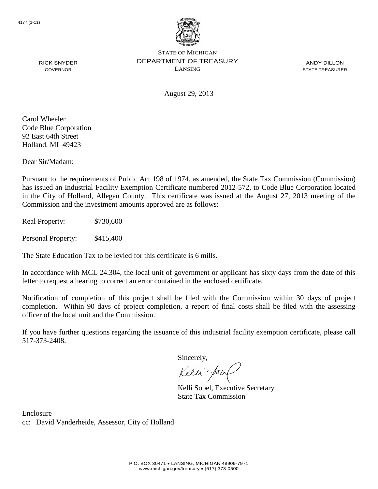

ANDY DILLON STATE TREASURER

GOVERNOR

RICK SNYDER

August 29, 2013

Carol Wheeler Code Blue Corporation 92 East 64th Street Holland, MI 49423

Dear Sir/Madam:

Pursuant to the requirements of Public Act 198 of 1974, as amended, the State Tax Commission (Commission) has issued an Industrial Facility Exemption Certificate numbered 2012-572, to Code Blue Corporation located in the City of Holland, Allegan County. This certificate was issued at the August 27, 2013 meeting of the Commission and the investment amounts approved are as follows:

Real Property: \$730,600

Personal Property: \$415,400

The State Education Tax to be levied for this certificate is 6 mills.

In accordance with MCL 24.304, the local unit of government or applicant has sixty days from the date of this letter to request a hearing to correct an error contained in the enclosed certificate.

Notification of completion of this project shall be filed with the Commission within 30 days of project completion. Within 90 days of project completion, a report of final costs shall be filed with the assessing officer of the local unit and the Commission.

If you have further questions regarding the issuance of this industrial facility exemption certificate, please call 517-373-2408.

Sincerely,

Kelli-Sor

Kelli Sobel, Executive Secretary State Tax Commission

Enclosure cc: David Vanderheide, Assessor, City of Holland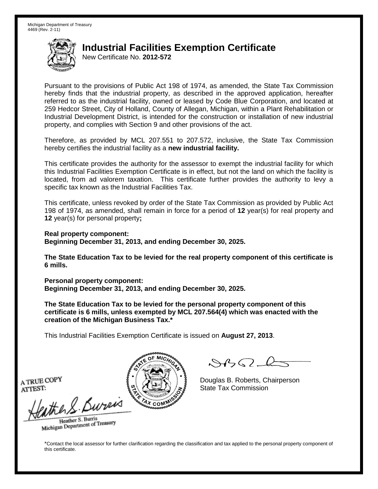New Certificate No. **2012-572**

Pursuant to the provisions of Public Act 198 of 1974, as amended, the State Tax Commission hereby finds that the industrial property, as described in the approved application, hereafter referred to as the industrial facility, owned or leased by Code Blue Corporation, and located at 259 Hedcor Street, City of Holland, County of Allegan, Michigan, within a Plant Rehabilitation or Industrial Development District, is intended for the construction or installation of new industrial property, and complies with Section 9 and other provisions of the act.

Therefore, as provided by MCL 207.551 to 207.572, inclusive, the State Tax Commission hereby certifies the industrial facility as a **new industrial facility.**

This certificate provides the authority for the assessor to exempt the industrial facility for which this Industrial Facilities Exemption Certificate is in effect, but not the land on which the facility is located, from ad valorem taxation. This certificate further provides the authority to levy a specific tax known as the Industrial Facilities Tax.

This certificate, unless revoked by order of the State Tax Commission as provided by Public Act 198 of 1974, as amended, shall remain in force for a period of **12** year(s) for real property and **12** year(s) for personal property**;**

**Real property component: Beginning December 31, 2013, and ending December 30, 2025.**

**The State Education Tax to be levied for the real property component of this certificate is 6 mills.**

**Personal property component: Beginning December 31, 2013, and ending December 30, 2025.**

**The State Education Tax to be levied for the personal property component of this certificate is 6 mills, unless exempted by MCL 207.564(4) which was enacted with the creation of the Michigan Business Tax.\***

This Industrial Facilities Exemption Certificate is issued on **August 27, 2013**.

 $882 - 6$ 

Douglas B. Roberts, Chairperson State Tax Commission

A TRUE COPY ATTEST:

eather & Burn

Heather S. Burris Heather S. Buris<br>Michigan Department of Treasury

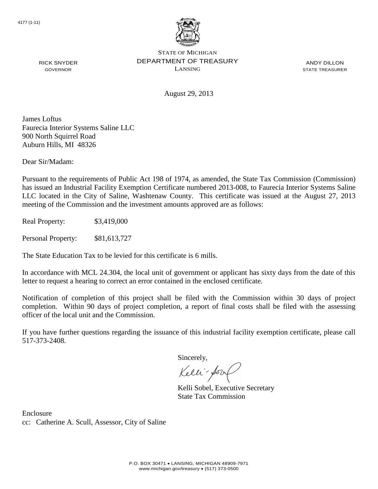

ANDY DILLON STATE TREASURER

August 29, 2013

James Loftus Faurecia Interior Systems Saline LLC 900 North Squirrel Road Auburn Hills, MI 48326

Dear Sir/Madam:

RICK SNYDER GOVERNOR

Pursuant to the requirements of Public Act 198 of 1974, as amended, the State Tax Commission (Commission) has issued an Industrial Facility Exemption Certificate numbered 2013-008, to Faurecia Interior Systems Saline LLC located in the City of Saline, Washtenaw County. This certificate was issued at the August 27, 2013 meeting of the Commission and the investment amounts approved are as follows:

Real Property: \$3,419,000

Personal Property: \$81,613,727

The State Education Tax to be levied for this certificate is 6 mills.

In accordance with MCL 24.304, the local unit of government or applicant has sixty days from the date of this letter to request a hearing to correct an error contained in the enclosed certificate.

Notification of completion of this project shall be filed with the Commission within 30 days of project completion. Within 90 days of project completion, a report of final costs shall be filed with the assessing officer of the local unit and the Commission.

If you have further questions regarding the issuance of this industrial facility exemption certificate, please call 517-373-2408.

Sincerely,

Kelli-Sor

Kelli Sobel, Executive Secretary State Tax Commission

Enclosure cc: Catherine A. Scull, Assessor, City of Saline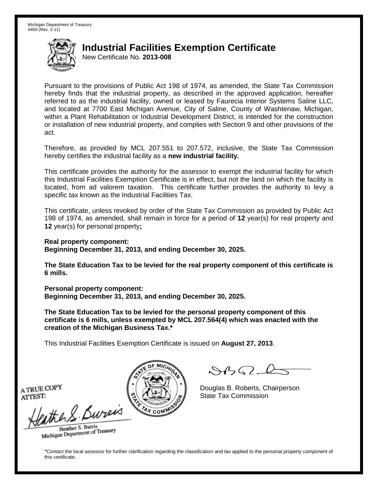New Certificate No. **2013-008**

Pursuant to the provisions of Public Act 198 of 1974, as amended, the State Tax Commission hereby finds that the industrial property, as described in the approved application, hereafter referred to as the industrial facility, owned or leased by Faurecia Interior Systems Saline LLC, and located at 7700 East Michigan Avenue, City of Saline, County of Washtenaw, Michigan, within a Plant Rehabilitation or Industrial Development District, is intended for the construction or installation of new industrial property, and complies with Section 9 and other provisions of the act.

Therefore, as provided by MCL 207.551 to 207.572, inclusive, the State Tax Commission hereby certifies the industrial facility as a **new industrial facility.**

This certificate provides the authority for the assessor to exempt the industrial facility for which this Industrial Facilities Exemption Certificate is in effect, but not the land on which the facility is located, from ad valorem taxation. This certificate further provides the authority to levy a specific tax known as the Industrial Facilities Tax.

This certificate, unless revoked by order of the State Tax Commission as provided by Public Act 198 of 1974, as amended, shall remain in force for a period of **12** year(s) for real property and **12** year(s) for personal property**;**

**Real property component:**

**Beginning December 31, 2013, and ending December 30, 2025.**

**The State Education Tax to be levied for the real property component of this certificate is 6 mills.**

**Personal property component: Beginning December 31, 2013, and ending December 30, 2025.**

**The State Education Tax to be levied for the personal property component of this certificate is 6 mills, unless exempted by MCL 207.564(4) which was enacted with the creation of the Michigan Business Tax.\***

This Industrial Facilities Exemption Certificate is issued on **August 27, 2013**.

 $\mathcal{A}_{\mathcal{A}}\Omega$ 

Douglas B. Roberts, Chairperson State Tax Commission

A TRUE COPY ATTEST:

the S. Bureis

Heather S. Burris Heather S. Buris<br>Michigan Department of Treasury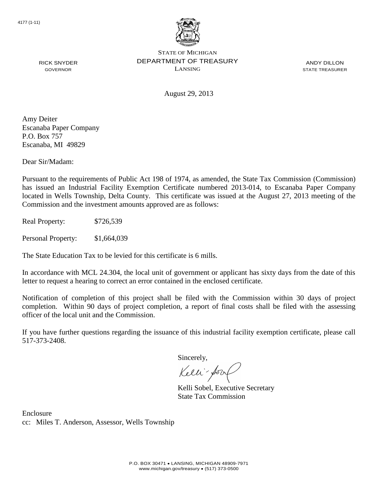

ANDY DILLON STATE TREASURER

August 29, 2013

Amy Deiter Escanaba Paper Company P.O. Box 757 Escanaba, MI 49829

RICK SNYDER GOVERNOR

Dear Sir/Madam:

Pursuant to the requirements of Public Act 198 of 1974, as amended, the State Tax Commission (Commission) has issued an Industrial Facility Exemption Certificate numbered 2013-014, to Escanaba Paper Company located in Wells Township, Delta County. This certificate was issued at the August 27, 2013 meeting of the Commission and the investment amounts approved are as follows:

Real Property: \$726,539

Personal Property: \$1,664,039

The State Education Tax to be levied for this certificate is 6 mills.

In accordance with MCL 24.304, the local unit of government or applicant has sixty days from the date of this letter to request a hearing to correct an error contained in the enclosed certificate.

Notification of completion of this project shall be filed with the Commission within 30 days of project completion. Within 90 days of project completion, a report of final costs shall be filed with the assessing officer of the local unit and the Commission.

If you have further questions regarding the issuance of this industrial facility exemption certificate, please call 517-373-2408.

Sincerely,

Kelli-Sor

Kelli Sobel, Executive Secretary State Tax Commission

Enclosure cc: Miles T. Anderson, Assessor, Wells Township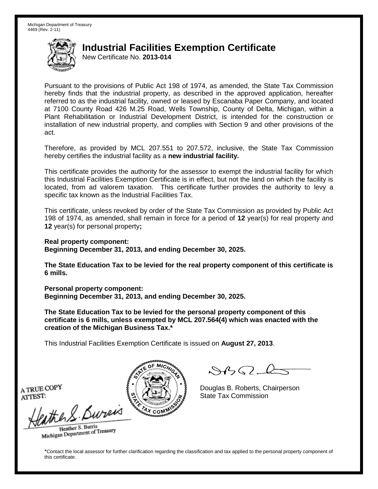New Certificate No. **2013-014**

Pursuant to the provisions of Public Act 198 of 1974, as amended, the State Tax Commission hereby finds that the industrial property, as described in the approved application, hereafter referred to as the industrial facility, owned or leased by Escanaba Paper Company, and located at 7100 County Road 426 M.25 Road, Wells Township, County of Delta, Michigan, within a Plant Rehabilitation or Industrial Development District, is intended for the construction or installation of new industrial property, and complies with Section 9 and other provisions of the act.

Therefore, as provided by MCL 207.551 to 207.572, inclusive, the State Tax Commission hereby certifies the industrial facility as a **new industrial facility.**

This certificate provides the authority for the assessor to exempt the industrial facility for which this Industrial Facilities Exemption Certificate is in effect, but not the land on which the facility is located, from ad valorem taxation. This certificate further provides the authority to levy a specific tax known as the Industrial Facilities Tax.

This certificate, unless revoked by order of the State Tax Commission as provided by Public Act 198 of 1974, as amended, shall remain in force for a period of **12** year(s) for real property and **12** year(s) for personal property**;**

**Real property component:**

**Beginning December 31, 2013, and ending December 30, 2025.**

**The State Education Tax to be levied for the real property component of this certificate is 6 mills.**

**Personal property component: Beginning December 31, 2013, and ending December 30, 2025.**

**The State Education Tax to be levied for the personal property component of this certificate is 6 mills, unless exempted by MCL 207.564(4) which was enacted with the creation of the Michigan Business Tax.\***

This Industrial Facilities Exemption Certificate is issued on **August 27, 2013**.

 $\mathcal{A}_{\mathcal{A}}\Omega$ 

Douglas B. Roberts, Chairperson State Tax Commission

A TRUE COPY ATTEST:

the S. Bureis

Heather S. Burris Heather S. Buris<br>Michigan Department of Treasury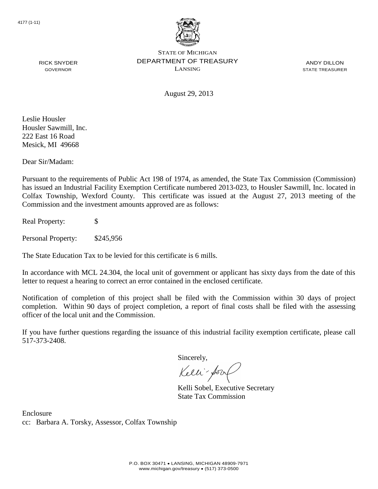

ANDY DILLON STATE TREASURER

August 29, 2013

Leslie Housler Housler Sawmill, Inc. 222 East 16 Road Mesick, MI 49668

RICK SNYDER GOVERNOR

Dear Sir/Madam:

Pursuant to the requirements of Public Act 198 of 1974, as amended, the State Tax Commission (Commission) has issued an Industrial Facility Exemption Certificate numbered 2013-023, to Housler Sawmill, Inc. located in Colfax Township, Wexford County. This certificate was issued at the August 27, 2013 meeting of the Commission and the investment amounts approved are as follows:

Real Property: \$

Personal Property: \$245,956

The State Education Tax to be levied for this certificate is 6 mills.

In accordance with MCL 24.304, the local unit of government or applicant has sixty days from the date of this letter to request a hearing to correct an error contained in the enclosed certificate.

Notification of completion of this project shall be filed with the Commission within 30 days of project completion. Within 90 days of project completion, a report of final costs shall be filed with the assessing officer of the local unit and the Commission.

If you have further questions regarding the issuance of this industrial facility exemption certificate, please call 517-373-2408.

Sincerely,

Kelli-Sorr

Kelli Sobel, Executive Secretary State Tax Commission

Enclosure cc: Barbara A. Torsky, Assessor, Colfax Township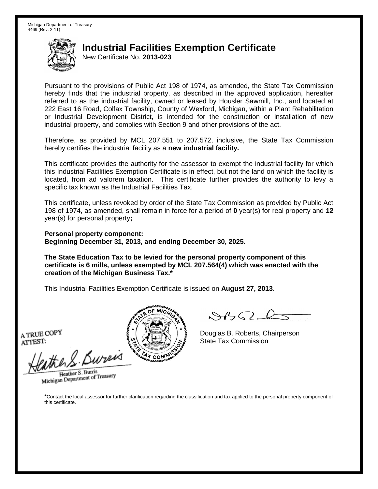New Certificate No. **2013-023**

Pursuant to the provisions of Public Act 198 of 1974, as amended, the State Tax Commission hereby finds that the industrial property, as described in the approved application, hereafter referred to as the industrial facility, owned or leased by Housler Sawmill, Inc., and located at 222 East 16 Road, Colfax Township, County of Wexford, Michigan, within a Plant Rehabilitation or Industrial Development District, is intended for the construction or installation of new industrial property, and complies with Section 9 and other provisions of the act.

Therefore, as provided by MCL 207.551 to 207.572, inclusive, the State Tax Commission hereby certifies the industrial facility as a **new industrial facility.**

This certificate provides the authority for the assessor to exempt the industrial facility for which this Industrial Facilities Exemption Certificate is in effect, but not the land on which the facility is located, from ad valorem taxation. This certificate further provides the authority to levy a specific tax known as the Industrial Facilities Tax.

This certificate, unless revoked by order of the State Tax Commission as provided by Public Act 198 of 1974, as amended, shall remain in force for a period of **0** year(s) for real property and **12** year(s) for personal property**;**

**Personal property component: Beginning December 31, 2013, and ending December 30, 2025.**

**The State Education Tax to be levied for the personal property component of this certificate is 6 mills, unless exempted by MCL 207.564(4) which was enacted with the creation of the Michigan Business Tax.\***

This Industrial Facilities Exemption Certificate is issued on **August 27, 2013**.

A TRUE COPY ATTEST:

eather & Bureix

Heather S. Burris Heather S. Burns<br>Michigan Department of Treasury



 $8450 - 6$ 

Douglas B. Roberts, Chairperson State Tax Commission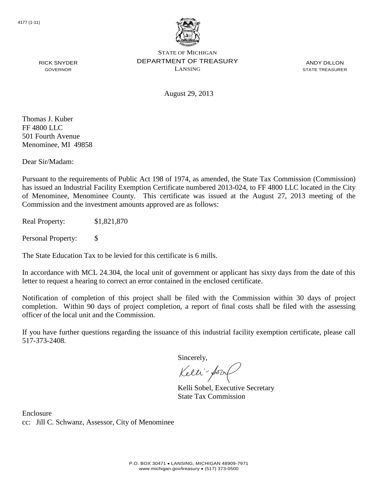

ANDY DILLON STATE TREASURER

August 29, 2013

Thomas J. Kuber FF 4800 LLC 501 Fourth Avenue Menominee, MI 49858

RICK SNYDER GOVERNOR

Dear Sir/Madam:

Pursuant to the requirements of Public Act 198 of 1974, as amended, the State Tax Commission (Commission) has issued an Industrial Facility Exemption Certificate numbered 2013-024, to FF 4800 LLC located in the City of Menominee, Menominee County. This certificate was issued at the August 27, 2013 meeting of the Commission and the investment amounts approved are as follows:

Real Property: \$1,821,870

Personal Property: \$

The State Education Tax to be levied for this certificate is 6 mills.

In accordance with MCL 24.304, the local unit of government or applicant has sixty days from the date of this letter to request a hearing to correct an error contained in the enclosed certificate.

Notification of completion of this project shall be filed with the Commission within 30 days of project completion. Within 90 days of project completion, a report of final costs shall be filed with the assessing officer of the local unit and the Commission.

If you have further questions regarding the issuance of this industrial facility exemption certificate, please call 517-373-2408.

Sincerely,

Kelli-Sorr

Kelli Sobel, Executive Secretary State Tax Commission

Enclosure cc: Jill C. Schwanz, Assessor, City of Menominee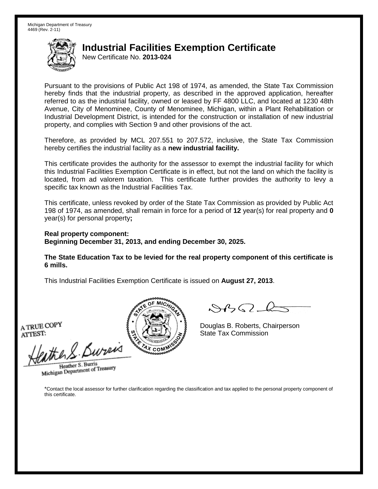New Certificate No. **2013-024**

Pursuant to the provisions of Public Act 198 of 1974, as amended, the State Tax Commission hereby finds that the industrial property, as described in the approved application, hereafter referred to as the industrial facility, owned or leased by FF 4800 LLC, and located at 1230 48th Avenue, City of Menominee, County of Menominee, Michigan, within a Plant Rehabilitation or Industrial Development District, is intended for the construction or installation of new industrial property, and complies with Section 9 and other provisions of the act.

Therefore, as provided by MCL 207.551 to 207.572, inclusive, the State Tax Commission hereby certifies the industrial facility as a **new industrial facility.**

This certificate provides the authority for the assessor to exempt the industrial facility for which this Industrial Facilities Exemption Certificate is in effect, but not the land on which the facility is located, from ad valorem taxation. This certificate further provides the authority to levy a specific tax known as the Industrial Facilities Tax.

This certificate, unless revoked by order of the State Tax Commission as provided by Public Act 198 of 1974, as amended, shall remain in force for a period of **12** year(s) for real property and **0** year(s) for personal property**;**

**Real property component: Beginning December 31, 2013, and ending December 30, 2025.**

**The State Education Tax to be levied for the real property component of this certificate is 6 mills.**

This Industrial Facilities Exemption Certificate is issued on **August 27, 2013**.

A TRUE COPY ATTEST:

then S. Burei

Heather S. Burris Heather S. Burns<br>Michigan Department of Treasury



 $\mathcal{A}$ 

Douglas B. Roberts, Chairperson State Tax Commission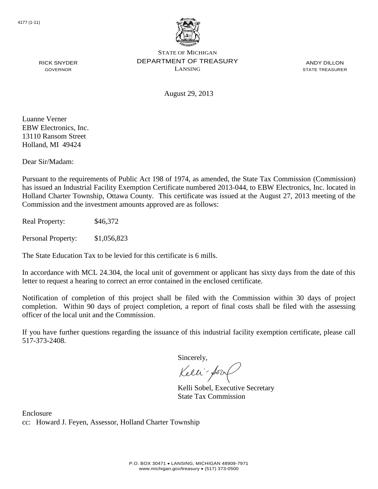

ANDY DILLON STATE TREASURER

August 29, 2013

Luanne Verner EBW Electronics, Inc. 13110 Ransom Street Holland, MI 49424

RICK SNYDER GOVERNOR

Dear Sir/Madam:

Pursuant to the requirements of Public Act 198 of 1974, as amended, the State Tax Commission (Commission) has issued an Industrial Facility Exemption Certificate numbered 2013-044, to EBW Electronics, Inc. located in Holland Charter Township, Ottawa County. This certificate was issued at the August 27, 2013 meeting of the Commission and the investment amounts approved are as follows:

Real Property: \$46,372

Personal Property: \$1,056,823

The State Education Tax to be levied for this certificate is 6 mills.

In accordance with MCL 24.304, the local unit of government or applicant has sixty days from the date of this letter to request a hearing to correct an error contained in the enclosed certificate.

Notification of completion of this project shall be filed with the Commission within 30 days of project completion. Within 90 days of project completion, a report of final costs shall be filed with the assessing officer of the local unit and the Commission.

If you have further questions regarding the issuance of this industrial facility exemption certificate, please call 517-373-2408.

Sincerely,

Kelli-Sorr

Kelli Sobel, Executive Secretary State Tax Commission

Enclosure cc: Howard J. Feyen, Assessor, Holland Charter Township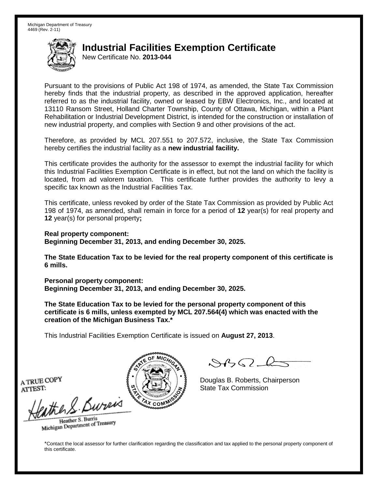New Certificate No. **2013-044**

Pursuant to the provisions of Public Act 198 of 1974, as amended, the State Tax Commission hereby finds that the industrial property, as described in the approved application, hereafter referred to as the industrial facility, owned or leased by EBW Electronics, Inc., and located at 13110 Ransom Street, Holland Charter Township, County of Ottawa, Michigan, within a Plant Rehabilitation or Industrial Development District, is intended for the construction or installation of new industrial property, and complies with Section 9 and other provisions of the act.

Therefore, as provided by MCL 207.551 to 207.572, inclusive, the State Tax Commission hereby certifies the industrial facility as a **new industrial facility.**

This certificate provides the authority for the assessor to exempt the industrial facility for which this Industrial Facilities Exemption Certificate is in effect, but not the land on which the facility is located, from ad valorem taxation. This certificate further provides the authority to levy a specific tax known as the Industrial Facilities Tax.

This certificate, unless revoked by order of the State Tax Commission as provided by Public Act 198 of 1974, as amended, shall remain in force for a period of **12** year(s) for real property and **12** year(s) for personal property**;**

**Real property component: Beginning December 31, 2013, and ending December 30, 2025.**

**The State Education Tax to be levied for the real property component of this certificate is 6 mills.**

**Personal property component: Beginning December 31, 2013, and ending December 30, 2025.**

**The State Education Tax to be levied for the personal property component of this certificate is 6 mills, unless exempted by MCL 207.564(4) which was enacted with the creation of the Michigan Business Tax.\***

This Industrial Facilities Exemption Certificate is issued on **August 27, 2013**.

 $882 - 6$ 

Douglas B. Roberts, Chairperson State Tax Commission

A TRUE COPY ATTEST:

eather & Burn

Heather S. Burris Heather S. Buris<br>Michigan Department of Treasury

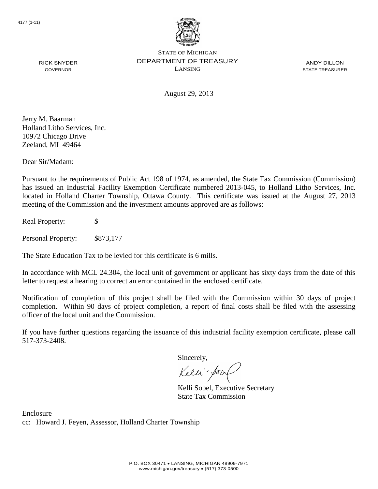

ANDY DILLON STATE TREASURER

August 29, 2013

Jerry M. Baarman Holland Litho Services, Inc. 10972 Chicago Drive Zeeland, MI 49464

RICK SNYDER GOVERNOR

Dear Sir/Madam:

Pursuant to the requirements of Public Act 198 of 1974, as amended, the State Tax Commission (Commission) has issued an Industrial Facility Exemption Certificate numbered 2013-045, to Holland Litho Services, Inc. located in Holland Charter Township, Ottawa County. This certificate was issued at the August 27, 2013 meeting of the Commission and the investment amounts approved are as follows:

Real Property: \$

Personal Property: \$873,177

The State Education Tax to be levied for this certificate is 6 mills.

In accordance with MCL 24.304, the local unit of government or applicant has sixty days from the date of this letter to request a hearing to correct an error contained in the enclosed certificate.

Notification of completion of this project shall be filed with the Commission within 30 days of project completion. Within 90 days of project completion, a report of final costs shall be filed with the assessing officer of the local unit and the Commission.

If you have further questions regarding the issuance of this industrial facility exemption certificate, please call 517-373-2408.

Sincerely,

Kelli-Sorr

Kelli Sobel, Executive Secretary State Tax Commission

Enclosure cc: Howard J. Feyen, Assessor, Holland Charter Township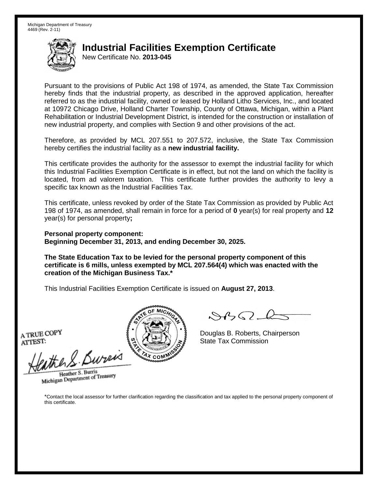New Certificate No. **2013-045**

Pursuant to the provisions of Public Act 198 of 1974, as amended, the State Tax Commission hereby finds that the industrial property, as described in the approved application, hereafter referred to as the industrial facility, owned or leased by Holland Litho Services, Inc., and located at 10972 Chicago Drive, Holland Charter Township, County of Ottawa, Michigan, within a Plant Rehabilitation or Industrial Development District, is intended for the construction or installation of new industrial property, and complies with Section 9 and other provisions of the act.

Therefore, as provided by MCL 207.551 to 207.572, inclusive, the State Tax Commission hereby certifies the industrial facility as a **new industrial facility.**

This certificate provides the authority for the assessor to exempt the industrial facility for which this Industrial Facilities Exemption Certificate is in effect, but not the land on which the facility is located, from ad valorem taxation. This certificate further provides the authority to levy a specific tax known as the Industrial Facilities Tax.

This certificate, unless revoked by order of the State Tax Commission as provided by Public Act 198 of 1974, as amended, shall remain in force for a period of **0** year(s) for real property and **12** year(s) for personal property**;**

**Personal property component: Beginning December 31, 2013, and ending December 30, 2025.**

**The State Education Tax to be levied for the personal property component of this certificate is 6 mills, unless exempted by MCL 207.564(4) which was enacted with the creation of the Michigan Business Tax.\***

This Industrial Facilities Exemption Certificate is issued on **August 27, 2013**.

A TRUE COPY ATTEST:

eather & Bureix

Heather S. Burris Heather S. Burns<br>Michigan Department of Treasury



 $8450 - 6$ 

Douglas B. Roberts, Chairperson State Tax Commission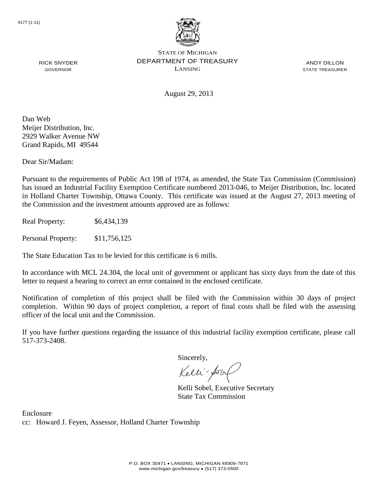

ANDY DILLON STATE TREASURER

August 29, 2013

Dan Web Meijer Distribution, Inc. 2929 Walker Avenue NW

Grand Rapids, MI 49544

RICK SNYDER GOVERNOR

Dear Sir/Madam:

Pursuant to the requirements of Public Act 198 of 1974, as amended, the State Tax Commission (Commission) has issued an Industrial Facility Exemption Certificate numbered 2013-046, to Meijer Distribution, Inc. located in Holland Charter Township, Ottawa County. This certificate was issued at the August 27, 2013 meeting of the Commission and the investment amounts approved are as follows:

Real Property: \$6,434,139

Personal Property: \$11,756,125

The State Education Tax to be levied for this certificate is 6 mills.

In accordance with MCL 24.304, the local unit of government or applicant has sixty days from the date of this letter to request a hearing to correct an error contained in the enclosed certificate.

Notification of completion of this project shall be filed with the Commission within 30 days of project completion. Within 90 days of project completion, a report of final costs shall be filed with the assessing officer of the local unit and the Commission.

If you have further questions regarding the issuance of this industrial facility exemption certificate, please call 517-373-2408.

Sincerely,

Kelli-Sorr

Kelli Sobel, Executive Secretary State Tax Commission

Enclosure cc: Howard J. Feyen, Assessor, Holland Charter Township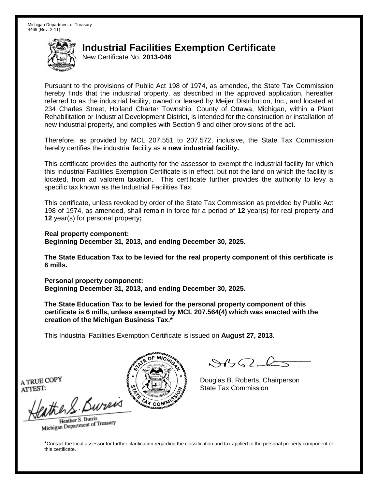New Certificate No. **2013-046**

Pursuant to the provisions of Public Act 198 of 1974, as amended, the State Tax Commission hereby finds that the industrial property, as described in the approved application, hereafter referred to as the industrial facility, owned or leased by Meijer Distribution, Inc., and located at 234 Charles Street, Holland Charter Township, County of Ottawa, Michigan, within a Plant Rehabilitation or Industrial Development District, is intended for the construction or installation of new industrial property, and complies with Section 9 and other provisions of the act.

Therefore, as provided by MCL 207.551 to 207.572, inclusive, the State Tax Commission hereby certifies the industrial facility as a **new industrial facility.**

This certificate provides the authority for the assessor to exempt the industrial facility for which this Industrial Facilities Exemption Certificate is in effect, but not the land on which the facility is located, from ad valorem taxation. This certificate further provides the authority to levy a specific tax known as the Industrial Facilities Tax.

This certificate, unless revoked by order of the State Tax Commission as provided by Public Act 198 of 1974, as amended, shall remain in force for a period of **12** year(s) for real property and **12** year(s) for personal property**;**

**Real property component: Beginning December 31, 2013, and ending December 30, 2025.**

**The State Education Tax to be levied for the real property component of this certificate is 6 mills.**

**Personal property component: Beginning December 31, 2013, and ending December 30, 2025.**

**The State Education Tax to be levied for the personal property component of this certificate is 6 mills, unless exempted by MCL 207.564(4) which was enacted with the creation of the Michigan Business Tax.\***

This Industrial Facilities Exemption Certificate is issued on **August 27, 2013**.

 $882 - 6$ 

Douglas B. Roberts, Chairperson State Tax Commission

A TRUE COPY ATTEST:

eather & Burn

Heather S. Burris Heather S. Buris<br>Michigan Department of Treasury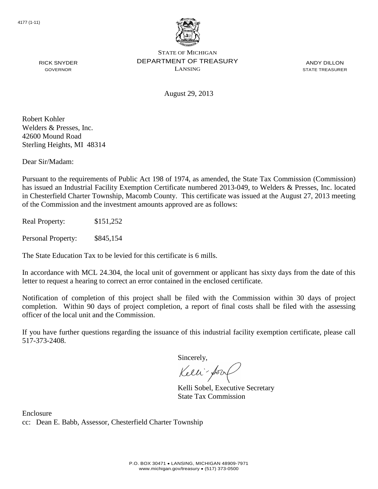

ANDY DILLON STATE TREASURER

RICK SNYDER GOVERNOR

August 29, 2013

Robert Kohler Welders & Presses, Inc. 42600 Mound Road Sterling Heights, MI 48314

Dear Sir/Madam:

Pursuant to the requirements of Public Act 198 of 1974, as amended, the State Tax Commission (Commission) has issued an Industrial Facility Exemption Certificate numbered 2013-049, to Welders & Presses, Inc. located in Chesterfield Charter Township, Macomb County. This certificate was issued at the August 27, 2013 meeting of the Commission and the investment amounts approved are as follows:

Real Property: \$151,252

Personal Property: \$845,154

The State Education Tax to be levied for this certificate is 6 mills.

In accordance with MCL 24.304, the local unit of government or applicant has sixty days from the date of this letter to request a hearing to correct an error contained in the enclosed certificate.

Notification of completion of this project shall be filed with the Commission within 30 days of project completion. Within 90 days of project completion, a report of final costs shall be filed with the assessing officer of the local unit and the Commission.

If you have further questions regarding the issuance of this industrial facility exemption certificate, please call 517-373-2408.

Sincerely,

Kelli-Sorr

Kelli Sobel, Executive Secretary State Tax Commission

Enclosure cc: Dean E. Babb, Assessor, Chesterfield Charter Township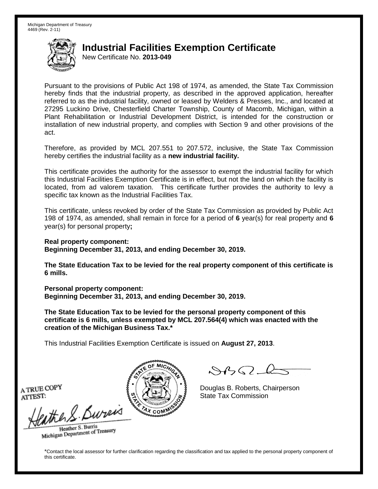New Certificate No. **2013-049**

Pursuant to the provisions of Public Act 198 of 1974, as amended, the State Tax Commission hereby finds that the industrial property, as described in the approved application, hereafter referred to as the industrial facility, owned or leased by Welders & Presses, Inc., and located at 27295 Luckino Drive, Chesterfield Charter Township, County of Macomb, Michigan, within a Plant Rehabilitation or Industrial Development District, is intended for the construction or installation of new industrial property, and complies with Section 9 and other provisions of the act.

Therefore, as provided by MCL 207.551 to 207.572, inclusive, the State Tax Commission hereby certifies the industrial facility as a **new industrial facility.**

This certificate provides the authority for the assessor to exempt the industrial facility for which this Industrial Facilities Exemption Certificate is in effect, but not the land on which the facility is located, from ad valorem taxation. This certificate further provides the authority to levy a specific tax known as the Industrial Facilities Tax.

This certificate, unless revoked by order of the State Tax Commission as provided by Public Act 198 of 1974, as amended, shall remain in force for a period of **6** year(s) for real property and **6** year(s) for personal property**;**

**Real property component:**

**Beginning December 31, 2013, and ending December 30, 2019.**

**The State Education Tax to be levied for the real property component of this certificate is 6 mills.**

**Personal property component: Beginning December 31, 2013, and ending December 30, 2019.**

**The State Education Tax to be levied for the personal property component of this certificate is 6 mills, unless exempted by MCL 207.564(4) which was enacted with the creation of the Michigan Business Tax.\***

This Industrial Facilities Exemption Certificate is issued on **August 27, 2013**.

 $\mathcal{A}_{\mathcal{A}}\Omega$ 

Douglas B. Roberts, Chairperson State Tax Commission

A TRUE COPY ATTEST:

the S. Bureis

Heather S. Burris Heather S. Buris<br>Michigan Department of Treasury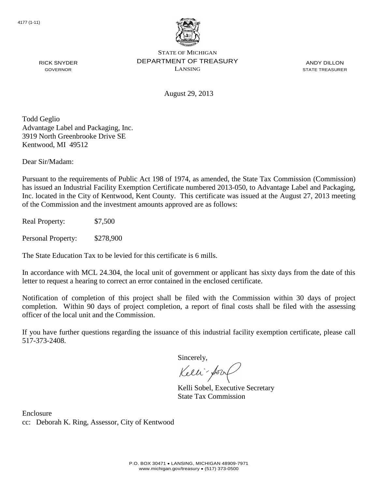

ANDY DILLON STATE TREASURER

August 29, 2013

Todd Geglio Advantage Label and Packaging, Inc. 3919 North Greenbrooke Drive SE Kentwood, MI 49512

Dear Sir/Madam:

RICK SNYDER GOVERNOR

Pursuant to the requirements of Public Act 198 of 1974, as amended, the State Tax Commission (Commission) has issued an Industrial Facility Exemption Certificate numbered 2013-050, to Advantage Label and Packaging, Inc. located in the City of Kentwood, Kent County. This certificate was issued at the August 27, 2013 meeting of the Commission and the investment amounts approved are as follows:

Real Property: \$7,500

Personal Property: \$278,900

The State Education Tax to be levied for this certificate is 6 mills.

In accordance with MCL 24.304, the local unit of government or applicant has sixty days from the date of this letter to request a hearing to correct an error contained in the enclosed certificate.

Notification of completion of this project shall be filed with the Commission within 30 days of project completion. Within 90 days of project completion, a report of final costs shall be filed with the assessing officer of the local unit and the Commission.

If you have further questions regarding the issuance of this industrial facility exemption certificate, please call 517-373-2408.

Sincerely,

Kelli-Sor

Kelli Sobel, Executive Secretary State Tax Commission

Enclosure cc: Deborah K. Ring, Assessor, City of Kentwood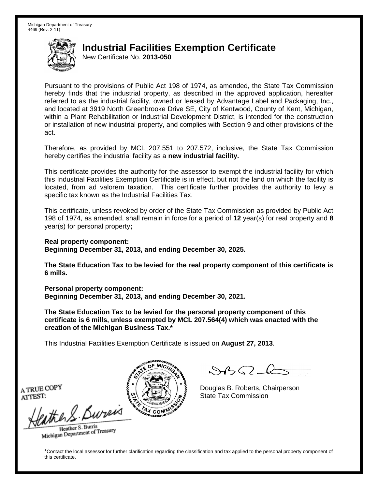New Certificate No. **2013-050**

Pursuant to the provisions of Public Act 198 of 1974, as amended, the State Tax Commission hereby finds that the industrial property, as described in the approved application, hereafter referred to as the industrial facility, owned or leased by Advantage Label and Packaging, Inc., and located at 3919 North Greenbrooke Drive SE, City of Kentwood, County of Kent, Michigan, within a Plant Rehabilitation or Industrial Development District, is intended for the construction or installation of new industrial property, and complies with Section 9 and other provisions of the act.

Therefore, as provided by MCL 207.551 to 207.572, inclusive, the State Tax Commission hereby certifies the industrial facility as a **new industrial facility.**

This certificate provides the authority for the assessor to exempt the industrial facility for which this Industrial Facilities Exemption Certificate is in effect, but not the land on which the facility is located, from ad valorem taxation. This certificate further provides the authority to levy a specific tax known as the Industrial Facilities Tax.

This certificate, unless revoked by order of the State Tax Commission as provided by Public Act 198 of 1974, as amended, shall remain in force for a period of **12** year(s) for real property and **8** year(s) for personal property**;**

**Real property component: Beginning December 31, 2013, and ending December 30, 2025.**

**The State Education Tax to be levied for the real property component of this certificate is 6 mills.**

**Personal property component: Beginning December 31, 2013, and ending December 30, 2021.**

**The State Education Tax to be levied for the personal property component of this certificate is 6 mills, unless exempted by MCL 207.564(4) which was enacted with the creation of the Michigan Business Tax.\***

This Industrial Facilities Exemption Certificate is issued on **August 27, 2013**.

 $\mathcal{A}_{\mathcal{A}}\Omega$ 

Douglas B. Roberts, Chairperson State Tax Commission

A TRUE COPY ATTEST:

the S. Bureis

Heather S. Burris Heather S. Buris<br>Michigan Department of Treasury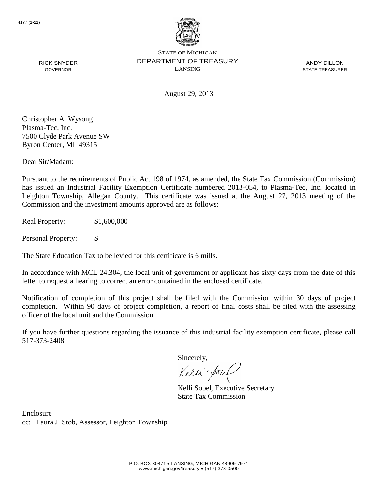

ANDY DILLON STATE TREASURER

August 29, 2013

Christopher A. Wysong Plasma-Tec, Inc. 7500 Clyde Park Avenue SW Byron Center, MI 49315

RICK SNYDER GOVERNOR

Dear Sir/Madam:

Pursuant to the requirements of Public Act 198 of 1974, as amended, the State Tax Commission (Commission) has issued an Industrial Facility Exemption Certificate numbered 2013-054, to Plasma-Tec, Inc. located in Leighton Township, Allegan County. This certificate was issued at the August 27, 2013 meeting of the Commission and the investment amounts approved are as follows:

Real Property: \$1,600,000

Personal Property: \$

The State Education Tax to be levied for this certificate is 6 mills.

In accordance with MCL 24.304, the local unit of government or applicant has sixty days from the date of this letter to request a hearing to correct an error contained in the enclosed certificate.

Notification of completion of this project shall be filed with the Commission within 30 days of project completion. Within 90 days of project completion, a report of final costs shall be filed with the assessing officer of the local unit and the Commission.

If you have further questions regarding the issuance of this industrial facility exemption certificate, please call 517-373-2408.

Sincerely,

Kelli-Sorr

Kelli Sobel, Executive Secretary State Tax Commission

Enclosure cc: Laura J. Stob, Assessor, Leighton Township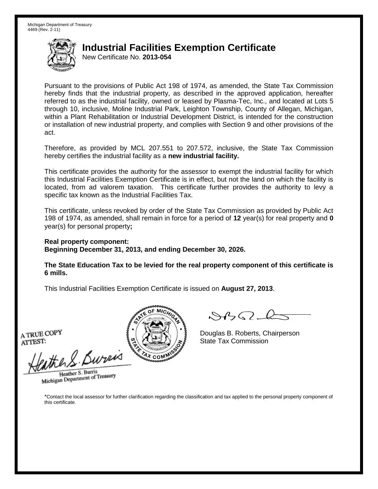New Certificate No. **2013-054**

Pursuant to the provisions of Public Act 198 of 1974, as amended, the State Tax Commission hereby finds that the industrial property, as described in the approved application, hereafter referred to as the industrial facility, owned or leased by Plasma-Tec, Inc., and located at Lots 5 through 10, inclusive, Moline Industrial Park, Leighton Township, County of Allegan, Michigan, within a Plant Rehabilitation or Industrial Development District, is intended for the construction or installation of new industrial property, and complies with Section 9 and other provisions of the act.

Therefore, as provided by MCL 207.551 to 207.572, inclusive, the State Tax Commission hereby certifies the industrial facility as a **new industrial facility.**

This certificate provides the authority for the assessor to exempt the industrial facility for which this Industrial Facilities Exemption Certificate is in effect, but not the land on which the facility is located, from ad valorem taxation. This certificate further provides the authority to levy a specific tax known as the Industrial Facilities Tax.

This certificate, unless revoked by order of the State Tax Commission as provided by Public Act 198 of 1974, as amended, shall remain in force for a period of **12** year(s) for real property and **0** year(s) for personal property**;**

**Real property component: Beginning December 31, 2013, and ending December 30, 2026.**

**The State Education Tax to be levied for the real property component of this certificate is 6 mills.**

This Industrial Facilities Exemption Certificate is issued on **August 27, 2013**.

A TRUE COPY ATTEST:

enther S. Bureix

Heather S. Burris Heather S. Burns<br>Michigan Department of Treasury



 $8450 - 6$ 

Douglas B. Roberts, Chairperson State Tax Commission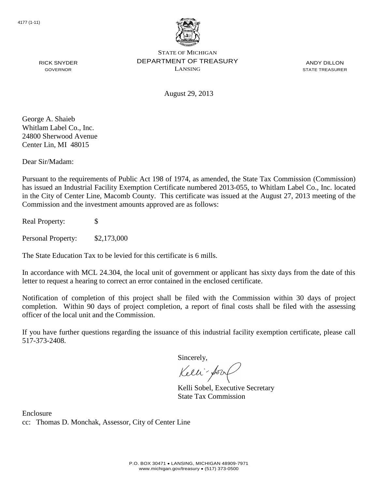

ANDY DILLON STATE TREASURER

RICK SNYDER GOVERNOR

August 29, 2013

George A. Shaieb Whitlam Label Co., Inc. 24800 Sherwood Avenue Center Lin, MI 48015

Dear Sir/Madam:

Pursuant to the requirements of Public Act 198 of 1974, as amended, the State Tax Commission (Commission) has issued an Industrial Facility Exemption Certificate numbered 2013-055, to Whitlam Label Co., Inc. located in the City of Center Line, Macomb County. This certificate was issued at the August 27, 2013 meeting of the Commission and the investment amounts approved are as follows:

Real Property: \$

Personal Property: \$2,173,000

The State Education Tax to be levied for this certificate is 6 mills.

In accordance with MCL 24.304, the local unit of government or applicant has sixty days from the date of this letter to request a hearing to correct an error contained in the enclosed certificate.

Notification of completion of this project shall be filed with the Commission within 30 days of project completion. Within 90 days of project completion, a report of final costs shall be filed with the assessing officer of the local unit and the Commission.

If you have further questions regarding the issuance of this industrial facility exemption certificate, please call 517-373-2408.

Sincerely,

Kelli-Sorr

Kelli Sobel, Executive Secretary State Tax Commission

Enclosure cc: Thomas D. Monchak, Assessor, City of Center Line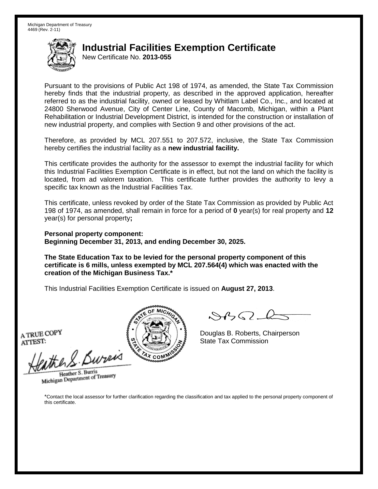New Certificate No. **2013-055**

Pursuant to the provisions of Public Act 198 of 1974, as amended, the State Tax Commission hereby finds that the industrial property, as described in the approved application, hereafter referred to as the industrial facility, owned or leased by Whitlam Label Co., Inc., and located at 24800 Sherwood Avenue, City of Center Line, County of Macomb, Michigan, within a Plant Rehabilitation or Industrial Development District, is intended for the construction or installation of new industrial property, and complies with Section 9 and other provisions of the act.

Therefore, as provided by MCL 207.551 to 207.572, inclusive, the State Tax Commission hereby certifies the industrial facility as a **new industrial facility.**

This certificate provides the authority for the assessor to exempt the industrial facility for which this Industrial Facilities Exemption Certificate is in effect, but not the land on which the facility is located, from ad valorem taxation. This certificate further provides the authority to levy a specific tax known as the Industrial Facilities Tax.

This certificate, unless revoked by order of the State Tax Commission as provided by Public Act 198 of 1974, as amended, shall remain in force for a period of **0** year(s) for real property and **12** year(s) for personal property**;**

**Personal property component: Beginning December 31, 2013, and ending December 30, 2025.**

**The State Education Tax to be levied for the personal property component of this certificate is 6 mills, unless exempted by MCL 207.564(4) which was enacted with the creation of the Michigan Business Tax.\***

This Industrial Facilities Exemption Certificate is issued on **August 27, 2013**.

A TRUE COPY ATTEST:

eather & Bureix

Heather S. Burris Heather S. Burns<br>Michigan Department of Treasury



 $8450 - 6$ 

Douglas B. Roberts, Chairperson State Tax Commission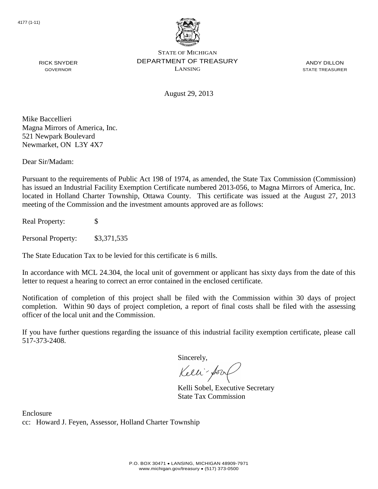

ANDY DILLON STATE TREASURER

August 29, 2013

Mike Baccellieri Magna Mirrors of America, Inc. 521 Newpark Boulevard Newmarket, ON L3Y 4X7

RICK SNYDER GOVERNOR

Dear Sir/Madam:

Pursuant to the requirements of Public Act 198 of 1974, as amended, the State Tax Commission (Commission) has issued an Industrial Facility Exemption Certificate numbered 2013-056, to Magna Mirrors of America, Inc. located in Holland Charter Township, Ottawa County. This certificate was issued at the August 27, 2013 meeting of the Commission and the investment amounts approved are as follows:

Real Property: \$

Personal Property: \$3,371,535

The State Education Tax to be levied for this certificate is 6 mills.

In accordance with MCL 24.304, the local unit of government or applicant has sixty days from the date of this letter to request a hearing to correct an error contained in the enclosed certificate.

Notification of completion of this project shall be filed with the Commission within 30 days of project completion. Within 90 days of project completion, a report of final costs shall be filed with the assessing officer of the local unit and the Commission.

If you have further questions regarding the issuance of this industrial facility exemption certificate, please call 517-373-2408.

Sincerely,

Kelli-Sorr

Kelli Sobel, Executive Secretary State Tax Commission

Enclosure cc: Howard J. Feyen, Assessor, Holland Charter Township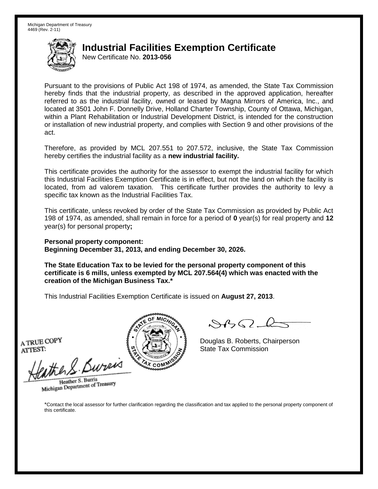New Certificate No. **2013-056**

Pursuant to the provisions of Public Act 198 of 1974, as amended, the State Tax Commission hereby finds that the industrial property, as described in the approved application, hereafter referred to as the industrial facility, owned or leased by Magna Mirrors of America, Inc., and located at 3501 John F. Donnelly Drive, Holland Charter Township, County of Ottawa, Michigan, within a Plant Rehabilitation or Industrial Development District, is intended for the construction or installation of new industrial property, and complies with Section 9 and other provisions of the act.

Therefore, as provided by MCL 207.551 to 207.572, inclusive, the State Tax Commission hereby certifies the industrial facility as a **new industrial facility.**

This certificate provides the authority for the assessor to exempt the industrial facility for which this Industrial Facilities Exemption Certificate is in effect, but not the land on which the facility is located, from ad valorem taxation. This certificate further provides the authority to levy a specific tax known as the Industrial Facilities Tax.

This certificate, unless revoked by order of the State Tax Commission as provided by Public Act 198 of 1974, as amended, shall remain in force for a period of **0** year(s) for real property and **12** year(s) for personal property**;**

**Personal property component: Beginning December 31, 2013, and ending December 30, 2026.**

**The State Education Tax to be levied for the personal property component of this certificate is 6 mills, unless exempted by MCL 207.564(4) which was enacted with the creation of the Michigan Business Tax.\***

This Industrial Facilities Exemption Certificate is issued on **August 27, 2013**.

A TRUE COPY ATTEST:

ather S. Buren

Heather S. Burris Heather S. Burns<br>Michigan Department of Treasury



Douglas B. Roberts, Chairperson State Tax Commission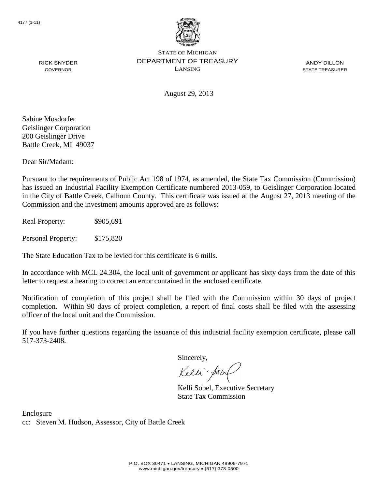

ANDY DILLON STATE TREASURER

RICK SNYDER GOVERNOR

August 29, 2013

Sabine Mosdorfer Geislinger Corporation 200 Geislinger Drive Battle Creek, MI 49037

Dear Sir/Madam:

Pursuant to the requirements of Public Act 198 of 1974, as amended, the State Tax Commission (Commission) has issued an Industrial Facility Exemption Certificate numbered 2013-059, to Geislinger Corporation located in the City of Battle Creek, Calhoun County. This certificate was issued at the August 27, 2013 meeting of the Commission and the investment amounts approved are as follows:

Real Property:  $$905,691$ 

Personal Property: \$175,820

The State Education Tax to be levied for this certificate is 6 mills.

In accordance with MCL 24.304, the local unit of government or applicant has sixty days from the date of this letter to request a hearing to correct an error contained in the enclosed certificate.

Notification of completion of this project shall be filed with the Commission within 30 days of project completion. Within 90 days of project completion, a report of final costs shall be filed with the assessing officer of the local unit and the Commission.

If you have further questions regarding the issuance of this industrial facility exemption certificate, please call 517-373-2408.

Sincerely,

Kelli-Sor

Kelli Sobel, Executive Secretary State Tax Commission

Enclosure cc: Steven M. Hudson, Assessor, City of Battle Creek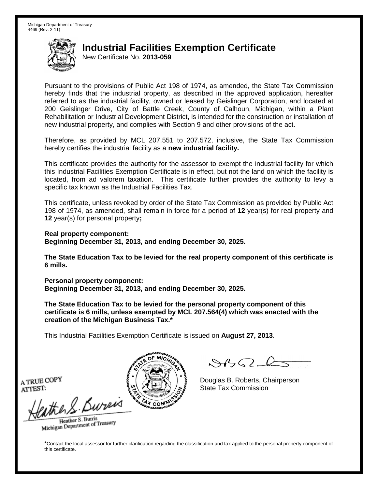New Certificate No. **2013-059**

Pursuant to the provisions of Public Act 198 of 1974, as amended, the State Tax Commission hereby finds that the industrial property, as described in the approved application, hereafter referred to as the industrial facility, owned or leased by Geislinger Corporation, and located at 200 Geislinger Drive, City of Battle Creek, County of Calhoun, Michigan, within a Plant Rehabilitation or Industrial Development District, is intended for the construction or installation of new industrial property, and complies with Section 9 and other provisions of the act.

Therefore, as provided by MCL 207.551 to 207.572, inclusive, the State Tax Commission hereby certifies the industrial facility as a **new industrial facility.**

This certificate provides the authority for the assessor to exempt the industrial facility for which this Industrial Facilities Exemption Certificate is in effect, but not the land on which the facility is located, from ad valorem taxation. This certificate further provides the authority to levy a specific tax known as the Industrial Facilities Tax.

This certificate, unless revoked by order of the State Tax Commission as provided by Public Act 198 of 1974, as amended, shall remain in force for a period of **12** year(s) for real property and **12** year(s) for personal property**;**

**Real property component: Beginning December 31, 2013, and ending December 30, 2025.**

**The State Education Tax to be levied for the real property component of this certificate is 6 mills.**

**Personal property component: Beginning December 31, 2013, and ending December 30, 2025.**

**The State Education Tax to be levied for the personal property component of this certificate is 6 mills, unless exempted by MCL 207.564(4) which was enacted with the creation of the Michigan Business Tax.\***

This Industrial Facilities Exemption Certificate is issued on **August 27, 2013**.

 $882 - 6$ 

Douglas B. Roberts, Chairperson State Tax Commission

A TRUE COPY ATTEST:

eather & Burn

Heather S. Burris Heather S. Buris<br>Michigan Department of Treasury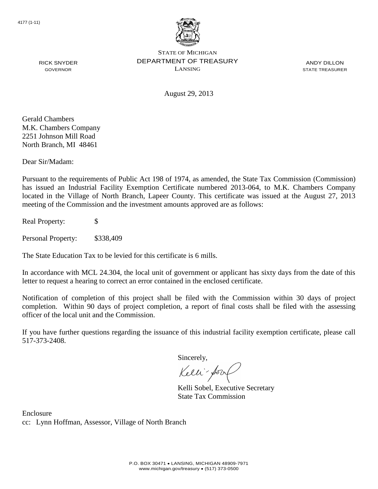

ANDY DILLON STATE TREASURER

RICK SNYDER GOVERNOR

August 29, 2013

Gerald Chambers M.K. Chambers Company 2251 Johnson Mill Road North Branch, MI 48461

Dear Sir/Madam:

Pursuant to the requirements of Public Act 198 of 1974, as amended, the State Tax Commission (Commission) has issued an Industrial Facility Exemption Certificate numbered 2013-064, to M.K. Chambers Company located in the Village of North Branch, Lapeer County. This certificate was issued at the August 27, 2013 meeting of the Commission and the investment amounts approved are as follows:

Real Property: \$

Personal Property: \$338,409

The State Education Tax to be levied for this certificate is 6 mills.

In accordance with MCL 24.304, the local unit of government or applicant has sixty days from the date of this letter to request a hearing to correct an error contained in the enclosed certificate.

Notification of completion of this project shall be filed with the Commission within 30 days of project completion. Within 90 days of project completion, a report of final costs shall be filed with the assessing officer of the local unit and the Commission.

If you have further questions regarding the issuance of this industrial facility exemption certificate, please call 517-373-2408.

Sincerely,

Kelli-Sorr

Kelli Sobel, Executive Secretary State Tax Commission

Enclosure cc: Lynn Hoffman, Assessor, Village of North Branch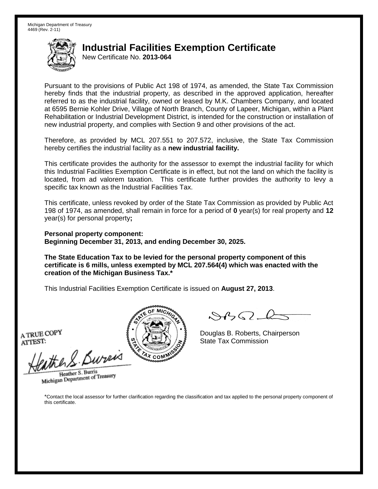New Certificate No. **2013-064**

Pursuant to the provisions of Public Act 198 of 1974, as amended, the State Tax Commission hereby finds that the industrial property, as described in the approved application, hereafter referred to as the industrial facility, owned or leased by M.K. Chambers Company, and located at 6595 Bernie Kohler Drive, Village of North Branch, County of Lapeer, Michigan, within a Plant Rehabilitation or Industrial Development District, is intended for the construction or installation of new industrial property, and complies with Section 9 and other provisions of the act.

Therefore, as provided by MCL 207.551 to 207.572, inclusive, the State Tax Commission hereby certifies the industrial facility as a **new industrial facility.**

This certificate provides the authority for the assessor to exempt the industrial facility for which this Industrial Facilities Exemption Certificate is in effect, but not the land on which the facility is located, from ad valorem taxation. This certificate further provides the authority to levy a specific tax known as the Industrial Facilities Tax.

This certificate, unless revoked by order of the State Tax Commission as provided by Public Act 198 of 1974, as amended, shall remain in force for a period of **0** year(s) for real property and **12** year(s) for personal property**;**

**Personal property component: Beginning December 31, 2013, and ending December 30, 2025.**

**The State Education Tax to be levied for the personal property component of this certificate is 6 mills, unless exempted by MCL 207.564(4) which was enacted with the creation of the Michigan Business Tax.\***

This Industrial Facilities Exemption Certificate is issued on **August 27, 2013**.

A TRUE COPY ATTEST:

eather & Bureix

Heather S. Burris Heather S. Burns<br>Michigan Department of Treasury



 $8450 - 6$ 

Douglas B. Roberts, Chairperson State Tax Commission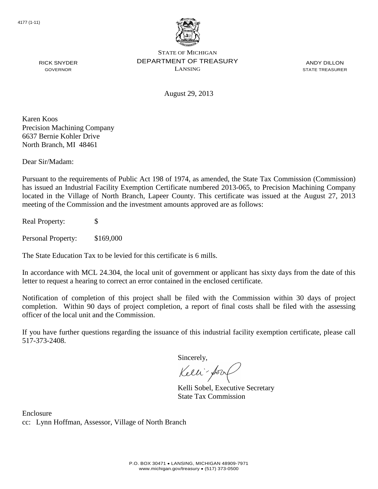

ANDY DILLON STATE TREASURER

August 29, 2013

Karen Koos Precision Machining Company 6637 Bernie Kohler Drive North Branch, MI 48461

RICK SNYDER GOVERNOR

Dear Sir/Madam:

Pursuant to the requirements of Public Act 198 of 1974, as amended, the State Tax Commission (Commission) has issued an Industrial Facility Exemption Certificate numbered 2013-065, to Precision Machining Company located in the Village of North Branch, Lapeer County. This certificate was issued at the August 27, 2013 meeting of the Commission and the investment amounts approved are as follows:

Real Property: \$

Personal Property: \$169,000

The State Education Tax to be levied for this certificate is 6 mills.

In accordance with MCL 24.304, the local unit of government or applicant has sixty days from the date of this letter to request a hearing to correct an error contained in the enclosed certificate.

Notification of completion of this project shall be filed with the Commission within 30 days of project completion. Within 90 days of project completion, a report of final costs shall be filed with the assessing officer of the local unit and the Commission.

If you have further questions regarding the issuance of this industrial facility exemption certificate, please call 517-373-2408.

Sincerely,

Kelli-Sorr

Kelli Sobel, Executive Secretary State Tax Commission

Enclosure cc: Lynn Hoffman, Assessor, Village of North Branch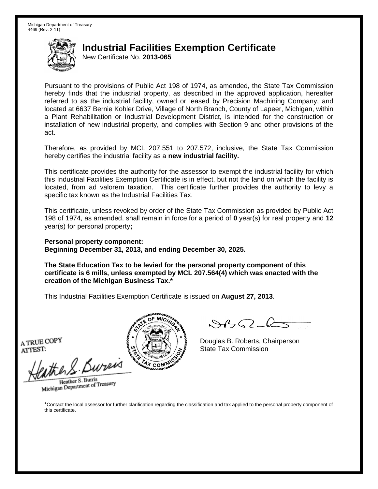New Certificate No. **2013-065**

Pursuant to the provisions of Public Act 198 of 1974, as amended, the State Tax Commission hereby finds that the industrial property, as described in the approved application, hereafter referred to as the industrial facility, owned or leased by Precision Machining Company, and located at 6637 Bernie Kohler Drive, Village of North Branch, County of Lapeer, Michigan, within a Plant Rehabilitation or Industrial Development District, is intended for the construction or installation of new industrial property, and complies with Section 9 and other provisions of the act.

Therefore, as provided by MCL 207.551 to 207.572, inclusive, the State Tax Commission hereby certifies the industrial facility as a **new industrial facility.**

This certificate provides the authority for the assessor to exempt the industrial facility for which this Industrial Facilities Exemption Certificate is in effect, but not the land on which the facility is located, from ad valorem taxation. This certificate further provides the authority to levy a specific tax known as the Industrial Facilities Tax.

This certificate, unless revoked by order of the State Tax Commission as provided by Public Act 198 of 1974, as amended, shall remain in force for a period of **0** year(s) for real property and **12** year(s) for personal property**;**

**Personal property component: Beginning December 31, 2013, and ending December 30, 2025.**

**The State Education Tax to be levied for the personal property component of this certificate is 6 mills, unless exempted by MCL 207.564(4) which was enacted with the creation of the Michigan Business Tax.\***

This Industrial Facilities Exemption Certificate is issued on **August 27, 2013**.

A TRUE COPY ATTEST:

ather S. Buren

Heather S. Burris Heather S. Burns<br>Michigan Department of Treasury



 $8450 - 6$ 

Douglas B. Roberts, Chairperson State Tax Commission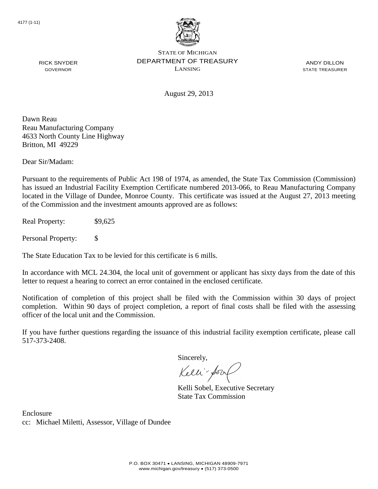

ANDY DILLON STATE TREASURER

August 29, 2013

Dawn Reau Reau Manufacturing Company 4633 North County Line Highway Britton, MI 49229

RICK SNYDER GOVERNOR

Dear Sir/Madam:

Pursuant to the requirements of Public Act 198 of 1974, as amended, the State Tax Commission (Commission) has issued an Industrial Facility Exemption Certificate numbered 2013-066, to Reau Manufacturing Company located in the Village of Dundee, Monroe County. This certificate was issued at the August 27, 2013 meeting of the Commission and the investment amounts approved are as follows:

Real Property:  $$9,625$ 

Personal Property: \$

The State Education Tax to be levied for this certificate is 6 mills.

In accordance with MCL 24.304, the local unit of government or applicant has sixty days from the date of this letter to request a hearing to correct an error contained in the enclosed certificate.

Notification of completion of this project shall be filed with the Commission within 30 days of project completion. Within 90 days of project completion, a report of final costs shall be filed with the assessing officer of the local unit and the Commission.

If you have further questions regarding the issuance of this industrial facility exemption certificate, please call 517-373-2408.

Sincerely,

Kelli-Sorr

Kelli Sobel, Executive Secretary State Tax Commission

Enclosure cc: Michael Miletti, Assessor, Village of Dundee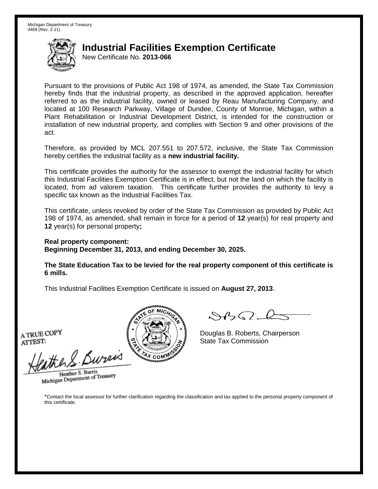New Certificate No. **2013-066**

Pursuant to the provisions of Public Act 198 of 1974, as amended, the State Tax Commission hereby finds that the industrial property, as described in the approved application, hereafter referred to as the industrial facility, owned or leased by Reau Manufacturing Company, and located at 100 Research Parkway, Village of Dundee, County of Monroe, Michigan, within a Plant Rehabilitation or Industrial Development District, is intended for the construction or installation of new industrial property, and complies with Section 9 and other provisions of the act.

Therefore, as provided by MCL 207.551 to 207.572, inclusive, the State Tax Commission hereby certifies the industrial facility as a **new industrial facility.**

This certificate provides the authority for the assessor to exempt the industrial facility for which this Industrial Facilities Exemption Certificate is in effect, but not the land on which the facility is located, from ad valorem taxation. This certificate further provides the authority to levy a specific tax known as the Industrial Facilities Tax.

This certificate, unless revoked by order of the State Tax Commission as provided by Public Act 198 of 1974, as amended, shall remain in force for a period of **12** year(s) for real property and **12** year(s) for personal property**;**

#### **Real property component: Beginning December 31, 2013, and ending December 30, 2025.**

**The State Education Tax to be levied for the real property component of this certificate is 6 mills.**

This Industrial Facilities Exemption Certificate is issued on **August 27, 2013**.

A TRUE COPY ATTEST:

eather & Bureix

Heather S. Burris Heather S. Burns<br>Michigan Department of Treasury



 $84562-6$ 

Douglas B. Roberts, Chairperson State Tax Commission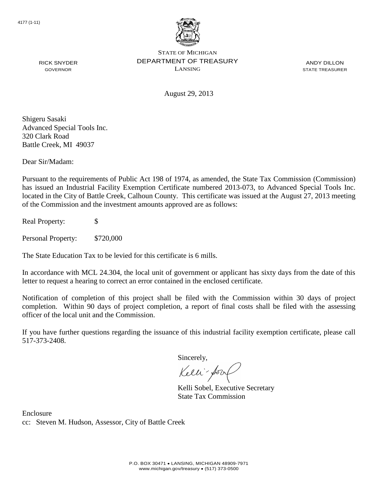

ANDY DILLON STATE TREASURER

August 29, 2013

Shigeru Sasaki Advanced Special Tools Inc. 320 Clark Road Battle Creek, MI 49037

RICK SNYDER GOVERNOR

Dear Sir/Madam:

Pursuant to the requirements of Public Act 198 of 1974, as amended, the State Tax Commission (Commission) has issued an Industrial Facility Exemption Certificate numbered 2013-073, to Advanced Special Tools Inc. located in the City of Battle Creek, Calhoun County. This certificate was issued at the August 27, 2013 meeting of the Commission and the investment amounts approved are as follows:

Real Property: \$

Personal Property: \$720,000

The State Education Tax to be levied for this certificate is 6 mills.

In accordance with MCL 24.304, the local unit of government or applicant has sixty days from the date of this letter to request a hearing to correct an error contained in the enclosed certificate.

Notification of completion of this project shall be filed with the Commission within 30 days of project completion. Within 90 days of project completion, a report of final costs shall be filed with the assessing officer of the local unit and the Commission.

If you have further questions regarding the issuance of this industrial facility exemption certificate, please call 517-373-2408.

Sincerely,

Kelli-Sor

Kelli Sobel, Executive Secretary State Tax Commission

Enclosure cc: Steven M. Hudson, Assessor, City of Battle Creek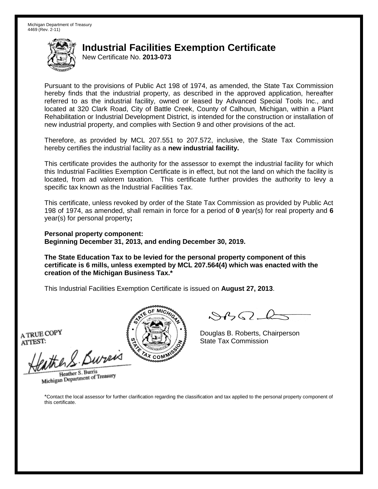New Certificate No. **2013-073**

Pursuant to the provisions of Public Act 198 of 1974, as amended, the State Tax Commission hereby finds that the industrial property, as described in the approved application, hereafter referred to as the industrial facility, owned or leased by Advanced Special Tools Inc., and located at 320 Clark Road, City of Battle Creek, County of Calhoun, Michigan, within a Plant Rehabilitation or Industrial Development District, is intended for the construction or installation of new industrial property, and complies with Section 9 and other provisions of the act.

Therefore, as provided by MCL 207.551 to 207.572, inclusive, the State Tax Commission hereby certifies the industrial facility as a **new industrial facility.**

This certificate provides the authority for the assessor to exempt the industrial facility for which this Industrial Facilities Exemption Certificate is in effect, but not the land on which the facility is located, from ad valorem taxation. This certificate further provides the authority to levy a specific tax known as the Industrial Facilities Tax.

This certificate, unless revoked by order of the State Tax Commission as provided by Public Act 198 of 1974, as amended, shall remain in force for a period of **0** year(s) for real property and **6** year(s) for personal property**;**

**Personal property component: Beginning December 31, 2013, and ending December 30, 2019.**

**The State Education Tax to be levied for the personal property component of this certificate is 6 mills, unless exempted by MCL 207.564(4) which was enacted with the creation of the Michigan Business Tax.\***

This Industrial Facilities Exemption Certificate is issued on **August 27, 2013**.

A TRUE COPY ATTEST:

eather & Bureix

Heather S. Burris Heather S. Burns<br>Michigan Department of Treasury



 $8450 - 6$ 

Douglas B. Roberts, Chairperson State Tax Commission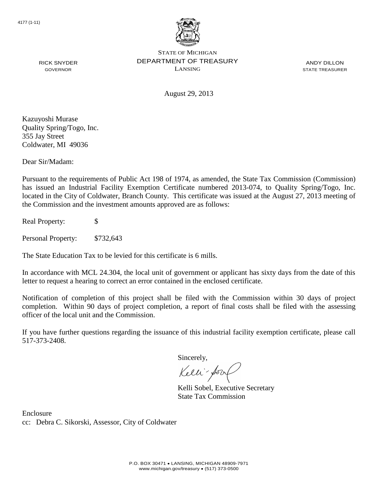

ANDY DILLON STATE TREASURER

August 29, 2013

Kazuyoshi Murase Quality Spring/Togo, Inc. 355 Jay Street Coldwater, MI 49036

RICK SNYDER GOVERNOR

Dear Sir/Madam:

Pursuant to the requirements of Public Act 198 of 1974, as amended, the State Tax Commission (Commission) has issued an Industrial Facility Exemption Certificate numbered 2013-074, to Quality Spring/Togo, Inc. located in the City of Coldwater, Branch County. This certificate was issued at the August 27, 2013 meeting of the Commission and the investment amounts approved are as follows:

Real Property: \$

Personal Property: \$732,643

The State Education Tax to be levied for this certificate is 6 mills.

In accordance with MCL 24.304, the local unit of government or applicant has sixty days from the date of this letter to request a hearing to correct an error contained in the enclosed certificate.

Notification of completion of this project shall be filed with the Commission within 30 days of project completion. Within 90 days of project completion, a report of final costs shall be filed with the assessing officer of the local unit and the Commission.

If you have further questions regarding the issuance of this industrial facility exemption certificate, please call 517-373-2408.

Sincerely,

Kelli-Sor

Kelli Sobel, Executive Secretary State Tax Commission

Enclosure cc: Debra C. Sikorski, Assessor, City of Coldwater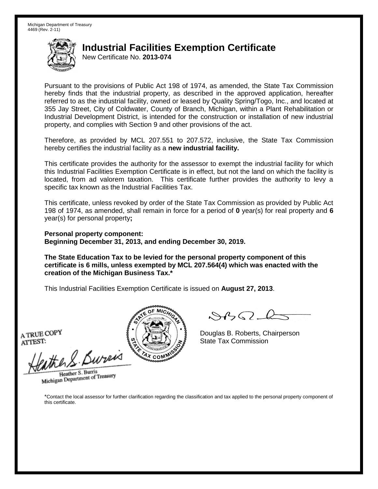New Certificate No. **2013-074**

Pursuant to the provisions of Public Act 198 of 1974, as amended, the State Tax Commission hereby finds that the industrial property, as described in the approved application, hereafter referred to as the industrial facility, owned or leased by Quality Spring/Togo, Inc., and located at 355 Jay Street, City of Coldwater, County of Branch, Michigan, within a Plant Rehabilitation or Industrial Development District, is intended for the construction or installation of new industrial property, and complies with Section 9 and other provisions of the act.

Therefore, as provided by MCL 207.551 to 207.572, inclusive, the State Tax Commission hereby certifies the industrial facility as a **new industrial facility.**

This certificate provides the authority for the assessor to exempt the industrial facility for which this Industrial Facilities Exemption Certificate is in effect, but not the land on which the facility is located, from ad valorem taxation. This certificate further provides the authority to levy a specific tax known as the Industrial Facilities Tax.

This certificate, unless revoked by order of the State Tax Commission as provided by Public Act 198 of 1974, as amended, shall remain in force for a period of **0** year(s) for real property and **6** year(s) for personal property**;**

**Personal property component: Beginning December 31, 2013, and ending December 30, 2019.**

**The State Education Tax to be levied for the personal property component of this certificate is 6 mills, unless exempted by MCL 207.564(4) which was enacted with the creation of the Michigan Business Tax.\***

This Industrial Facilities Exemption Certificate is issued on **August 27, 2013**.

A TRUE COPY ATTEST:

eather & Bureix

Heather S. Burris Heather S. Burns<br>Michigan Department of Treasury



 $8450 - 6$ 

Douglas B. Roberts, Chairperson State Tax Commission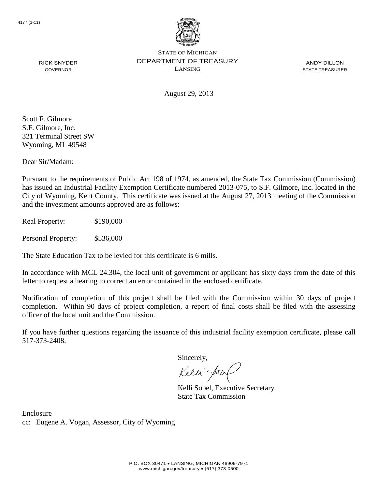

ANDY DILLON STATE TREASURER

August 29, 2013

Scott F. Gilmore S.F. Gilmore, Inc. 321 Terminal Street SW Wyoming, MI 49548

RICK SNYDER GOVERNOR

Dear Sir/Madam:

Pursuant to the requirements of Public Act 198 of 1974, as amended, the State Tax Commission (Commission) has issued an Industrial Facility Exemption Certificate numbered 2013-075, to S.F. Gilmore, Inc. located in the City of Wyoming, Kent County. This certificate was issued at the August 27, 2013 meeting of the Commission and the investment amounts approved are as follows:

Real Property: \$190,000

Personal Property: \$536,000

The State Education Tax to be levied for this certificate is 6 mills.

In accordance with MCL 24.304, the local unit of government or applicant has sixty days from the date of this letter to request a hearing to correct an error contained in the enclosed certificate.

Notification of completion of this project shall be filed with the Commission within 30 days of project completion. Within 90 days of project completion, a report of final costs shall be filed with the assessing officer of the local unit and the Commission.

If you have further questions regarding the issuance of this industrial facility exemption certificate, please call 517-373-2408.

Sincerely,

Kelli-Sor

Kelli Sobel, Executive Secretary State Tax Commission

Enclosure cc: Eugene A. Vogan, Assessor, City of Wyoming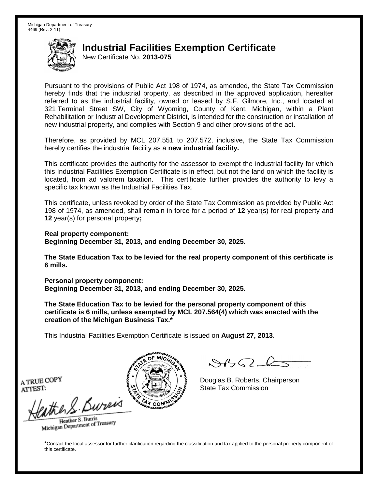New Certificate No. **2013-075**

Pursuant to the provisions of Public Act 198 of 1974, as amended, the State Tax Commission hereby finds that the industrial property, as described in the approved application, hereafter referred to as the industrial facility, owned or leased by S.F. Gilmore, Inc., and located at 321 Terminal Street SW, City of Wyoming, County of Kent, Michigan, within a Plant Rehabilitation or Industrial Development District, is intended for the construction or installation of new industrial property, and complies with Section 9 and other provisions of the act.

Therefore, as provided by MCL 207.551 to 207.572, inclusive, the State Tax Commission hereby certifies the industrial facility as a **new industrial facility.**

This certificate provides the authority for the assessor to exempt the industrial facility for which this Industrial Facilities Exemption Certificate is in effect, but not the land on which the facility is located, from ad valorem taxation. This certificate further provides the authority to levy a specific tax known as the Industrial Facilities Tax.

This certificate, unless revoked by order of the State Tax Commission as provided by Public Act 198 of 1974, as amended, shall remain in force for a period of **12** year(s) for real property and **12** year(s) for personal property**;**

**Real property component: Beginning December 31, 2013, and ending December 30, 2025.**

**The State Education Tax to be levied for the real property component of this certificate is 6 mills.**

**Personal property component: Beginning December 31, 2013, and ending December 30, 2025.**

**The State Education Tax to be levied for the personal property component of this certificate is 6 mills, unless exempted by MCL 207.564(4) which was enacted with the creation of the Michigan Business Tax.\***

This Industrial Facilities Exemption Certificate is issued on **August 27, 2013**.

 $882 - 6$ 

Douglas B. Roberts, Chairperson State Tax Commission

A TRUE COPY ATTEST:

eather & Burn

Heather S. Burris Heather S. Buris<br>Michigan Department of Treasury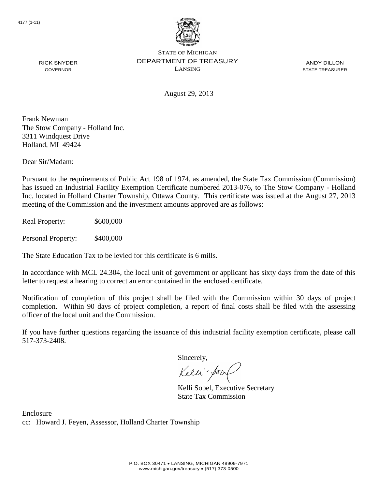

ANDY DILLON STATE TREASURER

August 29, 2013

Frank Newman The Stow Company - Holland Inc. 3311 Windquest Drive Holland, MI 49424

RICK SNYDER GOVERNOR

Dear Sir/Madam:

Pursuant to the requirements of Public Act 198 of 1974, as amended, the State Tax Commission (Commission) has issued an Industrial Facility Exemption Certificate numbered 2013-076, to The Stow Company - Holland Inc. located in Holland Charter Township, Ottawa County. This certificate was issued at the August 27, 2013 meeting of the Commission and the investment amounts approved are as follows:

Real Property: \$600,000

Personal Property: \$400,000

The State Education Tax to be levied for this certificate is 6 mills.

In accordance with MCL 24.304, the local unit of government or applicant has sixty days from the date of this letter to request a hearing to correct an error contained in the enclosed certificate.

Notification of completion of this project shall be filed with the Commission within 30 days of project completion. Within 90 days of project completion, a report of final costs shall be filed with the assessing officer of the local unit and the Commission.

If you have further questions regarding the issuance of this industrial facility exemption certificate, please call 517-373-2408.

Sincerely,

Kelli-Sorr

Kelli Sobel, Executive Secretary State Tax Commission

Enclosure cc: Howard J. Feyen, Assessor, Holland Charter Township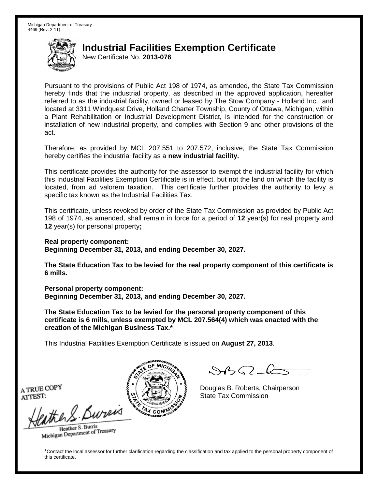New Certificate No. **2013-076**

Pursuant to the provisions of Public Act 198 of 1974, as amended, the State Tax Commission hereby finds that the industrial property, as described in the approved application, hereafter referred to as the industrial facility, owned or leased by The Stow Company - Holland Inc., and located at 3311 Windquest Drive, Holland Charter Township, County of Ottawa, Michigan, within a Plant Rehabilitation or Industrial Development District, is intended for the construction or installation of new industrial property, and complies with Section 9 and other provisions of the act.

Therefore, as provided by MCL 207.551 to 207.572, inclusive, the State Tax Commission hereby certifies the industrial facility as a **new industrial facility.**

This certificate provides the authority for the assessor to exempt the industrial facility for which this Industrial Facilities Exemption Certificate is in effect, but not the land on which the facility is located, from ad valorem taxation. This certificate further provides the authority to levy a specific tax known as the Industrial Facilities Tax.

This certificate, unless revoked by order of the State Tax Commission as provided by Public Act 198 of 1974, as amended, shall remain in force for a period of **12** year(s) for real property and **12** year(s) for personal property**;**

**Real property component:**

**Beginning December 31, 2013, and ending December 30, 2027.**

**The State Education Tax to be levied for the real property component of this certificate is 6 mills.**

**Personal property component: Beginning December 31, 2013, and ending December 30, 2027.**

**The State Education Tax to be levied for the personal property component of this certificate is 6 mills, unless exempted by MCL 207.564(4) which was enacted with the creation of the Michigan Business Tax.\***

This Industrial Facilities Exemption Certificate is issued on **August 27, 2013**.

 $\mathcal{A}_{\mathcal{A}}\Omega$ 

Douglas B. Roberts, Chairperson State Tax Commission

A TRUE COPY ATTEST:

the S. Bureis

Heather S. Burris Heather S. Buris<br>Michigan Department of Treasury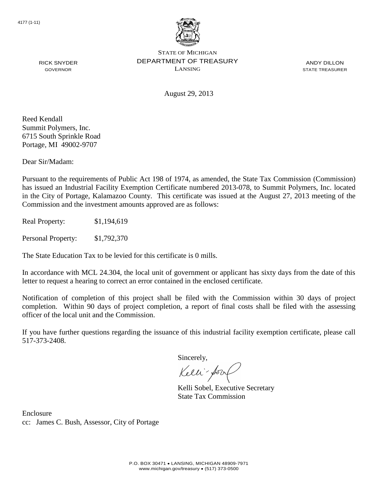

ANDY DILLON STATE TREASURER

RICK SNYDER GOVERNOR

August 29, 2013

Reed Kendall Summit Polymers, Inc. 6715 South Sprinkle Road Portage, MI 49002-9707

Dear Sir/Madam:

Pursuant to the requirements of Public Act 198 of 1974, as amended, the State Tax Commission (Commission) has issued an Industrial Facility Exemption Certificate numbered 2013-078, to Summit Polymers, Inc. located in the City of Portage, Kalamazoo County. This certificate was issued at the August 27, 2013 meeting of the Commission and the investment amounts approved are as follows:

Real Property: \$1,194,619

Personal Property: \$1,792,370

The State Education Tax to be levied for this certificate is 0 mills.

In accordance with MCL 24.304, the local unit of government or applicant has sixty days from the date of this letter to request a hearing to correct an error contained in the enclosed certificate.

Notification of completion of this project shall be filed with the Commission within 30 days of project completion. Within 90 days of project completion, a report of final costs shall be filed with the assessing officer of the local unit and the Commission.

If you have further questions regarding the issuance of this industrial facility exemption certificate, please call 517-373-2408.

Sincerely,

Kelli-Sor

Kelli Sobel, Executive Secretary State Tax Commission

Enclosure cc: James C. Bush, Assessor, City of Portage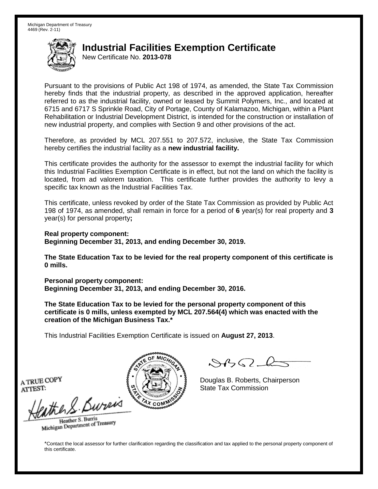New Certificate No. **2013-078**

Pursuant to the provisions of Public Act 198 of 1974, as amended, the State Tax Commission hereby finds that the industrial property, as described in the approved application, hereafter referred to as the industrial facility, owned or leased by Summit Polymers, Inc., and located at 6715 and 6717 S Sprinkle Road, City of Portage, County of Kalamazoo, Michigan, within a Plant Rehabilitation or Industrial Development District, is intended for the construction or installation of new industrial property, and complies with Section 9 and other provisions of the act.

Therefore, as provided by MCL 207.551 to 207.572, inclusive, the State Tax Commission hereby certifies the industrial facility as a **new industrial facility.**

This certificate provides the authority for the assessor to exempt the industrial facility for which this Industrial Facilities Exemption Certificate is in effect, but not the land on which the facility is located, from ad valorem taxation. This certificate further provides the authority to levy a specific tax known as the Industrial Facilities Tax.

This certificate, unless revoked by order of the State Tax Commission as provided by Public Act 198 of 1974, as amended, shall remain in force for a period of **6** year(s) for real property and **3** year(s) for personal property**;**

**Real property component: Beginning December 31, 2013, and ending December 30, 2019.**

**The State Education Tax to be levied for the real property component of this certificate is 0 mills.**

**Personal property component: Beginning December 31, 2013, and ending December 30, 2016.**

**The State Education Tax to be levied for the personal property component of this certificate is 0 mills, unless exempted by MCL 207.564(4) which was enacted with the creation of the Michigan Business Tax.\***

This Industrial Facilities Exemption Certificate is issued on **August 27, 2013**.

 $882 - 6$ 

Douglas B. Roberts, Chairperson State Tax Commission

A TRUE COPY ATTEST:

eather & Burn

Heather S. Burris Heather S. Buris<br>Michigan Department of Treasury

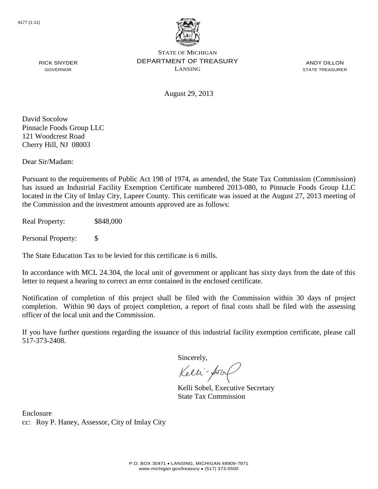

ANDY DILLON STATE TREASURER

RICK SNYDER GOVERNOR

August 29, 2013

David Socolow Pinnacle Foods Group LLC 121 Woodcrest Road Cherry Hill, NJ 08003

Dear Sir/Madam:

Pursuant to the requirements of Public Act 198 of 1974, as amended, the State Tax Commission (Commission) has issued an Industrial Facility Exemption Certificate numbered 2013-080, to Pinnacle Foods Group LLC located in the City of Imlay City, Lapeer County. This certificate was issued at the August 27, 2013 meeting of the Commission and the investment amounts approved are as follows:

Real Property: \$848,000

Personal Property: \$

The State Education Tax to be levied for this certificate is 6 mills.

In accordance with MCL 24.304, the local unit of government or applicant has sixty days from the date of this letter to request a hearing to correct an error contained in the enclosed certificate.

Notification of completion of this project shall be filed with the Commission within 30 days of project completion. Within 90 days of project completion, a report of final costs shall be filed with the assessing officer of the local unit and the Commission.

If you have further questions regarding the issuance of this industrial facility exemption certificate, please call 517-373-2408.

Sincerely,

Kelli-Sor

Kelli Sobel, Executive Secretary State Tax Commission

Enclosure cc: Roy P. Haney, Assessor, City of Imlay City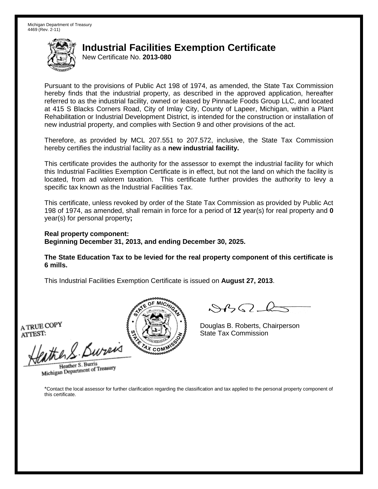New Certificate No. **2013-080**

Pursuant to the provisions of Public Act 198 of 1974, as amended, the State Tax Commission hereby finds that the industrial property, as described in the approved application, hereafter referred to as the industrial facility, owned or leased by Pinnacle Foods Group LLC, and located at 415 S Blacks Corners Road, City of Imlay City, County of Lapeer, Michigan, within a Plant Rehabilitation or Industrial Development District, is intended for the construction or installation of new industrial property, and complies with Section 9 and other provisions of the act.

Therefore, as provided by MCL 207.551 to 207.572, inclusive, the State Tax Commission hereby certifies the industrial facility as a **new industrial facility.**

This certificate provides the authority for the assessor to exempt the industrial facility for which this Industrial Facilities Exemption Certificate is in effect, but not the land on which the facility is located, from ad valorem taxation. This certificate further provides the authority to levy a specific tax known as the Industrial Facilities Tax.

This certificate, unless revoked by order of the State Tax Commission as provided by Public Act 198 of 1974, as amended, shall remain in force for a period of **12** year(s) for real property and **0** year(s) for personal property**;**

**Real property component: Beginning December 31, 2013, and ending December 30, 2025.**

**The State Education Tax to be levied for the real property component of this certificate is 6 mills.**

This Industrial Facilities Exemption Certificate is issued on **August 27, 2013**.

A TRUE COPY ATTEST:

then S. Burei

Heather S. Burris Heather S. Burns<br>Michigan Department of Treasury



 $\mathcal{A}$ 

Douglas B. Roberts, Chairperson State Tax Commission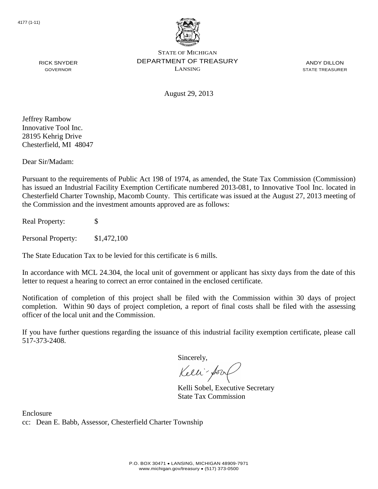

ANDY DILLON STATE TREASURER

August 29, 2013

Jeffrey Rambow Innovative Tool Inc. 28195 Kehrig Drive Chesterfield, MI 48047

RICK SNYDER GOVERNOR

Dear Sir/Madam:

Pursuant to the requirements of Public Act 198 of 1974, as amended, the State Tax Commission (Commission) has issued an Industrial Facility Exemption Certificate numbered 2013-081, to Innovative Tool Inc. located in Chesterfield Charter Township, Macomb County. This certificate was issued at the August 27, 2013 meeting of the Commission and the investment amounts approved are as follows:

Real Property: \$

Personal Property: \$1,472,100

The State Education Tax to be levied for this certificate is 6 mills.

In accordance with MCL 24.304, the local unit of government or applicant has sixty days from the date of this letter to request a hearing to correct an error contained in the enclosed certificate.

Notification of completion of this project shall be filed with the Commission within 30 days of project completion. Within 90 days of project completion, a report of final costs shall be filed with the assessing officer of the local unit and the Commission.

If you have further questions regarding the issuance of this industrial facility exemption certificate, please call 517-373-2408.

Sincerely,

Kelli-Sorr

Kelli Sobel, Executive Secretary State Tax Commission

Enclosure cc: Dean E. Babb, Assessor, Chesterfield Charter Township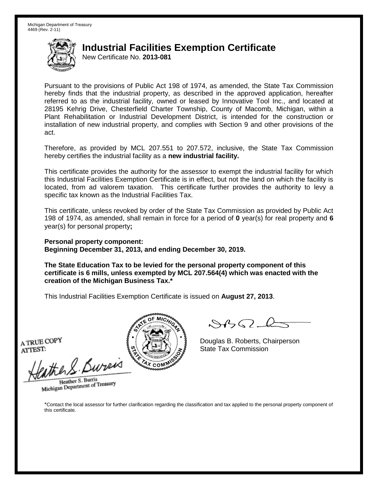New Certificate No. **2013-081**

Pursuant to the provisions of Public Act 198 of 1974, as amended, the State Tax Commission hereby finds that the industrial property, as described in the approved application, hereafter referred to as the industrial facility, owned or leased by Innovative Tool Inc., and located at 28195 Kehrig Drive, Chesterfield Charter Township, County of Macomb, Michigan, within a Plant Rehabilitation or Industrial Development District, is intended for the construction or installation of new industrial property, and complies with Section 9 and other provisions of the act.

Therefore, as provided by MCL 207.551 to 207.572, inclusive, the State Tax Commission hereby certifies the industrial facility as a **new industrial facility.**

This certificate provides the authority for the assessor to exempt the industrial facility for which this Industrial Facilities Exemption Certificate is in effect, but not the land on which the facility is located, from ad valorem taxation. This certificate further provides the authority to levy a specific tax known as the Industrial Facilities Tax.

This certificate, unless revoked by order of the State Tax Commission as provided by Public Act 198 of 1974, as amended, shall remain in force for a period of **0** year(s) for real property and **6** year(s) for personal property**;**

**Personal property component: Beginning December 31, 2013, and ending December 30, 2019.**

**The State Education Tax to be levied for the personal property component of this certificate is 6 mills, unless exempted by MCL 207.564(4) which was enacted with the creation of the Michigan Business Tax.\***

This Industrial Facilities Exemption Certificate is issued on **August 27, 2013**.

A TRUE COPY ATTEST:

ather S. Buren

Heather S. Burris Heather S. Burns<br>Michigan Department of Treasury



 $8450 - 6$ 

Douglas B. Roberts, Chairperson State Tax Commission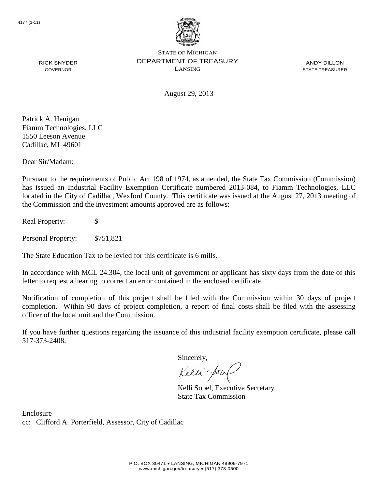

ANDY DILLON STATE TREASURER

RICK SNYDER GOVERNOR

August 29, 2013

Patrick A. Henigan Fiamm Technologies, LLC 1550 Leeson Avenue Cadillac, MI 49601

Dear Sir/Madam:

Pursuant to the requirements of Public Act 198 of 1974, as amended, the State Tax Commission (Commission) has issued an Industrial Facility Exemption Certificate numbered 2013-084, to Fiamm Technologies, LLC located in the City of Cadillac, Wexford County. This certificate was issued at the August 27, 2013 meeting of the Commission and the investment amounts approved are as follows:

Real Property: \$

Personal Property: \$751,821

The State Education Tax to be levied for this certificate is 6 mills.

In accordance with MCL 24.304, the local unit of government or applicant has sixty days from the date of this letter to request a hearing to correct an error contained in the enclosed certificate.

Notification of completion of this project shall be filed with the Commission within 30 days of project completion. Within 90 days of project completion, a report of final costs shall be filed with the assessing officer of the local unit and the Commission.

If you have further questions regarding the issuance of this industrial facility exemption certificate, please call 517-373-2408.

Sincerely,

Kelli-Sor

Kelli Sobel, Executive Secretary State Tax Commission

Enclosure cc: Clifford A. Porterfield, Assessor, City of Cadillac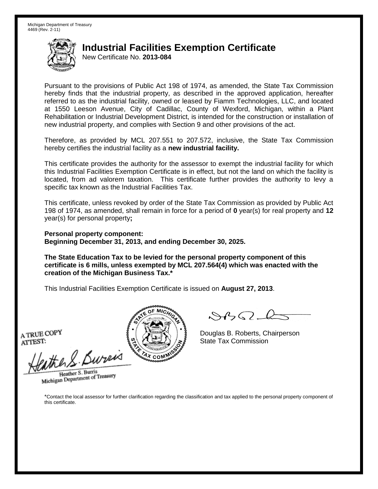New Certificate No. **2013-084**

Pursuant to the provisions of Public Act 198 of 1974, as amended, the State Tax Commission hereby finds that the industrial property, as described in the approved application, hereafter referred to as the industrial facility, owned or leased by Fiamm Technologies, LLC, and located at 1550 Leeson Avenue, City of Cadillac, County of Wexford, Michigan, within a Plant Rehabilitation or Industrial Development District, is intended for the construction or installation of new industrial property, and complies with Section 9 and other provisions of the act.

Therefore, as provided by MCL 207.551 to 207.572, inclusive, the State Tax Commission hereby certifies the industrial facility as a **new industrial facility.**

This certificate provides the authority for the assessor to exempt the industrial facility for which this Industrial Facilities Exemption Certificate is in effect, but not the land on which the facility is located, from ad valorem taxation. This certificate further provides the authority to levy a specific tax known as the Industrial Facilities Tax.

This certificate, unless revoked by order of the State Tax Commission as provided by Public Act 198 of 1974, as amended, shall remain in force for a period of **0** year(s) for real property and **12** year(s) for personal property**;**

**Personal property component: Beginning December 31, 2013, and ending December 30, 2025.**

**The State Education Tax to be levied for the personal property component of this certificate is 6 mills, unless exempted by MCL 207.564(4) which was enacted with the creation of the Michigan Business Tax.\***

This Industrial Facilities Exemption Certificate is issued on **August 27, 2013**.

A TRUE COPY ATTEST:

eather & Bureix

Heather S. Burris Heather S. Burns<br>Michigan Department of Treasury



 $8450 - 6$ 

Douglas B. Roberts, Chairperson State Tax Commission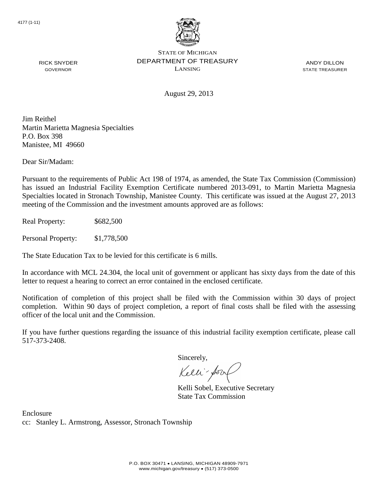

ANDY DILLON STATE TREASURER

August 29, 2013

Jim Reithel Martin Marietta Magnesia Specialties P.O. Box 398 Manistee, MI 49660

Dear Sir/Madam:

RICK SNYDER GOVERNOR

Pursuant to the requirements of Public Act 198 of 1974, as amended, the State Tax Commission (Commission) has issued an Industrial Facility Exemption Certificate numbered 2013-091, to Martin Marietta Magnesia Specialties located in Stronach Township, Manistee County. This certificate was issued at the August 27, 2013 meeting of the Commission and the investment amounts approved are as follows:

Real Property: \$682,500

Personal Property: \$1,778,500

The State Education Tax to be levied for this certificate is 6 mills.

In accordance with MCL 24.304, the local unit of government or applicant has sixty days from the date of this letter to request a hearing to correct an error contained in the enclosed certificate.

Notification of completion of this project shall be filed with the Commission within 30 days of project completion. Within 90 days of project completion, a report of final costs shall be filed with the assessing officer of the local unit and the Commission.

If you have further questions regarding the issuance of this industrial facility exemption certificate, please call 517-373-2408.

Sincerely,

Kelli-Sorr

Kelli Sobel, Executive Secretary State Tax Commission

Enclosure cc: Stanley L. Armstrong, Assessor, Stronach Township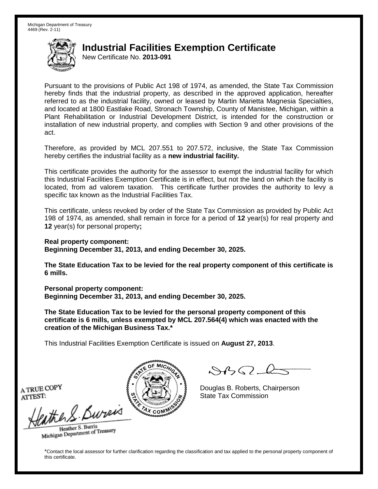New Certificate No. **2013-091**

Pursuant to the provisions of Public Act 198 of 1974, as amended, the State Tax Commission hereby finds that the industrial property, as described in the approved application, hereafter referred to as the industrial facility, owned or leased by Martin Marietta Magnesia Specialties, and located at 1800 Eastlake Road, Stronach Township, County of Manistee, Michigan, within a Plant Rehabilitation or Industrial Development District, is intended for the construction or installation of new industrial property, and complies with Section 9 and other provisions of the act.

Therefore, as provided by MCL 207.551 to 207.572, inclusive, the State Tax Commission hereby certifies the industrial facility as a **new industrial facility.**

This certificate provides the authority for the assessor to exempt the industrial facility for which this Industrial Facilities Exemption Certificate is in effect, but not the land on which the facility is located, from ad valorem taxation. This certificate further provides the authority to levy a specific tax known as the Industrial Facilities Tax.

This certificate, unless revoked by order of the State Tax Commission as provided by Public Act 198 of 1974, as amended, shall remain in force for a period of **12** year(s) for real property and **12** year(s) for personal property**;**

**Real property component:**

**Beginning December 31, 2013, and ending December 30, 2025.**

**The State Education Tax to be levied for the real property component of this certificate is 6 mills.**

**Personal property component: Beginning December 31, 2013, and ending December 30, 2025.**

**The State Education Tax to be levied for the personal property component of this certificate is 6 mills, unless exempted by MCL 207.564(4) which was enacted with the creation of the Michigan Business Tax.\***

This Industrial Facilities Exemption Certificate is issued on **August 27, 2013**.

 $\mathcal{A}_{\mathcal{A}}\Omega$ 

Douglas B. Roberts, Chairperson State Tax Commission

A TRUE COPY ATTEST:

the S. Bureis

Heather S. Burris Heather S. Buris<br>Michigan Department of Treasury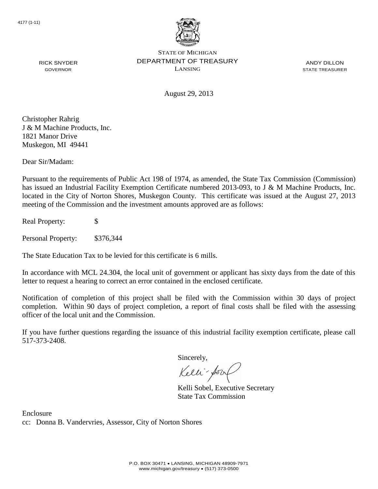

ANDY DILLON STATE TREASURER

August 29, 2013

Christopher Rahrig J & M Machine Products, Inc. 1821 Manor Drive Muskegon, MI 49441

RICK SNYDER GOVERNOR

Dear Sir/Madam:

Pursuant to the requirements of Public Act 198 of 1974, as amended, the State Tax Commission (Commission) has issued an Industrial Facility Exemption Certificate numbered 2013-093, to J & M Machine Products, Inc. located in the City of Norton Shores, Muskegon County. This certificate was issued at the August 27, 2013 meeting of the Commission and the investment amounts approved are as follows:

Real Property: \$

Personal Property: \$376,344

The State Education Tax to be levied for this certificate is 6 mills.

In accordance with MCL 24.304, the local unit of government or applicant has sixty days from the date of this letter to request a hearing to correct an error contained in the enclosed certificate.

Notification of completion of this project shall be filed with the Commission within 30 days of project completion. Within 90 days of project completion, a report of final costs shall be filed with the assessing officer of the local unit and the Commission.

If you have further questions regarding the issuance of this industrial facility exemption certificate, please call 517-373-2408.

Sincerely,

Kelli-Sorr

Kelli Sobel, Executive Secretary State Tax Commission

Enclosure cc: Donna B. Vandervries, Assessor, City of Norton Shores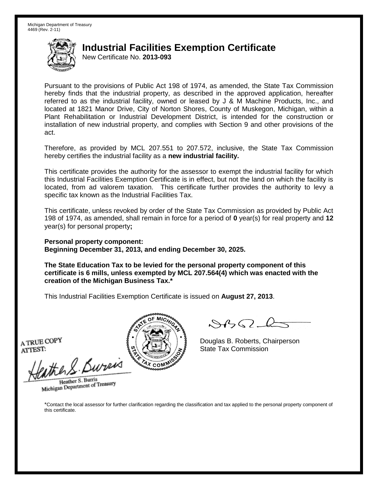New Certificate No. **2013-093**

Pursuant to the provisions of Public Act 198 of 1974, as amended, the State Tax Commission hereby finds that the industrial property, as described in the approved application, hereafter referred to as the industrial facility, owned or leased by J & M Machine Products, Inc., and located at 1821 Manor Drive, City of Norton Shores, County of Muskegon, Michigan, within a Plant Rehabilitation or Industrial Development District, is intended for the construction or installation of new industrial property, and complies with Section 9 and other provisions of the act.

Therefore, as provided by MCL 207.551 to 207.572, inclusive, the State Tax Commission hereby certifies the industrial facility as a **new industrial facility.**

This certificate provides the authority for the assessor to exempt the industrial facility for which this Industrial Facilities Exemption Certificate is in effect, but not the land on which the facility is located, from ad valorem taxation. This certificate further provides the authority to levy a specific tax known as the Industrial Facilities Tax.

This certificate, unless revoked by order of the State Tax Commission as provided by Public Act 198 of 1974, as amended, shall remain in force for a period of **0** year(s) for real property and **12** year(s) for personal property**;**

**Personal property component: Beginning December 31, 2013, and ending December 30, 2025.**

**The State Education Tax to be levied for the personal property component of this certificate is 6 mills, unless exempted by MCL 207.564(4) which was enacted with the creation of the Michigan Business Tax.\***

This Industrial Facilities Exemption Certificate is issued on **August 27, 2013**.

A TRUE COPY ATTEST:

ather S. Buren

Heather S. Burris Heather S. Burns<br>Michigan Department of Treasury



Douglas B. Roberts, Chairperson State Tax Commission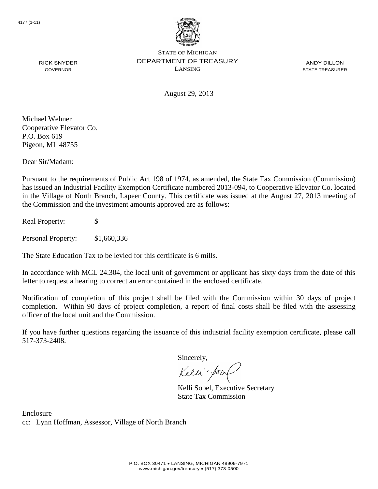

ANDY DILLON STATE TREASURER

August 29, 2013

Michael Wehner Cooperative Elevator Co. P.O. Box 619 Pigeon, MI 48755

RICK SNYDER GOVERNOR

Dear Sir/Madam:

Pursuant to the requirements of Public Act 198 of 1974, as amended, the State Tax Commission (Commission) has issued an Industrial Facility Exemption Certificate numbered 2013-094, to Cooperative Elevator Co. located in the Village of North Branch, Lapeer County. This certificate was issued at the August 27, 2013 meeting of the Commission and the investment amounts approved are as follows:

Real Property: \$

Personal Property: \$1,660,336

The State Education Tax to be levied for this certificate is 6 mills.

In accordance with MCL 24.304, the local unit of government or applicant has sixty days from the date of this letter to request a hearing to correct an error contained in the enclosed certificate.

Notification of completion of this project shall be filed with the Commission within 30 days of project completion. Within 90 days of project completion, a report of final costs shall be filed with the assessing officer of the local unit and the Commission.

If you have further questions regarding the issuance of this industrial facility exemption certificate, please call 517-373-2408.

Sincerely,

Kelli-Sorr

Kelli Sobel, Executive Secretary State Tax Commission

Enclosure cc: Lynn Hoffman, Assessor, Village of North Branch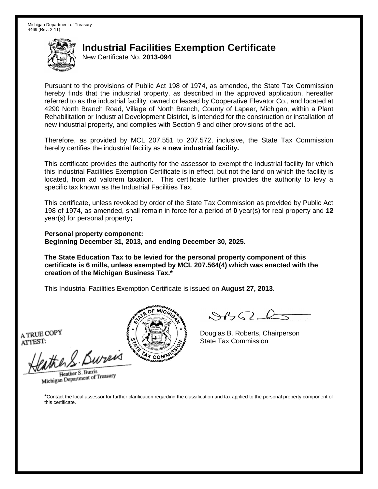New Certificate No. **2013-094**

Pursuant to the provisions of Public Act 198 of 1974, as amended, the State Tax Commission hereby finds that the industrial property, as described in the approved application, hereafter referred to as the industrial facility, owned or leased by Cooperative Elevator Co., and located at 4290 North Branch Road, Village of North Branch, County of Lapeer, Michigan, within a Plant Rehabilitation or Industrial Development District, is intended for the construction or installation of new industrial property, and complies with Section 9 and other provisions of the act.

Therefore, as provided by MCL 207.551 to 207.572, inclusive, the State Tax Commission hereby certifies the industrial facility as a **new industrial facility.**

This certificate provides the authority for the assessor to exempt the industrial facility for which this Industrial Facilities Exemption Certificate is in effect, but not the land on which the facility is located, from ad valorem taxation. This certificate further provides the authority to levy a specific tax known as the Industrial Facilities Tax.

This certificate, unless revoked by order of the State Tax Commission as provided by Public Act 198 of 1974, as amended, shall remain in force for a period of **0** year(s) for real property and **12** year(s) for personal property**;**

**Personal property component: Beginning December 31, 2013, and ending December 30, 2025.**

**The State Education Tax to be levied for the personal property component of this certificate is 6 mills, unless exempted by MCL 207.564(4) which was enacted with the creation of the Michigan Business Tax.\***

This Industrial Facilities Exemption Certificate is issued on **August 27, 2013**.

A TRUE COPY ATTEST:

eather & Bureix

Heather S. Burris Heather S. Burns<br>Michigan Department of Treasury



 $8450 - 6$ 

Douglas B. Roberts, Chairperson State Tax Commission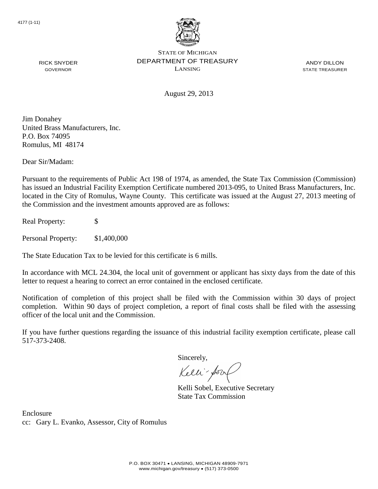

ANDY DILLON STATE TREASURER

August 29, 2013

Jim Donahey United Brass Manufacturers, Inc. P.O. Box 74095 Romulus, MI 48174

RICK SNYDER GOVERNOR

Dear Sir/Madam:

Pursuant to the requirements of Public Act 198 of 1974, as amended, the State Tax Commission (Commission) has issued an Industrial Facility Exemption Certificate numbered 2013-095, to United Brass Manufacturers, Inc. located in the City of Romulus, Wayne County. This certificate was issued at the August 27, 2013 meeting of the Commission and the investment amounts approved are as follows:

Real Property: \$

Personal Property: \$1,400,000

The State Education Tax to be levied for this certificate is 6 mills.

In accordance with MCL 24.304, the local unit of government or applicant has sixty days from the date of this letter to request a hearing to correct an error contained in the enclosed certificate.

Notification of completion of this project shall be filed with the Commission within 30 days of project completion. Within 90 days of project completion, a report of final costs shall be filed with the assessing officer of the local unit and the Commission.

If you have further questions regarding the issuance of this industrial facility exemption certificate, please call 517-373-2408.

Sincerely,

Kelli-Sorr

Kelli Sobel, Executive Secretary State Tax Commission

Enclosure cc: Gary L. Evanko, Assessor, City of Romulus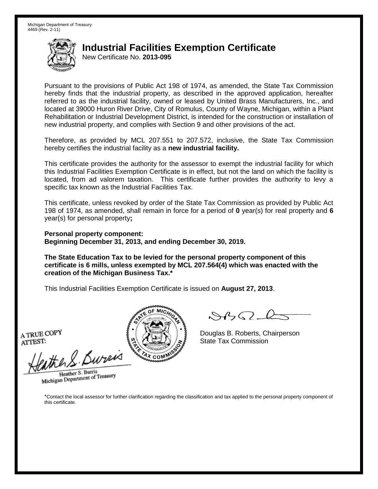New Certificate No. **2013-095**

Pursuant to the provisions of Public Act 198 of 1974, as amended, the State Tax Commission hereby finds that the industrial property, as described in the approved application, hereafter referred to as the industrial facility, owned or leased by United Brass Manufacturers, Inc., and located at 39000 Huron River Drive, City of Romulus, County of Wayne, Michigan, within a Plant Rehabilitation or Industrial Development District, is intended for the construction or installation of new industrial property, and complies with Section 9 and other provisions of the act.

Therefore, as provided by MCL 207.551 to 207.572, inclusive, the State Tax Commission hereby certifies the industrial facility as a **new industrial facility.**

This certificate provides the authority for the assessor to exempt the industrial facility for which this Industrial Facilities Exemption Certificate is in effect, but not the land on which the facility is located, from ad valorem taxation. This certificate further provides the authority to levy a specific tax known as the Industrial Facilities Tax.

This certificate, unless revoked by order of the State Tax Commission as provided by Public Act 198 of 1974, as amended, shall remain in force for a period of **0** year(s) for real property and **6** year(s) for personal property**;**

**Personal property component: Beginning December 31, 2013, and ending December 30, 2019.**

**The State Education Tax to be levied for the personal property component of this certificate is 6 mills, unless exempted by MCL 207.564(4) which was enacted with the creation of the Michigan Business Tax.\***

This Industrial Facilities Exemption Certificate is issued on **August 27, 2013**.

A TRUE COPY ATTEST:

eather & Bureix

Heather S. Burris Heather S. Burns<br>Michigan Department of Treasury



 $8450 - 6$ 

Douglas B. Roberts, Chairperson State Tax Commission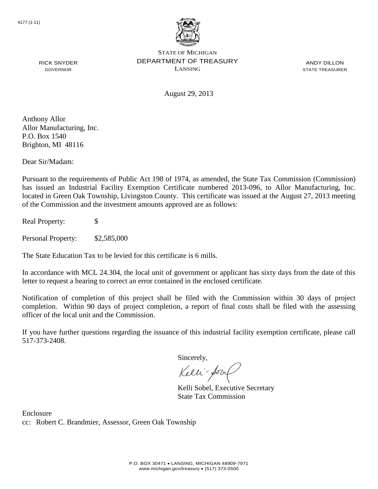

ANDY DILLON STATE TREASURER

August 29, 2013

Anthony Allor Allor Manufacturing, Inc. P.O. Box 1540 Brighton, MI 48116

RICK SNYDER GOVERNOR

Dear Sir/Madam:

Pursuant to the requirements of Public Act 198 of 1974, as amended, the State Tax Commission (Commission) has issued an Industrial Facility Exemption Certificate numbered 2013-096, to Allor Manufacturing, Inc. located in Green Oak Township, Livingston County. This certificate was issued at the August 27, 2013 meeting of the Commission and the investment amounts approved are as follows:

Real Property: \$

Personal Property: \$2,585,000

The State Education Tax to be levied for this certificate is 6 mills.

In accordance with MCL 24.304, the local unit of government or applicant has sixty days from the date of this letter to request a hearing to correct an error contained in the enclosed certificate.

Notification of completion of this project shall be filed with the Commission within 30 days of project completion. Within 90 days of project completion, a report of final costs shall be filed with the assessing officer of the local unit and the Commission.

If you have further questions regarding the issuance of this industrial facility exemption certificate, please call 517-373-2408.

Sincerely,

Kelli-Sorr

Kelli Sobel, Executive Secretary State Tax Commission

Enclosure cc: Robert C. Brandmier, Assessor, Green Oak Township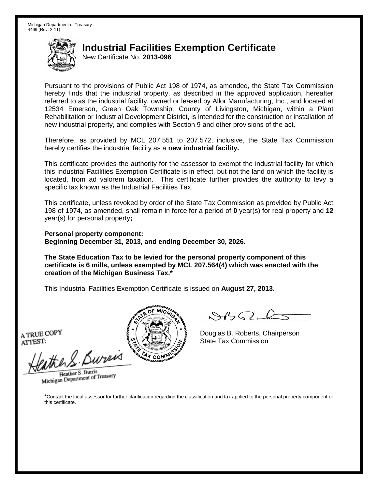New Certificate No. **2013-096**

Pursuant to the provisions of Public Act 198 of 1974, as amended, the State Tax Commission hereby finds that the industrial property, as described in the approved application, hereafter referred to as the industrial facility, owned or leased by Allor Manufacturing, Inc., and located at 12534 Emerson, Green Oak Township, County of Livingston, Michigan, within a Plant Rehabilitation or Industrial Development District, is intended for the construction or installation of new industrial property, and complies with Section 9 and other provisions of the act.

Therefore, as provided by MCL 207.551 to 207.572, inclusive, the State Tax Commission hereby certifies the industrial facility as a **new industrial facility.**

This certificate provides the authority for the assessor to exempt the industrial facility for which this Industrial Facilities Exemption Certificate is in effect, but not the land on which the facility is located, from ad valorem taxation. This certificate further provides the authority to levy a specific tax known as the Industrial Facilities Tax.

This certificate, unless revoked by order of the State Tax Commission as provided by Public Act 198 of 1974, as amended, shall remain in force for a period of **0** year(s) for real property and **12** year(s) for personal property**;**

**Personal property component: Beginning December 31, 2013, and ending December 30, 2026.**

**The State Education Tax to be levied for the personal property component of this certificate is 6 mills, unless exempted by MCL 207.564(4) which was enacted with the creation of the Michigan Business Tax.\***

This Industrial Facilities Exemption Certificate is issued on **August 27, 2013**.

A TRUE COPY ATTEST:

eather & Bureix

Heather S. Burris Heather S. Burns<br>Michigan Department of Treasury



 $8450 - 6$ 

Douglas B. Roberts, Chairperson State Tax Commission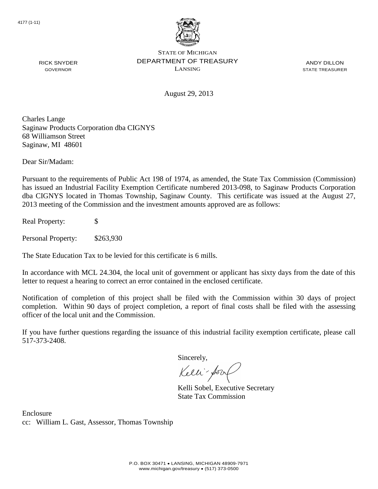

ANDY DILLON STATE TREASURER

August 29, 2013

Charles Lange Saginaw Products Corporation dba CIGNYS 68 Williamson Street Saginaw, MI 48601

Dear Sir/Madam:

RICK SNYDER GOVERNOR

Pursuant to the requirements of Public Act 198 of 1974, as amended, the State Tax Commission (Commission) has issued an Industrial Facility Exemption Certificate numbered 2013-098, to Saginaw Products Corporation dba CIGNYS located in Thomas Township, Saginaw County. This certificate was issued at the August 27, 2013 meeting of the Commission and the investment amounts approved are as follows:

Real Property: \$

Personal Property: \$263,930

The State Education Tax to be levied for this certificate is 6 mills.

In accordance with MCL 24.304, the local unit of government or applicant has sixty days from the date of this letter to request a hearing to correct an error contained in the enclosed certificate.

Notification of completion of this project shall be filed with the Commission within 30 days of project completion. Within 90 days of project completion, a report of final costs shall be filed with the assessing officer of the local unit and the Commission.

If you have further questions regarding the issuance of this industrial facility exemption certificate, please call 517-373-2408.

Sincerely,

Kelli-Sorr

Kelli Sobel, Executive Secretary State Tax Commission

Enclosure cc: William L. Gast, Assessor, Thomas Township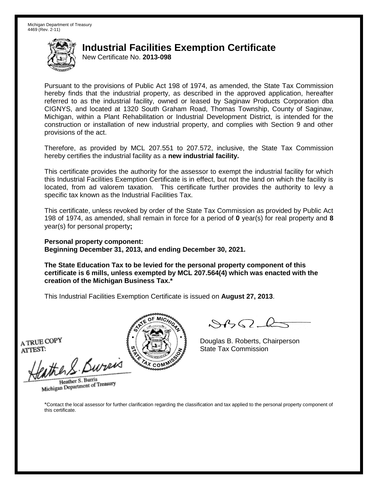New Certificate No. **2013-098**

Pursuant to the provisions of Public Act 198 of 1974, as amended, the State Tax Commission hereby finds that the industrial property, as described in the approved application, hereafter referred to as the industrial facility, owned or leased by Saginaw Products Corporation dba CIGNYS, and located at 1320 South Graham Road, Thomas Township, County of Saginaw, Michigan, within a Plant Rehabilitation or Industrial Development District, is intended for the construction or installation of new industrial property, and complies with Section 9 and other provisions of the act.

Therefore, as provided by MCL 207.551 to 207.572, inclusive, the State Tax Commission hereby certifies the industrial facility as a **new industrial facility.**

This certificate provides the authority for the assessor to exempt the industrial facility for which this Industrial Facilities Exemption Certificate is in effect, but not the land on which the facility is located, from ad valorem taxation. This certificate further provides the authority to levy a specific tax known as the Industrial Facilities Tax.

This certificate, unless revoked by order of the State Tax Commission as provided by Public Act 198 of 1974, as amended, shall remain in force for a period of **0** year(s) for real property and **8** year(s) for personal property**;**

**Personal property component: Beginning December 31, 2013, and ending December 30, 2021.**

**The State Education Tax to be levied for the personal property component of this certificate is 6 mills, unless exempted by MCL 207.564(4) which was enacted with the creation of the Michigan Business Tax.\***

This Industrial Facilities Exemption Certificate is issued on **August 27, 2013**.

A TRUE COPY ATTEST:

ather S. Burei

Heather S. Burris Heather S. Burns<br>Michigan Department of Treasury



Douglas B. Roberts, Chairperson State Tax Commission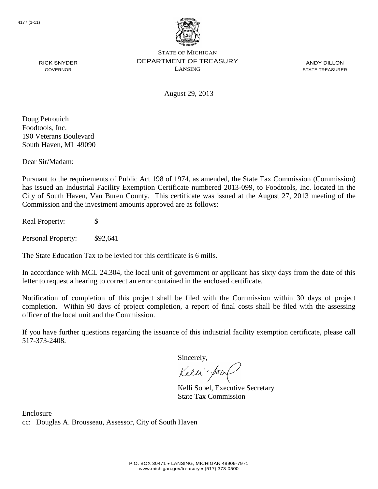

ANDY DILLON STATE TREASURER

RICK SNYDER GOVERNOR

August 29, 2013

Doug Petrouich Foodtools, Inc. 190 Veterans Boulevard South Haven, MI 49090

Dear Sir/Madam:

Pursuant to the requirements of Public Act 198 of 1974, as amended, the State Tax Commission (Commission) has issued an Industrial Facility Exemption Certificate numbered 2013-099, to Foodtools, Inc. located in the City of South Haven, Van Buren County. This certificate was issued at the August 27, 2013 meeting of the Commission and the investment amounts approved are as follows:

Real Property: \$

Personal Property: \$92,641

The State Education Tax to be levied for this certificate is 6 mills.

In accordance with MCL 24.304, the local unit of government or applicant has sixty days from the date of this letter to request a hearing to correct an error contained in the enclosed certificate.

Notification of completion of this project shall be filed with the Commission within 30 days of project completion. Within 90 days of project completion, a report of final costs shall be filed with the assessing officer of the local unit and the Commission.

If you have further questions regarding the issuance of this industrial facility exemption certificate, please call 517-373-2408.

Sincerely,

Kelli-Sorr

Kelli Sobel, Executive Secretary State Tax Commission

Enclosure cc: Douglas A. Brousseau, Assessor, City of South Haven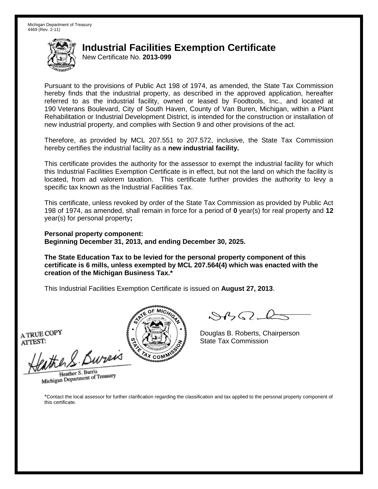New Certificate No. **2013-099**

Pursuant to the provisions of Public Act 198 of 1974, as amended, the State Tax Commission hereby finds that the industrial property, as described in the approved application, hereafter referred to as the industrial facility, owned or leased by Foodtools, Inc., and located at 190 Veterans Boulevard, City of South Haven, County of Van Buren, Michigan, within a Plant Rehabilitation or Industrial Development District, is intended for the construction or installation of new industrial property, and complies with Section 9 and other provisions of the act.

Therefore, as provided by MCL 207.551 to 207.572, inclusive, the State Tax Commission hereby certifies the industrial facility as a **new industrial facility.**

This certificate provides the authority for the assessor to exempt the industrial facility for which this Industrial Facilities Exemption Certificate is in effect, but not the land on which the facility is located, from ad valorem taxation. This certificate further provides the authority to levy a specific tax known as the Industrial Facilities Tax.

This certificate, unless revoked by order of the State Tax Commission as provided by Public Act 198 of 1974, as amended, shall remain in force for a period of **0** year(s) for real property and **12** year(s) for personal property**;**

**Personal property component: Beginning December 31, 2013, and ending December 30, 2025.**

**The State Education Tax to be levied for the personal property component of this certificate is 6 mills, unless exempted by MCL 207.564(4) which was enacted with the creation of the Michigan Business Tax.\***

This Industrial Facilities Exemption Certificate is issued on **August 27, 2013**.

A TRUE COPY ATTEST:

eather & Bureix

Heather S. Burris Heather S. Burns<br>Michigan Department of Treasury



 $8450 - 6$ 

Douglas B. Roberts, Chairperson State Tax Commission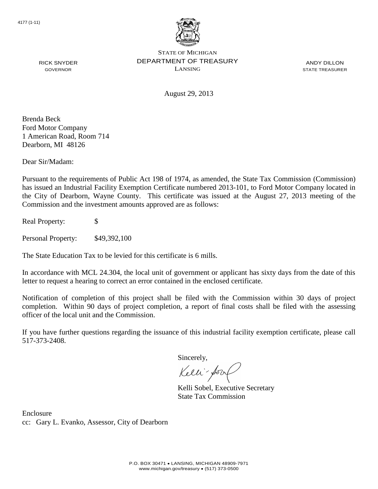

ANDY DILLON STATE TREASURER

August 29, 2013

Brenda Beck Ford Motor Company 1 American Road, Room 714 Dearborn, MI 48126

RICK SNYDER GOVERNOR

Dear Sir/Madam:

Pursuant to the requirements of Public Act 198 of 1974, as amended, the State Tax Commission (Commission) has issued an Industrial Facility Exemption Certificate numbered 2013-101, to Ford Motor Company located in the City of Dearborn, Wayne County. This certificate was issued at the August 27, 2013 meeting of the Commission and the investment amounts approved are as follows:

Real Property: \$

Personal Property: \$49,392,100

The State Education Tax to be levied for this certificate is 6 mills.

In accordance with MCL 24.304, the local unit of government or applicant has sixty days from the date of this letter to request a hearing to correct an error contained in the enclosed certificate.

Notification of completion of this project shall be filed with the Commission within 30 days of project completion. Within 90 days of project completion, a report of final costs shall be filed with the assessing officer of the local unit and the Commission.

If you have further questions regarding the issuance of this industrial facility exemption certificate, please call 517-373-2408.

Sincerely,

Kelli-Sorr

Kelli Sobel, Executive Secretary State Tax Commission

Enclosure cc: Gary L. Evanko, Assessor, City of Dearborn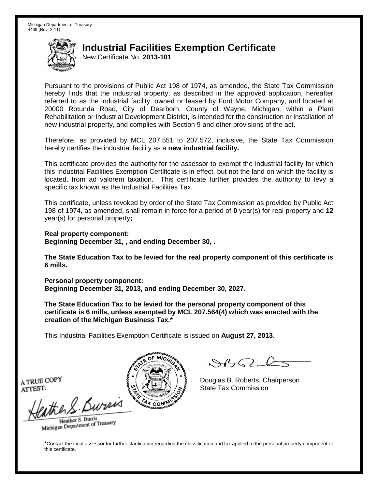New Certificate No. **2013-101**

Pursuant to the provisions of Public Act 198 of 1974, as amended, the State Tax Commission hereby finds that the industrial property, as described in the approved application, hereafter referred to as the industrial facility, owned or leased by Ford Motor Company, and located at 20000 Rotunda Road, City of Dearborn, County of Wayne, Michigan, within a Plant Rehabilitation or Industrial Development District, is intended for the construction or installation of new industrial property, and complies with Section 9 and other provisions of the act.

Therefore, as provided by MCL 207.551 to 207.572, inclusive, the State Tax Commission hereby certifies the industrial facility as a **new industrial facility.**

This certificate provides the authority for the assessor to exempt the industrial facility for which this Industrial Facilities Exemption Certificate is in effect, but not the land on which the facility is located, from ad valorem taxation. This certificate further provides the authority to levy a specific tax known as the Industrial Facilities Tax.

This certificate, unless revoked by order of the State Tax Commission as provided by Public Act 198 of 1974, as amended, shall remain in force for a period of **0** year(s) for real property and **12** year(s) for personal property**;**

**Real property component: Beginning December 31, , and ending December 30, .**

**The State Education Tax to be levied for the real property component of this certificate is 6 mills.**

**Personal property component: Beginning December 31, 2013, and ending December 30, 2027.**

**The State Education Tax to be levied for the personal property component of this certificate is 6 mills, unless exempted by MCL 207.564(4) which was enacted with the creation of the Michigan Business Tax.\***

This Industrial Facilities Exemption Certificate is issued on **August 27, 2013**.

 $882 - 6$ 

Douglas B. Roberts, Chairperson State Tax Commission

A TRUE COPY ATTEST:

eather & Burn

Heather S. Burris Heather S. Buris<br>Michigan Department of Treasury

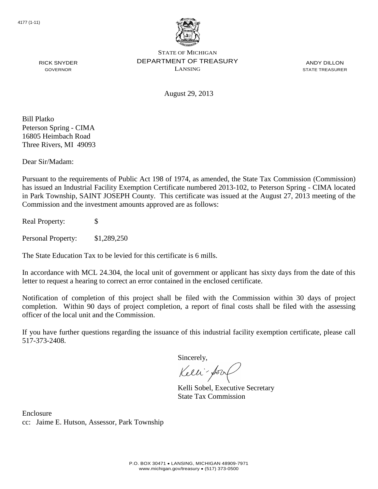

ANDY DILLON STATE TREASURER

August 29, 2013

Bill Platko Peterson Spring - CIMA 16805 Heimbach Road Three Rivers, MI 49093

RICK SNYDER GOVERNOR

Dear Sir/Madam:

Pursuant to the requirements of Public Act 198 of 1974, as amended, the State Tax Commission (Commission) has issued an Industrial Facility Exemption Certificate numbered 2013-102, to Peterson Spring - CIMA located in Park Township, SAINT JOSEPH County. This certificate was issued at the August 27, 2013 meeting of the Commission and the investment amounts approved are as follows:

Real Property: \$

Personal Property: \$1,289,250

The State Education Tax to be levied for this certificate is 6 mills.

In accordance with MCL 24.304, the local unit of government or applicant has sixty days from the date of this letter to request a hearing to correct an error contained in the enclosed certificate.

Notification of completion of this project shall be filed with the Commission within 30 days of project completion. Within 90 days of project completion, a report of final costs shall be filed with the assessing officer of the local unit and the Commission.

If you have further questions regarding the issuance of this industrial facility exemption certificate, please call 517-373-2408.

Sincerely,

Kelli-Sor

Kelli Sobel, Executive Secretary State Tax Commission

Enclosure cc: Jaime E. Hutson, Assessor, Park Township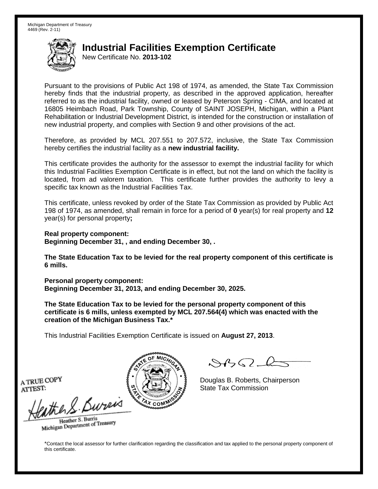New Certificate No. **2013-102**

Pursuant to the provisions of Public Act 198 of 1974, as amended, the State Tax Commission hereby finds that the industrial property, as described in the approved application, hereafter referred to as the industrial facility, owned or leased by Peterson Spring - CIMA, and located at 16805 Heimbach Road, Park Township, County of SAINT JOSEPH, Michigan, within a Plant Rehabilitation or Industrial Development District, is intended for the construction or installation of new industrial property, and complies with Section 9 and other provisions of the act.

Therefore, as provided by MCL 207.551 to 207.572, inclusive, the State Tax Commission hereby certifies the industrial facility as a **new industrial facility.**

This certificate provides the authority for the assessor to exempt the industrial facility for which this Industrial Facilities Exemption Certificate is in effect, but not the land on which the facility is located, from ad valorem taxation. This certificate further provides the authority to levy a specific tax known as the Industrial Facilities Tax.

This certificate, unless revoked by order of the State Tax Commission as provided by Public Act 198 of 1974, as amended, shall remain in force for a period of **0** year(s) for real property and **12** year(s) for personal property**;**

**Real property component: Beginning December 31, , and ending December 30, .**

**The State Education Tax to be levied for the real property component of this certificate is 6 mills.**

**Personal property component: Beginning December 31, 2013, and ending December 30, 2025.**

**The State Education Tax to be levied for the personal property component of this certificate is 6 mills, unless exempted by MCL 207.564(4) which was enacted with the creation of the Michigan Business Tax.\***

This Industrial Facilities Exemption Certificate is issued on **August 27, 2013**.

 $882 - 6$ 

Douglas B. Roberts, Chairperson State Tax Commission

A TRUE COPY ATTEST:

eather & Burn

Heather S. Burris Heather S. Buris<br>Michigan Department of Treasury

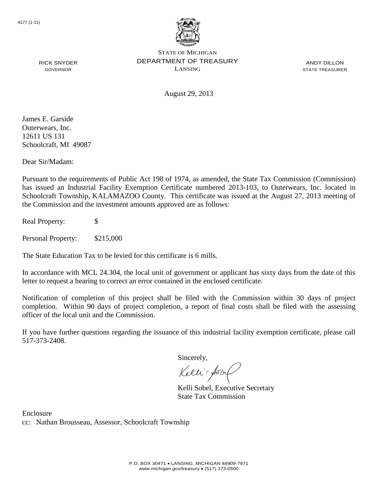

ANDY DILLON STATE TREASURER

August 29, 2013

James E. Garside Outerwears, Inc. 12611 US 131 Schoolcraft, MI 49087

RICK SNYDER GOVERNOR

Dear Sir/Madam:

Pursuant to the requirements of Public Act 198 of 1974, as amended, the State Tax Commission (Commission) has issued an Industrial Facility Exemption Certificate numbered 2013-103, to Outerwears, Inc. located in Schoolcraft Township, KALAMAZOO County. This certificate was issued at the August 27, 2013 meeting of the Commission and the investment amounts approved are as follows:

Real Property: \$

Personal Property: \$215,000

The State Education Tax to be levied for this certificate is 6 mills.

In accordance with MCL 24.304, the local unit of government or applicant has sixty days from the date of this letter to request a hearing to correct an error contained in the enclosed certificate.

Notification of completion of this project shall be filed with the Commission within 30 days of project completion. Within 90 days of project completion, a report of final costs shall be filed with the assessing officer of the local unit and the Commission.

If you have further questions regarding the issuance of this industrial facility exemption certificate, please call 517-373-2408.

Sincerely,

Kelli-Sorr

Kelli Sobel, Executive Secretary State Tax Commission

Enclosure cc: Nathan Brousseau, Assessor, Schoolcraft Township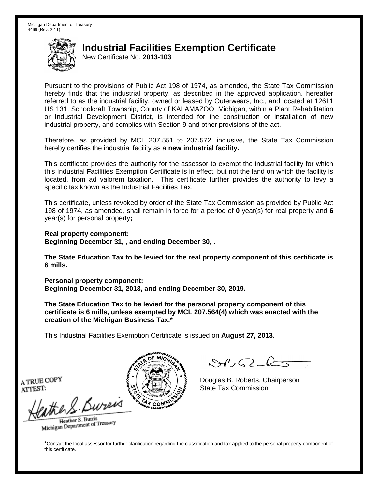New Certificate No. **2013-103**

Pursuant to the provisions of Public Act 198 of 1974, as amended, the State Tax Commission hereby finds that the industrial property, as described in the approved application, hereafter referred to as the industrial facility, owned or leased by Outerwears, Inc., and located at 12611 US 131, Schoolcraft Township, County of KALAMAZOO, Michigan, within a Plant Rehabilitation or Industrial Development District, is intended for the construction or installation of new industrial property, and complies with Section 9 and other provisions of the act.

Therefore, as provided by MCL 207.551 to 207.572, inclusive, the State Tax Commission hereby certifies the industrial facility as a **new industrial facility.**

This certificate provides the authority for the assessor to exempt the industrial facility for which this Industrial Facilities Exemption Certificate is in effect, but not the land on which the facility is located, from ad valorem taxation. This certificate further provides the authority to levy a specific tax known as the Industrial Facilities Tax.

This certificate, unless revoked by order of the State Tax Commission as provided by Public Act 198 of 1974, as amended, shall remain in force for a period of **0** year(s) for real property and **6** year(s) for personal property**;**

**Real property component: Beginning December 31, , and ending December 30, .**

**The State Education Tax to be levied for the real property component of this certificate is 6 mills.**

**Personal property component: Beginning December 31, 2013, and ending December 30, 2019.**

**The State Education Tax to be levied for the personal property component of this certificate is 6 mills, unless exempted by MCL 207.564(4) which was enacted with the creation of the Michigan Business Tax.\***

This Industrial Facilities Exemption Certificate is issued on **August 27, 2013**.

 $882 - 6$ 

Douglas B. Roberts, Chairperson State Tax Commission

A TRUE COPY ATTEST:

eather & Burn

Heather S. Burris Heather S. Buris<br>Michigan Department of Treasury

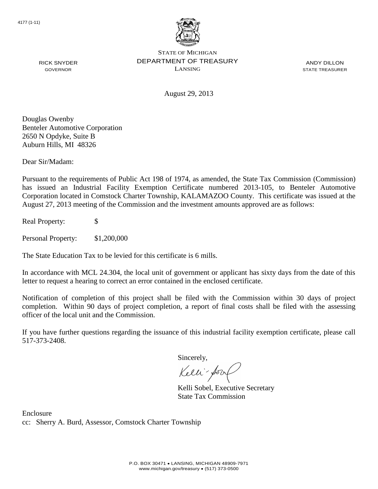

ANDY DILLON STATE TREASURER

August 29, 2013

Douglas Owenby Benteler Automotive Corporation 2650 N Opdyke, Suite B Auburn Hills, MI 48326

RICK SNYDER GOVERNOR

Dear Sir/Madam:

Pursuant to the requirements of Public Act 198 of 1974, as amended, the State Tax Commission (Commission) has issued an Industrial Facility Exemption Certificate numbered 2013-105, to Benteler Automotive Corporation located in Comstock Charter Township, KALAMAZOO County. This certificate was issued at the August 27, 2013 meeting of the Commission and the investment amounts approved are as follows:

Real Property: \$

Personal Property: \$1,200,000

The State Education Tax to be levied for this certificate is 6 mills.

In accordance with MCL 24.304, the local unit of government or applicant has sixty days from the date of this letter to request a hearing to correct an error contained in the enclosed certificate.

Notification of completion of this project shall be filed with the Commission within 30 days of project completion. Within 90 days of project completion, a report of final costs shall be filed with the assessing officer of the local unit and the Commission.

If you have further questions regarding the issuance of this industrial facility exemption certificate, please call 517-373-2408.

Sincerely,

Kelli-Sorr

Kelli Sobel, Executive Secretary State Tax Commission

Enclosure cc: Sherry A. Burd, Assessor, Comstock Charter Township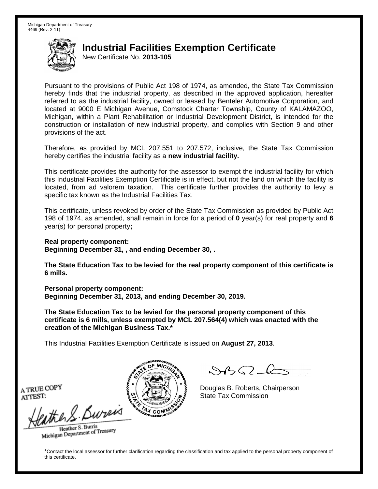New Certificate No. **2013-105**

Pursuant to the provisions of Public Act 198 of 1974, as amended, the State Tax Commission hereby finds that the industrial property, as described in the approved application, hereafter referred to as the industrial facility, owned or leased by Benteler Automotive Corporation, and located at 9000 E Michigan Avenue, Comstock Charter Township, County of KALAMAZOO, Michigan, within a Plant Rehabilitation or Industrial Development District, is intended for the construction or installation of new industrial property, and complies with Section 9 and other provisions of the act.

Therefore, as provided by MCL 207.551 to 207.572, inclusive, the State Tax Commission hereby certifies the industrial facility as a **new industrial facility.**

This certificate provides the authority for the assessor to exempt the industrial facility for which this Industrial Facilities Exemption Certificate is in effect, but not the land on which the facility is located, from ad valorem taxation. This certificate further provides the authority to levy a specific tax known as the Industrial Facilities Tax.

This certificate, unless revoked by order of the State Tax Commission as provided by Public Act 198 of 1974, as amended, shall remain in force for a period of **0** year(s) for real property and **6** year(s) for personal property**;**

**Real property component:**

**Beginning December 31, , and ending December 30, .**

**The State Education Tax to be levied for the real property component of this certificate is 6 mills.**

**Personal property component:**

**Beginning December 31, 2013, and ending December 30, 2019.**

**The State Education Tax to be levied for the personal property component of this certificate is 6 mills, unless exempted by MCL 207.564(4) which was enacted with the creation of the Michigan Business Tax.\***

This Industrial Facilities Exemption Certificate is issued on **August 27, 2013**.

 $\mathcal{A}_{\mathcal{A}}\Omega$ 

Douglas B. Roberts, Chairperson State Tax Commission

A TRUE COPY ATTEST:

the S. Bureis

Heather S. Burris Heather S. Buris<br>Michigan Department of Treasury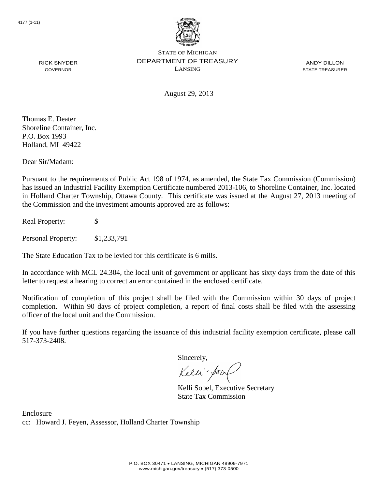

ANDY DILLON STATE TREASURER

August 29, 2013

Thomas E. Deater Shoreline Container, Inc. P.O. Box 1993 Holland, MI 49422

RICK SNYDER GOVERNOR

Dear Sir/Madam:

Pursuant to the requirements of Public Act 198 of 1974, as amended, the State Tax Commission (Commission) has issued an Industrial Facility Exemption Certificate numbered 2013-106, to Shoreline Container, Inc. located in Holland Charter Township, Ottawa County. This certificate was issued at the August 27, 2013 meeting of the Commission and the investment amounts approved are as follows:

Real Property: \$

Personal Property: \$1,233,791

The State Education Tax to be levied for this certificate is 6 mills.

In accordance with MCL 24.304, the local unit of government or applicant has sixty days from the date of this letter to request a hearing to correct an error contained in the enclosed certificate.

Notification of completion of this project shall be filed with the Commission within 30 days of project completion. Within 90 days of project completion, a report of final costs shall be filed with the assessing officer of the local unit and the Commission.

If you have further questions regarding the issuance of this industrial facility exemption certificate, please call 517-373-2408.

Sincerely,

Kelli-Sorr

Kelli Sobel, Executive Secretary State Tax Commission

Enclosure cc: Howard J. Feyen, Assessor, Holland Charter Township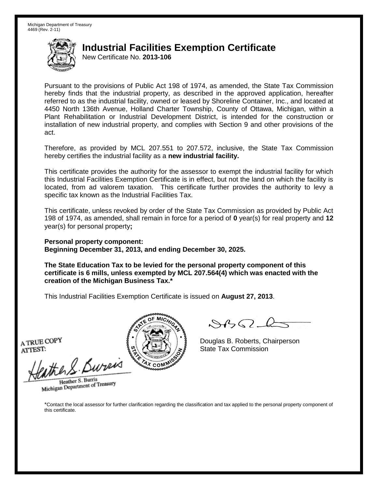New Certificate No. **2013-106**

Pursuant to the provisions of Public Act 198 of 1974, as amended, the State Tax Commission hereby finds that the industrial property, as described in the approved application, hereafter referred to as the industrial facility, owned or leased by Shoreline Container, Inc., and located at 4450 North 136th Avenue, Holland Charter Township, County of Ottawa, Michigan, within a Plant Rehabilitation or Industrial Development District, is intended for the construction or installation of new industrial property, and complies with Section 9 and other provisions of the act.

Therefore, as provided by MCL 207.551 to 207.572, inclusive, the State Tax Commission hereby certifies the industrial facility as a **new industrial facility.**

This certificate provides the authority for the assessor to exempt the industrial facility for which this Industrial Facilities Exemption Certificate is in effect, but not the land on which the facility is located, from ad valorem taxation. This certificate further provides the authority to levy a specific tax known as the Industrial Facilities Tax.

This certificate, unless revoked by order of the State Tax Commission as provided by Public Act 198 of 1974, as amended, shall remain in force for a period of **0** year(s) for real property and **12** year(s) for personal property**;**

**Personal property component: Beginning December 31, 2013, and ending December 30, 2025.**

**The State Education Tax to be levied for the personal property component of this certificate is 6 mills, unless exempted by MCL 207.564(4) which was enacted with the creation of the Michigan Business Tax.\***

This Industrial Facilities Exemption Certificate is issued on **August 27, 2013**.

A TRUE COPY ATTEST:

ather S. Buren

Heather S. Burris Heather S. Burns<br>Michigan Department of Treasury



Douglas B. Roberts, Chairperson State Tax Commission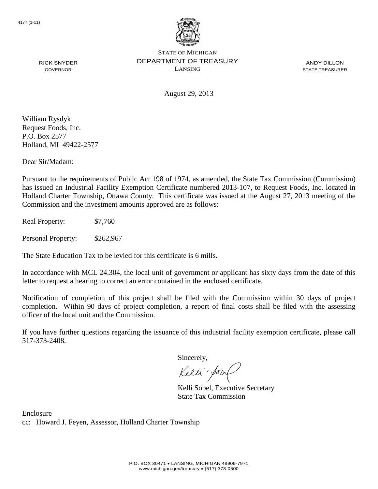

ANDY DILLON STATE TREASURER

August 29, 2013

William Rysdyk Request Foods, Inc. P.O. Box 2577 Holland, MI 49422-2577

RICK SNYDER GOVERNOR

Dear Sir/Madam:

Pursuant to the requirements of Public Act 198 of 1974, as amended, the State Tax Commission (Commission) has issued an Industrial Facility Exemption Certificate numbered 2013-107, to Request Foods, Inc. located in Holland Charter Township, Ottawa County. This certificate was issued at the August 27, 2013 meeting of the Commission and the investment amounts approved are as follows:

Real Property: \$7,760

Personal Property: \$262,967

The State Education Tax to be levied for this certificate is 6 mills.

In accordance with MCL 24.304, the local unit of government or applicant has sixty days from the date of this letter to request a hearing to correct an error contained in the enclosed certificate.

Notification of completion of this project shall be filed with the Commission within 30 days of project completion. Within 90 days of project completion, a report of final costs shall be filed with the assessing officer of the local unit and the Commission.

If you have further questions regarding the issuance of this industrial facility exemption certificate, please call 517-373-2408.

Sincerely,

Kelli-Sorr

Kelli Sobel, Executive Secretary State Tax Commission

Enclosure cc: Howard J. Feyen, Assessor, Holland Charter Township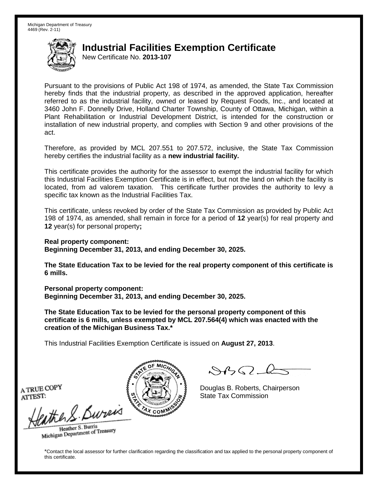New Certificate No. **2013-107**

Pursuant to the provisions of Public Act 198 of 1974, as amended, the State Tax Commission hereby finds that the industrial property, as described in the approved application, hereafter referred to as the industrial facility, owned or leased by Request Foods, Inc., and located at 3460 John F. Donnelly Drive, Holland Charter Township, County of Ottawa, Michigan, within a Plant Rehabilitation or Industrial Development District, is intended for the construction or installation of new industrial property, and complies with Section 9 and other provisions of the act.

Therefore, as provided by MCL 207.551 to 207.572, inclusive, the State Tax Commission hereby certifies the industrial facility as a **new industrial facility.**

This certificate provides the authority for the assessor to exempt the industrial facility for which this Industrial Facilities Exemption Certificate is in effect, but not the land on which the facility is located, from ad valorem taxation. This certificate further provides the authority to levy a specific tax known as the Industrial Facilities Tax.

This certificate, unless revoked by order of the State Tax Commission as provided by Public Act 198 of 1974, as amended, shall remain in force for a period of **12** year(s) for real property and **12** year(s) for personal property**;**

**Real property component:**

**Beginning December 31, 2013, and ending December 30, 2025.**

**The State Education Tax to be levied for the real property component of this certificate is 6 mills.**

**Personal property component: Beginning December 31, 2013, and ending December 30, 2025.**

**The State Education Tax to be levied for the personal property component of this certificate is 6 mills, unless exempted by MCL 207.564(4) which was enacted with the creation of the Michigan Business Tax.\***

This Industrial Facilities Exemption Certificate is issued on **August 27, 2013**.

 $\mathcal{A}_{\mathcal{A}}\Omega$ 

Douglas B. Roberts, Chairperson State Tax Commission

A TRUE COPY ATTEST:

the S. Bureis

Heather S. Burris Heather S. Buris<br>Michigan Department of Treasury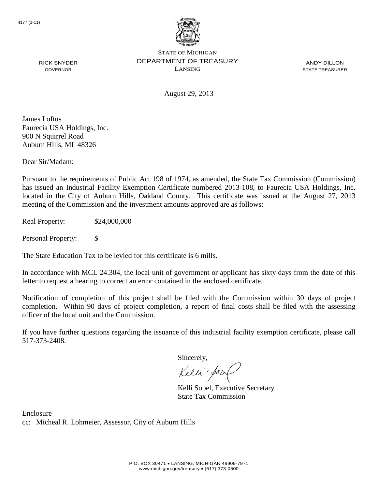

ANDY DILLON STATE TREASURER

August 29, 2013

James Loftus Faurecia USA Holdings, Inc. 900 N Squirrel Road Auburn Hills, MI 48326

RICK SNYDER GOVERNOR

Dear Sir/Madam:

Pursuant to the requirements of Public Act 198 of 1974, as amended, the State Tax Commission (Commission) has issued an Industrial Facility Exemption Certificate numbered 2013-108, to Faurecia USA Holdings, Inc. located in the City of Auburn Hills, Oakland County. This certificate was issued at the August 27, 2013 meeting of the Commission and the investment amounts approved are as follows:

Real Property: \$24,000,000

Personal Property: \$

The State Education Tax to be levied for this certificate is 6 mills.

In accordance with MCL 24.304, the local unit of government or applicant has sixty days from the date of this letter to request a hearing to correct an error contained in the enclosed certificate.

Notification of completion of this project shall be filed with the Commission within 30 days of project completion. Within 90 days of project completion, a report of final costs shall be filed with the assessing officer of the local unit and the Commission.

If you have further questions regarding the issuance of this industrial facility exemption certificate, please call 517-373-2408.

Sincerely,

Kelli-Sorr

Kelli Sobel, Executive Secretary State Tax Commission

Enclosure cc: Micheal R. Lohmeier, Assessor, City of Auburn Hills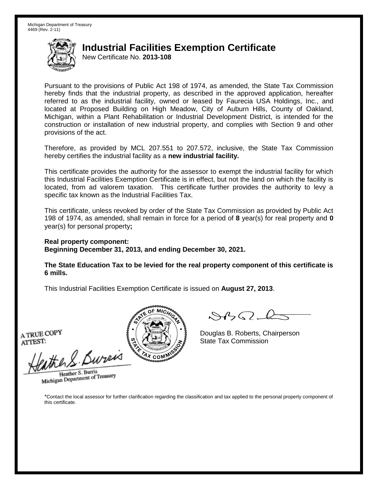New Certificate No. **2013-108**

Pursuant to the provisions of Public Act 198 of 1974, as amended, the State Tax Commission hereby finds that the industrial property, as described in the approved application, hereafter referred to as the industrial facility, owned or leased by Faurecia USA Holdings, Inc., and located at Proposed Building on High Meadow, City of Auburn Hills, County of Oakland, Michigan, within a Plant Rehabilitation or Industrial Development District, is intended for the construction or installation of new industrial property, and complies with Section 9 and other provisions of the act.

Therefore, as provided by MCL 207.551 to 207.572, inclusive, the State Tax Commission hereby certifies the industrial facility as a **new industrial facility.**

This certificate provides the authority for the assessor to exempt the industrial facility for which this Industrial Facilities Exemption Certificate is in effect, but not the land on which the facility is located, from ad valorem taxation. This certificate further provides the authority to levy a specific tax known as the Industrial Facilities Tax.

This certificate, unless revoked by order of the State Tax Commission as provided by Public Act 198 of 1974, as amended, shall remain in force for a period of **8** year(s) for real property and **0** year(s) for personal property**;**

**Real property component: Beginning December 31, 2013, and ending December 30, 2021.**

**The State Education Tax to be levied for the real property component of this certificate is 6 mills.**

This Industrial Facilities Exemption Certificate is issued on **August 27, 2013**.

A TRUE COPY ATTEST:

eather & Bureix

Heather S. Burris Heather S. Burns<br>Michigan Department of Treasury



 $8450 - 6$ 

Douglas B. Roberts, Chairperson State Tax Commission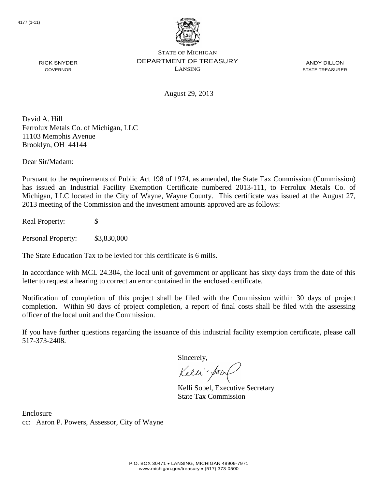

ANDY DILLON STATE TREASURER

August 29, 2013

David A. Hill Ferrolux Metals Co. of Michigan, LLC 11103 Memphis Avenue Brooklyn, OH 44144

Dear Sir/Madam:

RICK SNYDER GOVERNOR

Pursuant to the requirements of Public Act 198 of 1974, as amended, the State Tax Commission (Commission) has issued an Industrial Facility Exemption Certificate numbered 2013-111, to Ferrolux Metals Co. of Michigan, LLC located in the City of Wayne, Wayne County. This certificate was issued at the August 27, 2013 meeting of the Commission and the investment amounts approved are as follows:

Real Property: \$

Personal Property: \$3,830,000

The State Education Tax to be levied for this certificate is 6 mills.

In accordance with MCL 24.304, the local unit of government or applicant has sixty days from the date of this letter to request a hearing to correct an error contained in the enclosed certificate.

Notification of completion of this project shall be filed with the Commission within 30 days of project completion. Within 90 days of project completion, a report of final costs shall be filed with the assessing officer of the local unit and the Commission.

If you have further questions regarding the issuance of this industrial facility exemption certificate, please call 517-373-2408.

Sincerely,

Kelli-Sor

Kelli Sobel, Executive Secretary State Tax Commission

Enclosure cc: Aaron P. Powers, Assessor, City of Wayne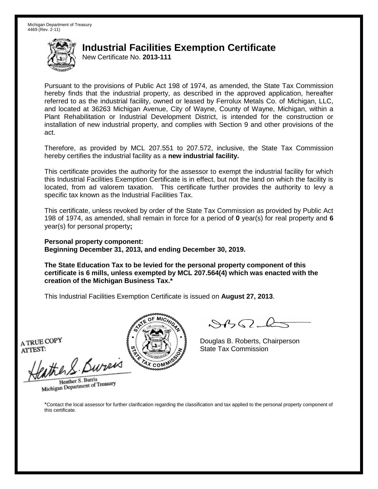New Certificate No. **2013-111**

Pursuant to the provisions of Public Act 198 of 1974, as amended, the State Tax Commission hereby finds that the industrial property, as described in the approved application, hereafter referred to as the industrial facility, owned or leased by Ferrolux Metals Co. of Michigan, LLC, and located at 36263 Michigan Avenue, City of Wayne, County of Wayne, Michigan, within a Plant Rehabilitation or Industrial Development District, is intended for the construction or installation of new industrial property, and complies with Section 9 and other provisions of the act.

Therefore, as provided by MCL 207.551 to 207.572, inclusive, the State Tax Commission hereby certifies the industrial facility as a **new industrial facility.**

This certificate provides the authority for the assessor to exempt the industrial facility for which this Industrial Facilities Exemption Certificate is in effect, but not the land on which the facility is located, from ad valorem taxation. This certificate further provides the authority to levy a specific tax known as the Industrial Facilities Tax.

This certificate, unless revoked by order of the State Tax Commission as provided by Public Act 198 of 1974, as amended, shall remain in force for a period of **0** year(s) for real property and **6** year(s) for personal property**;**

**Personal property component: Beginning December 31, 2013, and ending December 30, 2019.**

**The State Education Tax to be levied for the personal property component of this certificate is 6 mills, unless exempted by MCL 207.564(4) which was enacted with the creation of the Michigan Business Tax.\***

This Industrial Facilities Exemption Certificate is issued on **August 27, 2013**.

A TRUE COPY ATTEST:

ather S. Buren

Heather S. Burris Heather S. Burns<br>Michigan Department of Treasury



Douglas B. Roberts, Chairperson State Tax Commission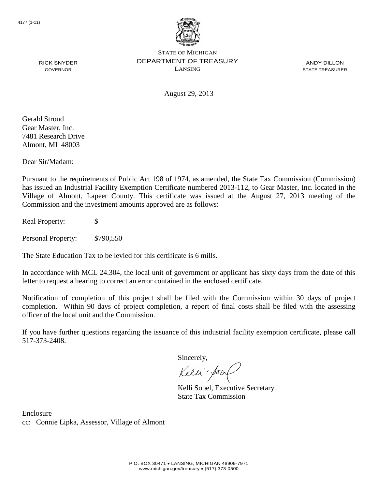

ANDY DILLON STATE TREASURER

RICK SNYDER GOVERNOR

August 29, 2013

Gerald Stroud Gear Master, Inc. 7481 Research Drive Almont, MI 48003

Dear Sir/Madam:

Pursuant to the requirements of Public Act 198 of 1974, as amended, the State Tax Commission (Commission) has issued an Industrial Facility Exemption Certificate numbered 2013-112, to Gear Master, Inc. located in the Village of Almont, Lapeer County. This certificate was issued at the August 27, 2013 meeting of the Commission and the investment amounts approved are as follows:

Real Property: \$

Personal Property: \$790,550

The State Education Tax to be levied for this certificate is 6 mills.

In accordance with MCL 24.304, the local unit of government or applicant has sixty days from the date of this letter to request a hearing to correct an error contained in the enclosed certificate.

Notification of completion of this project shall be filed with the Commission within 30 days of project completion. Within 90 days of project completion, a report of final costs shall be filed with the assessing officer of the local unit and the Commission.

If you have further questions regarding the issuance of this industrial facility exemption certificate, please call 517-373-2408.

Sincerely,

Kelli-Sorr

Kelli Sobel, Executive Secretary State Tax Commission

Enclosure cc: Connie Lipka, Assessor, Village of Almont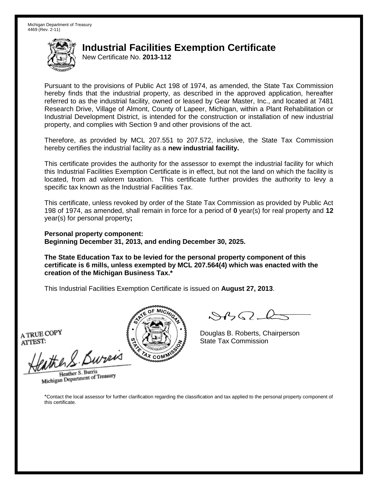New Certificate No. **2013-112**

Pursuant to the provisions of Public Act 198 of 1974, as amended, the State Tax Commission hereby finds that the industrial property, as described in the approved application, hereafter referred to as the industrial facility, owned or leased by Gear Master, Inc., and located at 7481 Research Drive, Village of Almont, County of Lapeer, Michigan, within a Plant Rehabilitation or Industrial Development District, is intended for the construction or installation of new industrial property, and complies with Section 9 and other provisions of the act.

Therefore, as provided by MCL 207.551 to 207.572, inclusive, the State Tax Commission hereby certifies the industrial facility as a **new industrial facility.**

This certificate provides the authority for the assessor to exempt the industrial facility for which this Industrial Facilities Exemption Certificate is in effect, but not the land on which the facility is located, from ad valorem taxation. This certificate further provides the authority to levy a specific tax known as the Industrial Facilities Tax.

This certificate, unless revoked by order of the State Tax Commission as provided by Public Act 198 of 1974, as amended, shall remain in force for a period of **0** year(s) for real property and **12** year(s) for personal property**;**

**Personal property component: Beginning December 31, 2013, and ending December 30, 2025.**

**The State Education Tax to be levied for the personal property component of this certificate is 6 mills, unless exempted by MCL 207.564(4) which was enacted with the creation of the Michigan Business Tax.\***

This Industrial Facilities Exemption Certificate is issued on **August 27, 2013**.

A TRUE COPY ATTEST:

eather & Bureix

Heather S. Burris Heather S. Burns<br>Michigan Department of Treasury



 $84562-6$ 

Douglas B. Roberts, Chairperson State Tax Commission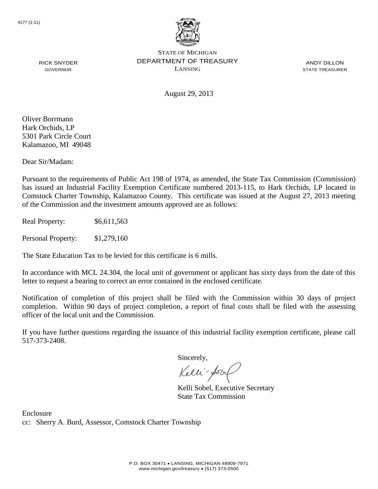

ANDY DILLON STATE TREASURER

August 29, 2013

Oliver Borrmann Hark Orchids, LP 5301 Park Circle Court Kalamazoo, MI 49048

RICK SNYDER GOVERNOR

Dear Sir/Madam:

Pursuant to the requirements of Public Act 198 of 1974, as amended, the State Tax Commission (Commission) has issued an Industrial Facility Exemption Certificate numbered 2013-115, to Hark Orchids, LP located in Comstock Charter Township, Kalamazoo County. This certificate was issued at the August 27, 2013 meeting of the Commission and the investment amounts approved are as follows:

Real Property: \$6,611,563

Personal Property: \$1,279,160

The State Education Tax to be levied for this certificate is 6 mills.

In accordance with MCL 24.304, the local unit of government or applicant has sixty days from the date of this letter to request a hearing to correct an error contained in the enclosed certificate.

Notification of completion of this project shall be filed with the Commission within 30 days of project completion. Within 90 days of project completion, a report of final costs shall be filed with the assessing officer of the local unit and the Commission.

If you have further questions regarding the issuance of this industrial facility exemption certificate, please call 517-373-2408.

Sincerely,

Kelli-Sorr

Kelli Sobel, Executive Secretary State Tax Commission

Enclosure cc: Sherry A. Burd, Assessor, Comstock Charter Township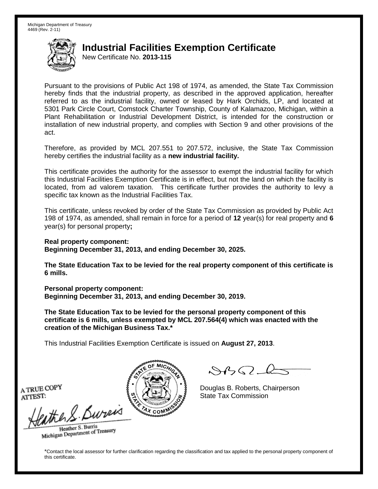New Certificate No. **2013-115**

Pursuant to the provisions of Public Act 198 of 1974, as amended, the State Tax Commission hereby finds that the industrial property, as described in the approved application, hereafter referred to as the industrial facility, owned or leased by Hark Orchids, LP, and located at 5301 Park Circle Court, Comstock Charter Township, County of Kalamazoo, Michigan, within a Plant Rehabilitation or Industrial Development District, is intended for the construction or installation of new industrial property, and complies with Section 9 and other provisions of the act.

Therefore, as provided by MCL 207.551 to 207.572, inclusive, the State Tax Commission hereby certifies the industrial facility as a **new industrial facility.**

This certificate provides the authority for the assessor to exempt the industrial facility for which this Industrial Facilities Exemption Certificate is in effect, but not the land on which the facility is located, from ad valorem taxation. This certificate further provides the authority to levy a specific tax known as the Industrial Facilities Tax.

This certificate, unless revoked by order of the State Tax Commission as provided by Public Act 198 of 1974, as amended, shall remain in force for a period of **12** year(s) for real property and **6** year(s) for personal property**;**

**Real property component: Beginning December 31, 2013, and ending December 30, 2025.**

**The State Education Tax to be levied for the real property component of this certificate is 6 mills.**

**Personal property component: Beginning December 31, 2013, and ending December 30, 2019.**

**The State Education Tax to be levied for the personal property component of this certificate is 6 mills, unless exempted by MCL 207.564(4) which was enacted with the creation of the Michigan Business Tax.\***

This Industrial Facilities Exemption Certificate is issued on **August 27, 2013**.

 $\mathcal{A}_{\mathcal{A}}\Omega$ 

Douglas B. Roberts, Chairperson State Tax Commission

A TRUE COPY ATTEST:

the S. Bureis

Heather S. Burris Heather S. Buris<br>Michigan Department of Treasury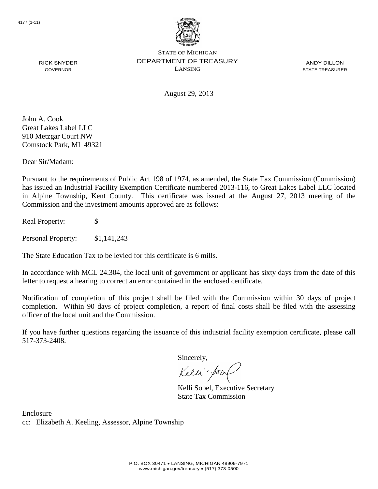

ANDY DILLON STATE TREASURER

August 29, 2013

John A. Cook Great Lakes Label LLC 910 Metzgar Court NW Comstock Park, MI 49321

RICK SNYDER GOVERNOR

Dear Sir/Madam:

Pursuant to the requirements of Public Act 198 of 1974, as amended, the State Tax Commission (Commission) has issued an Industrial Facility Exemption Certificate numbered 2013-116, to Great Lakes Label LLC located in Alpine Township, Kent County. This certificate was issued at the August 27, 2013 meeting of the Commission and the investment amounts approved are as follows:

Real Property: \$

Personal Property: \$1,141,243

The State Education Tax to be levied for this certificate is 6 mills.

In accordance with MCL 24.304, the local unit of government or applicant has sixty days from the date of this letter to request a hearing to correct an error contained in the enclosed certificate.

Notification of completion of this project shall be filed with the Commission within 30 days of project completion. Within 90 days of project completion, a report of final costs shall be filed with the assessing officer of the local unit and the Commission.

If you have further questions regarding the issuance of this industrial facility exemption certificate, please call 517-373-2408.

Sincerely,

Kelli-Sor

Kelli Sobel, Executive Secretary State Tax Commission

Enclosure cc: Elizabeth A. Keeling, Assessor, Alpine Township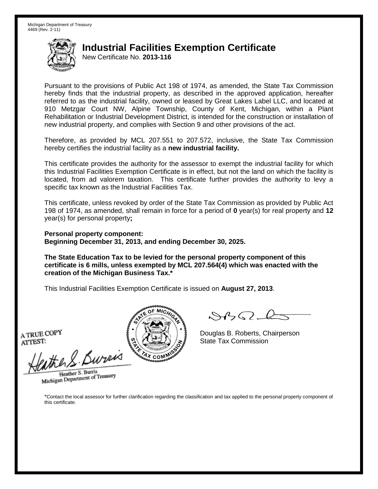New Certificate No. **2013-116**

Pursuant to the provisions of Public Act 198 of 1974, as amended, the State Tax Commission hereby finds that the industrial property, as described in the approved application, hereafter referred to as the industrial facility, owned or leased by Great Lakes Label LLC, and located at 910 Metzgar Court NW, Alpine Township, County of Kent, Michigan, within a Plant Rehabilitation or Industrial Development District, is intended for the construction or installation of new industrial property, and complies with Section 9 and other provisions of the act.

Therefore, as provided by MCL 207.551 to 207.572, inclusive, the State Tax Commission hereby certifies the industrial facility as a **new industrial facility.**

This certificate provides the authority for the assessor to exempt the industrial facility for which this Industrial Facilities Exemption Certificate is in effect, but not the land on which the facility is located, from ad valorem taxation. This certificate further provides the authority to levy a specific tax known as the Industrial Facilities Tax.

This certificate, unless revoked by order of the State Tax Commission as provided by Public Act 198 of 1974, as amended, shall remain in force for a period of **0** year(s) for real property and **12** year(s) for personal property**;**

**Personal property component: Beginning December 31, 2013, and ending December 30, 2025.**

**The State Education Tax to be levied for the personal property component of this certificate is 6 mills, unless exempted by MCL 207.564(4) which was enacted with the creation of the Michigan Business Tax.\***

This Industrial Facilities Exemption Certificate is issued on **August 27, 2013**.

A TRUE COPY ATTEST:

eather & Bureix

Heather S. Burris Heather S. Burns<br>Michigan Department of Treasury



 $8450 - 6$ 

Douglas B. Roberts, Chairperson State Tax Commission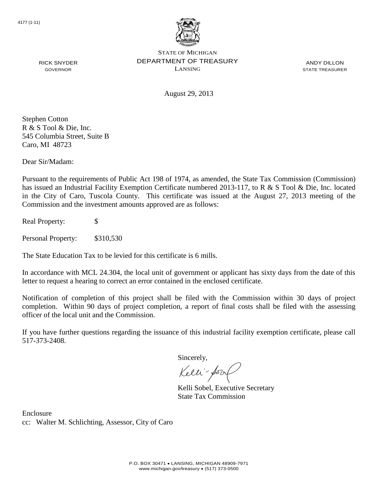

ANDY DILLON STATE TREASURER

August 29, 2013

Stephen Cotton R & S Tool & Die, Inc. 545 Columbia Street, Suite B Caro, MI 48723

RICK SNYDER GOVERNOR

Dear Sir/Madam:

Pursuant to the requirements of Public Act 198 of 1974, as amended, the State Tax Commission (Commission) has issued an Industrial Facility Exemption Certificate numbered 2013-117, to R & S Tool & Die, Inc. located in the City of Caro, Tuscola County. This certificate was issued at the August 27, 2013 meeting of the Commission and the investment amounts approved are as follows:

Real Property: \$

Personal Property: \$310,530

The State Education Tax to be levied for this certificate is 6 mills.

In accordance with MCL 24.304, the local unit of government or applicant has sixty days from the date of this letter to request a hearing to correct an error contained in the enclosed certificate.

Notification of completion of this project shall be filed with the Commission within 30 days of project completion. Within 90 days of project completion, a report of final costs shall be filed with the assessing officer of the local unit and the Commission.

If you have further questions regarding the issuance of this industrial facility exemption certificate, please call 517-373-2408.

Sincerely,

Kelli-Sor

Kelli Sobel, Executive Secretary State Tax Commission

Enclosure cc: Walter M. Schlichting, Assessor, City of Caro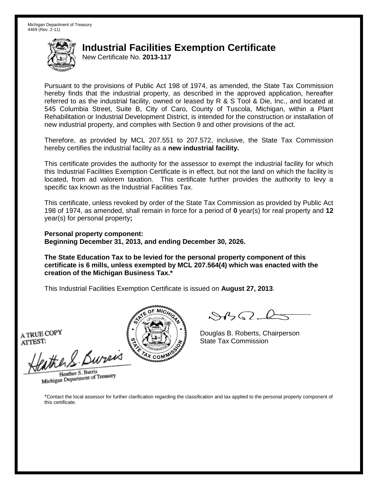New Certificate No. **2013-117**

Pursuant to the provisions of Public Act 198 of 1974, as amended, the State Tax Commission hereby finds that the industrial property, as described in the approved application, hereafter referred to as the industrial facility, owned or leased by R & S Tool & Die, Inc., and located at 545 Columbia Street, Suite B, City of Caro, County of Tuscola, Michigan, within a Plant Rehabilitation or Industrial Development District, is intended for the construction or installation of new industrial property, and complies with Section 9 and other provisions of the act.

Therefore, as provided by MCL 207.551 to 207.572, inclusive, the State Tax Commission hereby certifies the industrial facility as a **new industrial facility.**

This certificate provides the authority for the assessor to exempt the industrial facility for which this Industrial Facilities Exemption Certificate is in effect, but not the land on which the facility is located, from ad valorem taxation. This certificate further provides the authority to levy a specific tax known as the Industrial Facilities Tax.

This certificate, unless revoked by order of the State Tax Commission as provided by Public Act 198 of 1974, as amended, shall remain in force for a period of **0** year(s) for real property and **12** year(s) for personal property**;**

**Personal property component: Beginning December 31, 2013, and ending December 30, 2026.**

**The State Education Tax to be levied for the personal property component of this certificate is 6 mills, unless exempted by MCL 207.564(4) which was enacted with the creation of the Michigan Business Tax.\***

This Industrial Facilities Exemption Certificate is issued on **August 27, 2013**.

A TRUE COPY ATTEST:

eather & Bureix

Heather S. Burris Heather S. Burns<br>Michigan Department of Treasury



 $8450 - 6$ 

Douglas B. Roberts, Chairperson State Tax Commission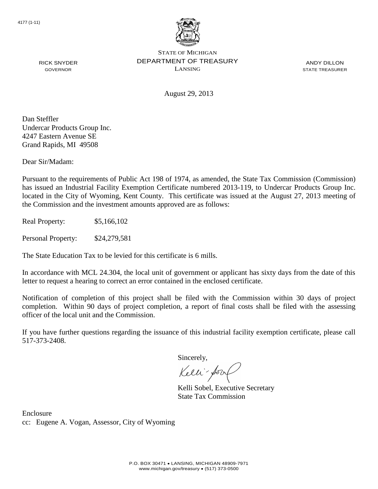

ANDY DILLON STATE TREASURER

August 29, 2013

Dan Steffler Undercar Products Group Inc. 4247 Eastern Avenue SE Grand Rapids, MI 49508

RICK SNYDER GOVERNOR

Dear Sir/Madam:

Pursuant to the requirements of Public Act 198 of 1974, as amended, the State Tax Commission (Commission) has issued an Industrial Facility Exemption Certificate numbered 2013-119, to Undercar Products Group Inc. located in the City of Wyoming, Kent County. This certificate was issued at the August 27, 2013 meeting of the Commission and the investment amounts approved are as follows:

Real Property: \$5,166,102

Personal Property: \$24,279,581

The State Education Tax to be levied for this certificate is 6 mills.

In accordance with MCL 24.304, the local unit of government or applicant has sixty days from the date of this letter to request a hearing to correct an error contained in the enclosed certificate.

Notification of completion of this project shall be filed with the Commission within 30 days of project completion. Within 90 days of project completion, a report of final costs shall be filed with the assessing officer of the local unit and the Commission.

If you have further questions regarding the issuance of this industrial facility exemption certificate, please call 517-373-2408.

Sincerely,

Kelli-Sor

Kelli Sobel, Executive Secretary State Tax Commission

Enclosure cc: Eugene A. Vogan, Assessor, City of Wyoming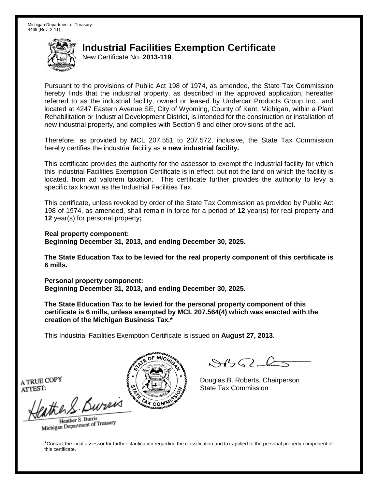New Certificate No. **2013-119**

Pursuant to the provisions of Public Act 198 of 1974, as amended, the State Tax Commission hereby finds that the industrial property, as described in the approved application, hereafter referred to as the industrial facility, owned or leased by Undercar Products Group Inc., and located at 4247 Eastern Avenue SE, City of Wyoming, County of Kent, Michigan, within a Plant Rehabilitation or Industrial Development District, is intended for the construction or installation of new industrial property, and complies with Section 9 and other provisions of the act.

Therefore, as provided by MCL 207.551 to 207.572, inclusive, the State Tax Commission hereby certifies the industrial facility as a **new industrial facility.**

This certificate provides the authority for the assessor to exempt the industrial facility for which this Industrial Facilities Exemption Certificate is in effect, but not the land on which the facility is located, from ad valorem taxation. This certificate further provides the authority to levy a specific tax known as the Industrial Facilities Tax.

This certificate, unless revoked by order of the State Tax Commission as provided by Public Act 198 of 1974, as amended, shall remain in force for a period of **12** year(s) for real property and **12** year(s) for personal property**;**

**Real property component: Beginning December 31, 2013, and ending December 30, 2025.**

**The State Education Tax to be levied for the real property component of this certificate is 6 mills.**

**Personal property component: Beginning December 31, 2013, and ending December 30, 2025.**

**The State Education Tax to be levied for the personal property component of this certificate is 6 mills, unless exempted by MCL 207.564(4) which was enacted with the creation of the Michigan Business Tax.\***

This Industrial Facilities Exemption Certificate is issued on **August 27, 2013**.

 $882 - 6$ 

Douglas B. Roberts, Chairperson State Tax Commission

A TRUE COPY ATTEST:

eather & Burn

Heather S. Burris Heather S. Buris<br>Michigan Department of Treasury

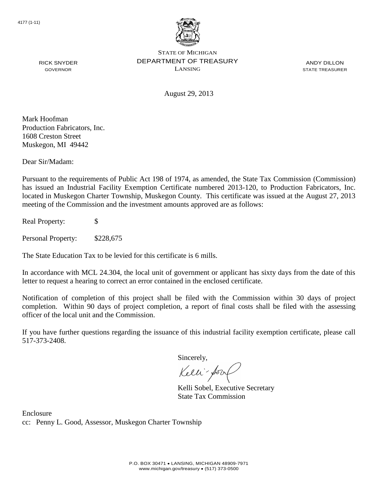

ANDY DILLON STATE TREASURER

August 29, 2013

Mark Hoofman Production Fabricators, Inc. 1608 Creston Street Muskegon, MI 49442

RICK SNYDER GOVERNOR

Dear Sir/Madam:

Pursuant to the requirements of Public Act 198 of 1974, as amended, the State Tax Commission (Commission) has issued an Industrial Facility Exemption Certificate numbered 2013-120, to Production Fabricators, Inc. located in Muskegon Charter Township, Muskegon County. This certificate was issued at the August 27, 2013 meeting of the Commission and the investment amounts approved are as follows:

Real Property: \$

Personal Property: \$228,675

The State Education Tax to be levied for this certificate is 6 mills.

In accordance with MCL 24.304, the local unit of government or applicant has sixty days from the date of this letter to request a hearing to correct an error contained in the enclosed certificate.

Notification of completion of this project shall be filed with the Commission within 30 days of project completion. Within 90 days of project completion, a report of final costs shall be filed with the assessing officer of the local unit and the Commission.

If you have further questions regarding the issuance of this industrial facility exemption certificate, please call 517-373-2408.

Sincerely,

Kelli-Sorr

Kelli Sobel, Executive Secretary State Tax Commission

Enclosure cc: Penny L. Good, Assessor, Muskegon Charter Township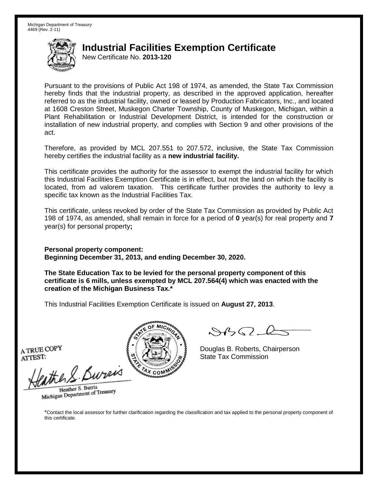New Certificate No. **2013-120**

Pursuant to the provisions of Public Act 198 of 1974, as amended, the State Tax Commission hereby finds that the industrial property, as described in the approved application, hereafter referred to as the industrial facility, owned or leased by Production Fabricators, Inc., and located at 1608 Creston Street, Muskegon Charter Township, County of Muskegon, Michigan, within a Plant Rehabilitation or Industrial Development District, is intended for the construction or installation of new industrial property, and complies with Section 9 and other provisions of the act.

Therefore, as provided by MCL 207.551 to 207.572, inclusive, the State Tax Commission hereby certifies the industrial facility as a **new industrial facility.**

This certificate provides the authority for the assessor to exempt the industrial facility for which this Industrial Facilities Exemption Certificate is in effect, but not the land on which the facility is located, from ad valorem taxation. This certificate further provides the authority to levy a specific tax known as the Industrial Facilities Tax.

This certificate, unless revoked by order of the State Tax Commission as provided by Public Act 198 of 1974, as amended, shall remain in force for a period of **0** year(s) for real property and **7** year(s) for personal property**;**

**Personal property component: Beginning December 31, 2013, and ending December 30, 2020.**

**The State Education Tax to be levied for the personal property component of this certificate is 6 mills, unless exempted by MCL 207.564(4) which was enacted with the creation of the Michigan Business Tax.\***

This Industrial Facilities Exemption Certificate is issued on **August 27, 2013**.

A TRUE COPY ATTEST:

the S. Bureis

Heather S. Burris Heather S. Burns<br>Michigan Department of Treasury

 $\mathcal{S}$ BO-l

Douglas B. Roberts, Chairperson State Tax Commission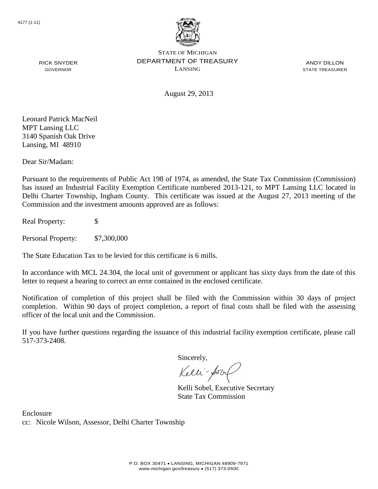

ANDY DILLON STATE TREASURER

August 29, 2013

RICK SNYDER GOVERNOR

Leonard Patrick MacNeil MPT Lansing LLC 3140 Spanish Oak Drive Lansing, MI 48910

Dear Sir/Madam:

Pursuant to the requirements of Public Act 198 of 1974, as amended, the State Tax Commission (Commission) has issued an Industrial Facility Exemption Certificate numbered 2013-121, to MPT Lansing LLC located in Delhi Charter Township, Ingham County. This certificate was issued at the August 27, 2013 meeting of the Commission and the investment amounts approved are as follows:

Real Property: \$

Personal Property: \$7,300,000

The State Education Tax to be levied for this certificate is 6 mills.

In accordance with MCL 24.304, the local unit of government or applicant has sixty days from the date of this letter to request a hearing to correct an error contained in the enclosed certificate.

Notification of completion of this project shall be filed with the Commission within 30 days of project completion. Within 90 days of project completion, a report of final costs shall be filed with the assessing officer of the local unit and the Commission.

If you have further questions regarding the issuance of this industrial facility exemption certificate, please call 517-373-2408.

Sincerely,

Kelli-Sor

Kelli Sobel, Executive Secretary State Tax Commission

Enclosure cc: Nicole Wilson, Assessor, Delhi Charter Township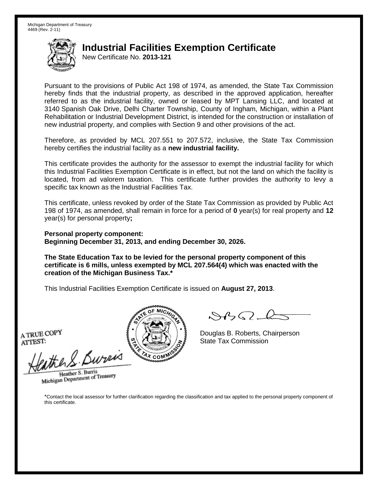New Certificate No. **2013-121**

Pursuant to the provisions of Public Act 198 of 1974, as amended, the State Tax Commission hereby finds that the industrial property, as described in the approved application, hereafter referred to as the industrial facility, owned or leased by MPT Lansing LLC, and located at 3140 Spanish Oak Drive, Delhi Charter Township, County of Ingham, Michigan, within a Plant Rehabilitation or Industrial Development District, is intended for the construction or installation of new industrial property, and complies with Section 9 and other provisions of the act.

Therefore, as provided by MCL 207.551 to 207.572, inclusive, the State Tax Commission hereby certifies the industrial facility as a **new industrial facility.**

This certificate provides the authority for the assessor to exempt the industrial facility for which this Industrial Facilities Exemption Certificate is in effect, but not the land on which the facility is located, from ad valorem taxation. This certificate further provides the authority to levy a specific tax known as the Industrial Facilities Tax.

This certificate, unless revoked by order of the State Tax Commission as provided by Public Act 198 of 1974, as amended, shall remain in force for a period of **0** year(s) for real property and **12** year(s) for personal property**;**

**Personal property component: Beginning December 31, 2013, and ending December 30, 2026.**

**The State Education Tax to be levied for the personal property component of this certificate is 6 mills, unless exempted by MCL 207.564(4) which was enacted with the creation of the Michigan Business Tax.\***

This Industrial Facilities Exemption Certificate is issued on **August 27, 2013**.

A TRUE COPY ATTEST:

eather & Bureix

Heather S. Burris Heather S. Burns<br>Michigan Department of Treasury



 $8450 - 6$ 

Douglas B. Roberts, Chairperson State Tax Commission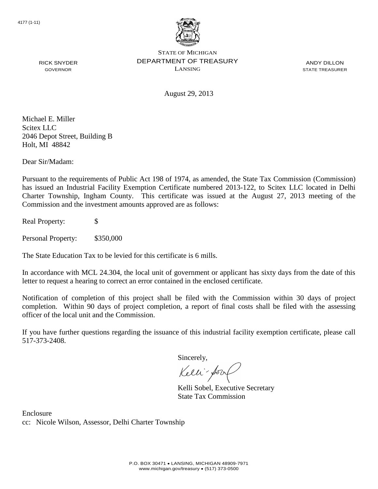

ANDY DILLON STATE TREASURER

August 29, 2013

Michael E. Miller Scitex LLC 2046 Depot Street, Building B Holt, MI 48842

RICK SNYDER GOVERNOR

Dear Sir/Madam:

Pursuant to the requirements of Public Act 198 of 1974, as amended, the State Tax Commission (Commission) has issued an Industrial Facility Exemption Certificate numbered 2013-122, to Scitex LLC located in Delhi Charter Township, Ingham County. This certificate was issued at the August 27, 2013 meeting of the Commission and the investment amounts approved are as follows:

Real Property: \$

Personal Property: \$350,000

The State Education Tax to be levied for this certificate is 6 mills.

In accordance with MCL 24.304, the local unit of government or applicant has sixty days from the date of this letter to request a hearing to correct an error contained in the enclosed certificate.

Notification of completion of this project shall be filed with the Commission within 30 days of project completion. Within 90 days of project completion, a report of final costs shall be filed with the assessing officer of the local unit and the Commission.

If you have further questions regarding the issuance of this industrial facility exemption certificate, please call 517-373-2408.

Sincerely,

Kelli-Sor

Kelli Sobel, Executive Secretary State Tax Commission

Enclosure cc: Nicole Wilson, Assessor, Delhi Charter Township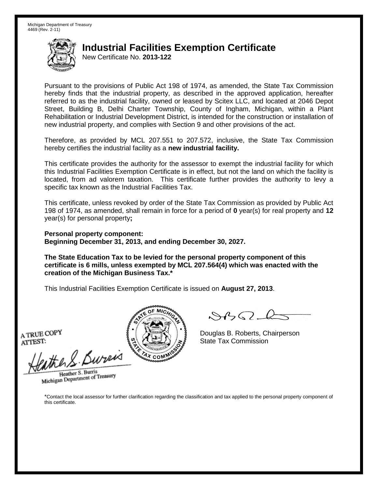New Certificate No. **2013-122**

Pursuant to the provisions of Public Act 198 of 1974, as amended, the State Tax Commission hereby finds that the industrial property, as described in the approved application, hereafter referred to as the industrial facility, owned or leased by Scitex LLC, and located at 2046 Depot Street, Building B, Delhi Charter Township, County of Ingham, Michigan, within a Plant Rehabilitation or Industrial Development District, is intended for the construction or installation of new industrial property, and complies with Section 9 and other provisions of the act.

Therefore, as provided by MCL 207.551 to 207.572, inclusive, the State Tax Commission hereby certifies the industrial facility as a **new industrial facility.**

This certificate provides the authority for the assessor to exempt the industrial facility for which this Industrial Facilities Exemption Certificate is in effect, but not the land on which the facility is located, from ad valorem taxation. This certificate further provides the authority to levy a specific tax known as the Industrial Facilities Tax.

This certificate, unless revoked by order of the State Tax Commission as provided by Public Act 198 of 1974, as amended, shall remain in force for a period of **0** year(s) for real property and **12** year(s) for personal property**;**

**Personal property component: Beginning December 31, 2013, and ending December 30, 2027.**

**The State Education Tax to be levied for the personal property component of this certificate is 6 mills, unless exempted by MCL 207.564(4) which was enacted with the creation of the Michigan Business Tax.\***

This Industrial Facilities Exemption Certificate is issued on **August 27, 2013**.

A TRUE COPY ATTEST:

eather & Bureix

Heather S. Burris Heather S. Burns<br>Michigan Department of Treasury



 $8450 - 6$ 

Douglas B. Roberts, Chairperson State Tax Commission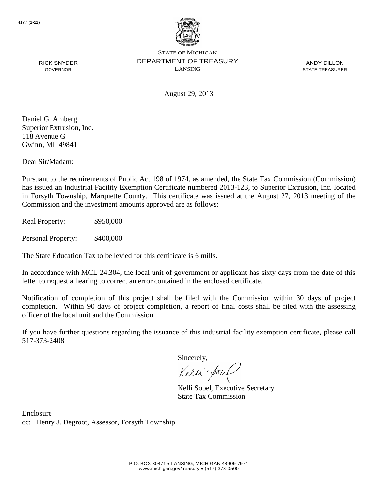

ANDY DILLON STATE TREASURER

GOVERNOR

RICK SNYDER

August 29, 2013

Daniel G. Amberg Superior Extrusion, Inc. 118 Avenue G Gwinn, MI 49841

Dear Sir/Madam:

Pursuant to the requirements of Public Act 198 of 1974, as amended, the State Tax Commission (Commission) has issued an Industrial Facility Exemption Certificate numbered 2013-123, to Superior Extrusion, Inc. located in Forsyth Township, Marquette County. This certificate was issued at the August 27, 2013 meeting of the Commission and the investment amounts approved are as follows:

Real Property: \$950,000

Personal Property: \$400,000

The State Education Tax to be levied for this certificate is 6 mills.

In accordance with MCL 24.304, the local unit of government or applicant has sixty days from the date of this letter to request a hearing to correct an error contained in the enclosed certificate.

Notification of completion of this project shall be filed with the Commission within 30 days of project completion. Within 90 days of project completion, a report of final costs shall be filed with the assessing officer of the local unit and the Commission.

If you have further questions regarding the issuance of this industrial facility exemption certificate, please call 517-373-2408.

Sincerely,

Kelli-Sor

Kelli Sobel, Executive Secretary State Tax Commission

Enclosure cc: Henry J. Degroot, Assessor, Forsyth Township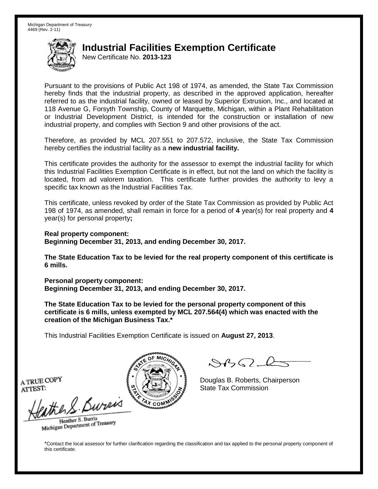New Certificate No. **2013-123**

Pursuant to the provisions of Public Act 198 of 1974, as amended, the State Tax Commission hereby finds that the industrial property, as described in the approved application, hereafter referred to as the industrial facility, owned or leased by Superior Extrusion, Inc., and located at 118 Avenue G, Forsyth Township, County of Marquette, Michigan, within a Plant Rehabilitation or Industrial Development District, is intended for the construction or installation of new industrial property, and complies with Section 9 and other provisions of the act.

Therefore, as provided by MCL 207.551 to 207.572, inclusive, the State Tax Commission hereby certifies the industrial facility as a **new industrial facility.**

This certificate provides the authority for the assessor to exempt the industrial facility for which this Industrial Facilities Exemption Certificate is in effect, but not the land on which the facility is located, from ad valorem taxation. This certificate further provides the authority to levy a specific tax known as the Industrial Facilities Tax.

This certificate, unless revoked by order of the State Tax Commission as provided by Public Act 198 of 1974, as amended, shall remain in force for a period of **4** year(s) for real property and **4** year(s) for personal property**;**

**Real property component: Beginning December 31, 2013, and ending December 30, 2017.**

**The State Education Tax to be levied for the real property component of this certificate is 6 mills.**

**Personal property component: Beginning December 31, 2013, and ending December 30, 2017.**

**The State Education Tax to be levied for the personal property component of this certificate is 6 mills, unless exempted by MCL 207.564(4) which was enacted with the creation of the Michigan Business Tax.\***

This Industrial Facilities Exemption Certificate is issued on **August 27, 2013**.

 $882 - 6$ 

Douglas B. Roberts, Chairperson State Tax Commission

A TRUE COPY ATTEST:

eather & Burn

Heather S. Burris Heather S. Buris<br>Michigan Department of Treasury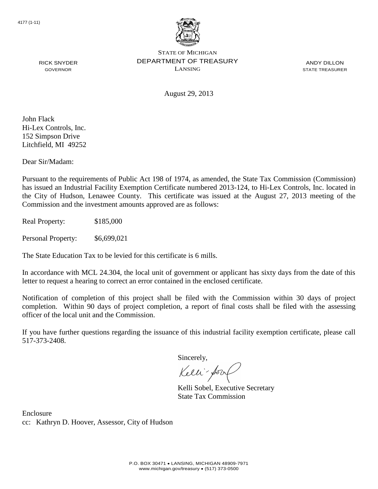

ANDY DILLON STATE TREASURER

August 29, 2013

John Flack Hi-Lex Controls, Inc. 152 Simpson Drive Litchfield, MI 49252

RICK SNYDER GOVERNOR

Dear Sir/Madam:

Pursuant to the requirements of Public Act 198 of 1974, as amended, the State Tax Commission (Commission) has issued an Industrial Facility Exemption Certificate numbered 2013-124, to Hi-Lex Controls, Inc. located in the City of Hudson, Lenawee County. This certificate was issued at the August 27, 2013 meeting of the Commission and the investment amounts approved are as follows:

Real Property: \$185,000

Personal Property: \$6,699,021

The State Education Tax to be levied for this certificate is 6 mills.

In accordance with MCL 24.304, the local unit of government or applicant has sixty days from the date of this letter to request a hearing to correct an error contained in the enclosed certificate.

Notification of completion of this project shall be filed with the Commission within 30 days of project completion. Within 90 days of project completion, a report of final costs shall be filed with the assessing officer of the local unit and the Commission.

If you have further questions regarding the issuance of this industrial facility exemption certificate, please call 517-373-2408.

Sincerely,

Kelli-Sor

Kelli Sobel, Executive Secretary State Tax Commission

Enclosure cc: Kathryn D. Hoover, Assessor, City of Hudson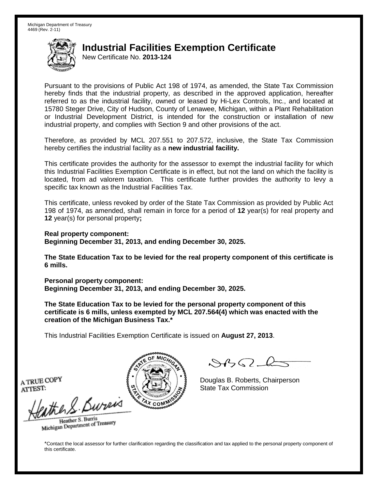New Certificate No. **2013-124**

Pursuant to the provisions of Public Act 198 of 1974, as amended, the State Tax Commission hereby finds that the industrial property, as described in the approved application, hereafter referred to as the industrial facility, owned or leased by Hi-Lex Controls, Inc., and located at 15780 Steger Drive, City of Hudson, County of Lenawee, Michigan, within a Plant Rehabilitation or Industrial Development District, is intended for the construction or installation of new industrial property, and complies with Section 9 and other provisions of the act.

Therefore, as provided by MCL 207.551 to 207.572, inclusive, the State Tax Commission hereby certifies the industrial facility as a **new industrial facility.**

This certificate provides the authority for the assessor to exempt the industrial facility for which this Industrial Facilities Exemption Certificate is in effect, but not the land on which the facility is located, from ad valorem taxation. This certificate further provides the authority to levy a specific tax known as the Industrial Facilities Tax.

This certificate, unless revoked by order of the State Tax Commission as provided by Public Act 198 of 1974, as amended, shall remain in force for a period of **12** year(s) for real property and **12** year(s) for personal property**;**

**Real property component: Beginning December 31, 2013, and ending December 30, 2025.**

**The State Education Tax to be levied for the real property component of this certificate is 6 mills.**

**Personal property component: Beginning December 31, 2013, and ending December 30, 2025.**

**The State Education Tax to be levied for the personal property component of this certificate is 6 mills, unless exempted by MCL 207.564(4) which was enacted with the creation of the Michigan Business Tax.\***

This Industrial Facilities Exemption Certificate is issued on **August 27, 2013**.

 $882 - 6$ 

Douglas B. Roberts, Chairperson State Tax Commission

A TRUE COPY ATTEST:

eather & Burn

Heather S. Burris Heather S. Buris<br>Michigan Department of Treasury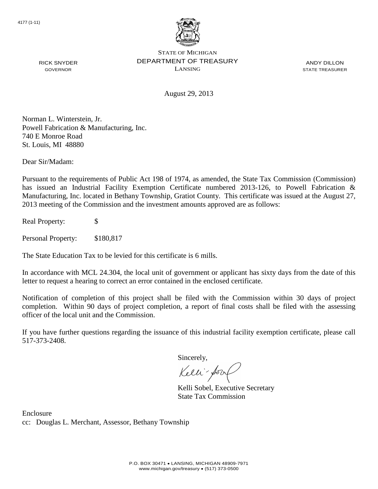

ANDY DILLON STATE TREASURER

August 29, 2013

Norman L. Winterstein, Jr. Powell Fabrication & Manufacturing, Inc. 740 E Monroe Road St. Louis, MI 48880

Dear Sir/Madam:

RICK SNYDER GOVERNOR

Pursuant to the requirements of Public Act 198 of 1974, as amended, the State Tax Commission (Commission) has issued an Industrial Facility Exemption Certificate numbered 2013-126, to Powell Fabrication & Manufacturing, Inc. located in Bethany Township, Gratiot County. This certificate was issued at the August 27, 2013 meeting of the Commission and the investment amounts approved are as follows:

Real Property: \$

Personal Property: \$180,817

The State Education Tax to be levied for this certificate is 6 mills.

In accordance with MCL 24.304, the local unit of government or applicant has sixty days from the date of this letter to request a hearing to correct an error contained in the enclosed certificate.

Notification of completion of this project shall be filed with the Commission within 30 days of project completion. Within 90 days of project completion, a report of final costs shall be filed with the assessing officer of the local unit and the Commission.

If you have further questions regarding the issuance of this industrial facility exemption certificate, please call 517-373-2408.

Sincerely,

Kelli-Sorr

Kelli Sobel, Executive Secretary State Tax Commission

Enclosure cc: Douglas L. Merchant, Assessor, Bethany Township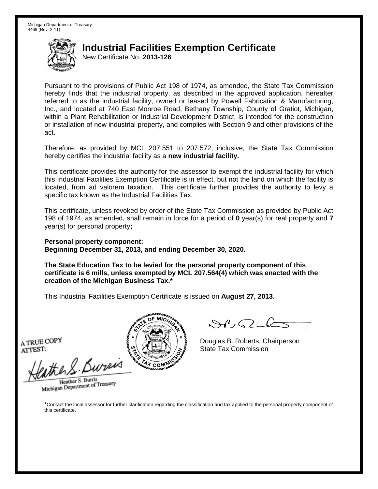New Certificate No. **2013-126**

Pursuant to the provisions of Public Act 198 of 1974, as amended, the State Tax Commission hereby finds that the industrial property, as described in the approved application, hereafter referred to as the industrial facility, owned or leased by Powell Fabrication & Manufacturing, Inc., and located at 740 East Monroe Road, Bethany Township, County of Gratiot, Michigan, within a Plant Rehabilitation or Industrial Development District, is intended for the construction or installation of new industrial property, and complies with Section 9 and other provisions of the act.

Therefore, as provided by MCL 207.551 to 207.572, inclusive, the State Tax Commission hereby certifies the industrial facility as a **new industrial facility.**

This certificate provides the authority for the assessor to exempt the industrial facility for which this Industrial Facilities Exemption Certificate is in effect, but not the land on which the facility is located, from ad valorem taxation. This certificate further provides the authority to levy a specific tax known as the Industrial Facilities Tax.

This certificate, unless revoked by order of the State Tax Commission as provided by Public Act 198 of 1974, as amended, shall remain in force for a period of **0** year(s) for real property and **7** year(s) for personal property**;**

**Personal property component: Beginning December 31, 2013, and ending December 30, 2020.**

**The State Education Tax to be levied for the personal property component of this certificate is 6 mills, unless exempted by MCL 207.564(4) which was enacted with the creation of the Michigan Business Tax.\***

This Industrial Facilities Exemption Certificate is issued on **August 27, 2013**.

A TRUE COPY ATTEST:

ather S. Buren

Heather S. Burris Heather S. Burns<br>Michigan Department of Treasury



Douglas B. Roberts, Chairperson State Tax Commission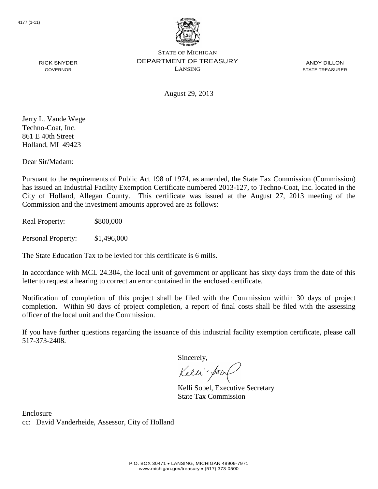

ANDY DILLON STATE TREASURER

August 29, 2013

Jerry L. Vande Wege Techno-Coat, Inc. 861 E 40th Street Holland, MI 49423

RICK SNYDER GOVERNOR

Dear Sir/Madam:

Pursuant to the requirements of Public Act 198 of 1974, as amended, the State Tax Commission (Commission) has issued an Industrial Facility Exemption Certificate numbered 2013-127, to Techno-Coat, Inc. located in the City of Holland, Allegan County. This certificate was issued at the August 27, 2013 meeting of the Commission and the investment amounts approved are as follows:

Real Property: \$800,000

Personal Property: \$1,496,000

The State Education Tax to be levied for this certificate is 6 mills.

In accordance with MCL 24.304, the local unit of government or applicant has sixty days from the date of this letter to request a hearing to correct an error contained in the enclosed certificate.

Notification of completion of this project shall be filed with the Commission within 30 days of project completion. Within 90 days of project completion, a report of final costs shall be filed with the assessing officer of the local unit and the Commission.

If you have further questions regarding the issuance of this industrial facility exemption certificate, please call 517-373-2408.

Sincerely,

Kelli-Sor

Kelli Sobel, Executive Secretary State Tax Commission

Enclosure cc: David Vanderheide, Assessor, City of Holland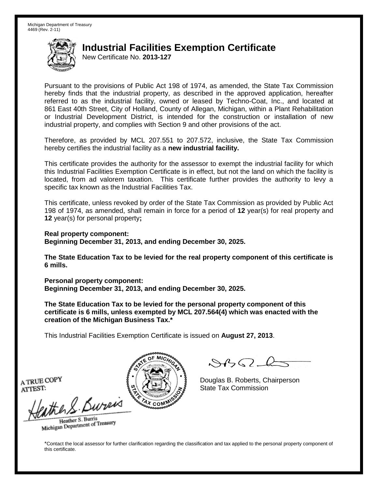New Certificate No. **2013-127**

Pursuant to the provisions of Public Act 198 of 1974, as amended, the State Tax Commission hereby finds that the industrial property, as described in the approved application, hereafter referred to as the industrial facility, owned or leased by Techno-Coat, Inc., and located at 861 East 40th Street, City of Holland, County of Allegan, Michigan, within a Plant Rehabilitation or Industrial Development District, is intended for the construction or installation of new industrial property, and complies with Section 9 and other provisions of the act.

Therefore, as provided by MCL 207.551 to 207.572, inclusive, the State Tax Commission hereby certifies the industrial facility as a **new industrial facility.**

This certificate provides the authority for the assessor to exempt the industrial facility for which this Industrial Facilities Exemption Certificate is in effect, but not the land on which the facility is located, from ad valorem taxation. This certificate further provides the authority to levy a specific tax known as the Industrial Facilities Tax.

This certificate, unless revoked by order of the State Tax Commission as provided by Public Act 198 of 1974, as amended, shall remain in force for a period of **12** year(s) for real property and **12** year(s) for personal property**;**

**Real property component: Beginning December 31, 2013, and ending December 30, 2025.**

**The State Education Tax to be levied for the real property component of this certificate is 6 mills.**

**Personal property component: Beginning December 31, 2013, and ending December 30, 2025.**

**The State Education Tax to be levied for the personal property component of this certificate is 6 mills, unless exempted by MCL 207.564(4) which was enacted with the creation of the Michigan Business Tax.\***

This Industrial Facilities Exemption Certificate is issued on **August 27, 2013**.

 $882 - 6$ 

Douglas B. Roberts, Chairperson State Tax Commission

A TRUE COPY ATTEST:

eather & Burn

Heather S. Burris Heather S. Buris<br>Michigan Department of Treasury

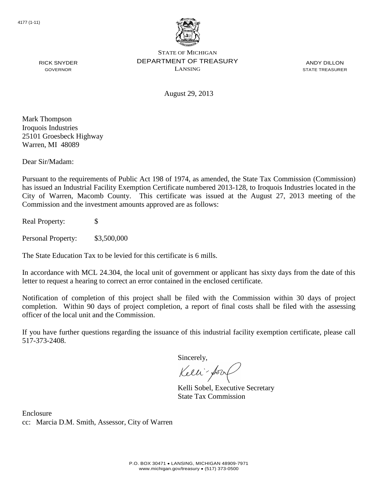

ANDY DILLON STATE TREASURER

August 29, 2013

Mark Thompson Iroquois Industries 25101 Groesbeck Highway Warren, MI 48089

RICK SNYDER GOVERNOR

Dear Sir/Madam:

Pursuant to the requirements of Public Act 198 of 1974, as amended, the State Tax Commission (Commission) has issued an Industrial Facility Exemption Certificate numbered 2013-128, to Iroquois Industries located in the City of Warren, Macomb County. This certificate was issued at the August 27, 2013 meeting of the Commission and the investment amounts approved are as follows:

Real Property: \$

Personal Property: \$3,500,000

The State Education Tax to be levied for this certificate is 6 mills.

In accordance with MCL 24.304, the local unit of government or applicant has sixty days from the date of this letter to request a hearing to correct an error contained in the enclosed certificate.

Notification of completion of this project shall be filed with the Commission within 30 days of project completion. Within 90 days of project completion, a report of final costs shall be filed with the assessing officer of the local unit and the Commission.

If you have further questions regarding the issuance of this industrial facility exemption certificate, please call 517-373-2408.

Sincerely,

Kelli-Sor

Kelli Sobel, Executive Secretary State Tax Commission

Enclosure cc: Marcia D.M. Smith, Assessor, City of Warren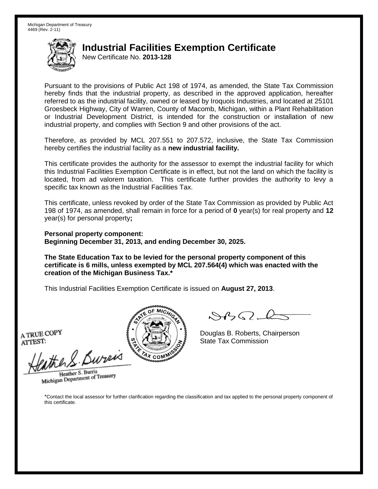New Certificate No. **2013-128**

Pursuant to the provisions of Public Act 198 of 1974, as amended, the State Tax Commission hereby finds that the industrial property, as described in the approved application, hereafter referred to as the industrial facility, owned or leased by Iroquois Industries, and located at 25101 Groesbeck Highway, City of Warren, County of Macomb, Michigan, within a Plant Rehabilitation or Industrial Development District, is intended for the construction or installation of new industrial property, and complies with Section 9 and other provisions of the act.

Therefore, as provided by MCL 207.551 to 207.572, inclusive, the State Tax Commission hereby certifies the industrial facility as a **new industrial facility.**

This certificate provides the authority for the assessor to exempt the industrial facility for which this Industrial Facilities Exemption Certificate is in effect, but not the land on which the facility is located, from ad valorem taxation. This certificate further provides the authority to levy a specific tax known as the Industrial Facilities Tax.

This certificate, unless revoked by order of the State Tax Commission as provided by Public Act 198 of 1974, as amended, shall remain in force for a period of **0** year(s) for real property and **12** year(s) for personal property**;**

**Personal property component: Beginning December 31, 2013, and ending December 30, 2025.**

**The State Education Tax to be levied for the personal property component of this certificate is 6 mills, unless exempted by MCL 207.564(4) which was enacted with the creation of the Michigan Business Tax.\***

This Industrial Facilities Exemption Certificate is issued on **August 27, 2013**.

A TRUE COPY ATTEST:

eather & Bureix

Heather S. Burris Heather S. Burns<br>Michigan Department of Treasury



 $8450 - 6$ 

Douglas B. Roberts, Chairperson State Tax Commission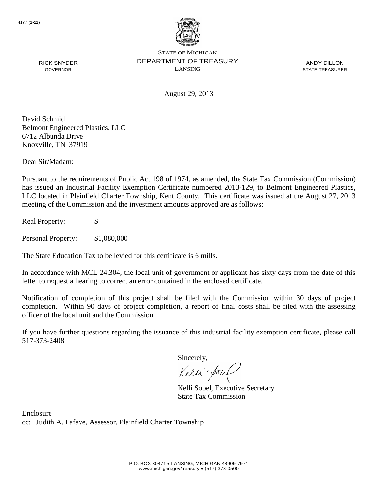

ANDY DILLON STATE TREASURER

August 29, 2013

David Schmid Belmont Engineered Plastics, LLC 6712 Albunda Drive Knoxville, TN 37919

Dear Sir/Madam:

RICK SNYDER GOVERNOR

Pursuant to the requirements of Public Act 198 of 1974, as amended, the State Tax Commission (Commission) has issued an Industrial Facility Exemption Certificate numbered 2013-129, to Belmont Engineered Plastics, LLC located in Plainfield Charter Township, Kent County. This certificate was issued at the August 27, 2013 meeting of the Commission and the investment amounts approved are as follows:

Real Property: \$

Personal Property: \$1,080,000

The State Education Tax to be levied for this certificate is 6 mills.

In accordance with MCL 24.304, the local unit of government or applicant has sixty days from the date of this letter to request a hearing to correct an error contained in the enclosed certificate.

Notification of completion of this project shall be filed with the Commission within 30 days of project completion. Within 90 days of project completion, a report of final costs shall be filed with the assessing officer of the local unit and the Commission.

If you have further questions regarding the issuance of this industrial facility exemption certificate, please call 517-373-2408.

Sincerely,

Kelli-Sorr

Kelli Sobel, Executive Secretary State Tax Commission

Enclosure cc: Judith A. Lafave, Assessor, Plainfield Charter Township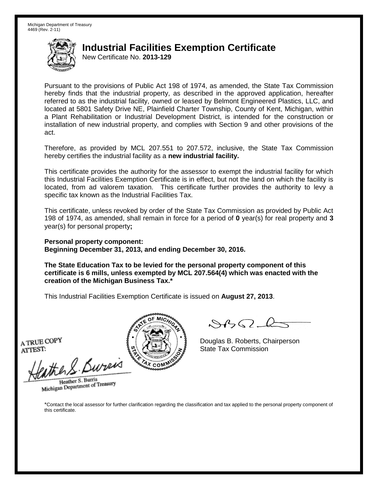New Certificate No. **2013-129**

Pursuant to the provisions of Public Act 198 of 1974, as amended, the State Tax Commission hereby finds that the industrial property, as described in the approved application, hereafter referred to as the industrial facility, owned or leased by Belmont Engineered Plastics, LLC, and located at 5801 Safety Drive NE, Plainfield Charter Township, County of Kent, Michigan, within a Plant Rehabilitation or Industrial Development District, is intended for the construction or installation of new industrial property, and complies with Section 9 and other provisions of the act.

Therefore, as provided by MCL 207.551 to 207.572, inclusive, the State Tax Commission hereby certifies the industrial facility as a **new industrial facility.**

This certificate provides the authority for the assessor to exempt the industrial facility for which this Industrial Facilities Exemption Certificate is in effect, but not the land on which the facility is located, from ad valorem taxation. This certificate further provides the authority to levy a specific tax known as the Industrial Facilities Tax.

This certificate, unless revoked by order of the State Tax Commission as provided by Public Act 198 of 1974, as amended, shall remain in force for a period of **0** year(s) for real property and **3** year(s) for personal property**;**

**Personal property component: Beginning December 31, 2013, and ending December 30, 2016.**

**The State Education Tax to be levied for the personal property component of this certificate is 6 mills, unless exempted by MCL 207.564(4) which was enacted with the creation of the Michigan Business Tax.\***

This Industrial Facilities Exemption Certificate is issued on **August 27, 2013**.

A TRUE COPY ATTEST:

ather S. Buren

Heather S. Burris Heather S. Burns<br>Michigan Department of Treasury



Douglas B. Roberts, Chairperson State Tax Commission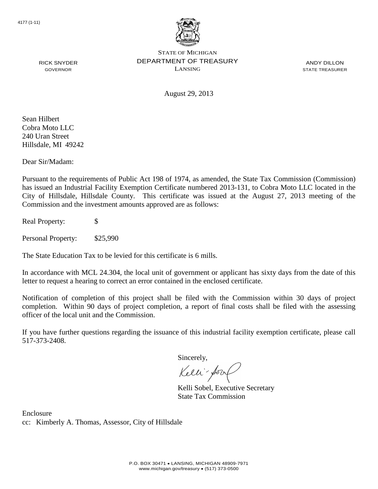

ANDY DILLON STATE TREASURER

August 29, 2013

Sean Hilbert Cobra Moto LLC 240 Uran Street Hillsdale, MI 49242

RICK SNYDER GOVERNOR

Dear Sir/Madam:

Pursuant to the requirements of Public Act 198 of 1974, as amended, the State Tax Commission (Commission) has issued an Industrial Facility Exemption Certificate numbered 2013-131, to Cobra Moto LLC located in the City of Hillsdale, Hillsdale County. This certificate was issued at the August 27, 2013 meeting of the Commission and the investment amounts approved are as follows:

Real Property: \$

Personal Property: \$25,990

The State Education Tax to be levied for this certificate is 6 mills.

In accordance with MCL 24.304, the local unit of government or applicant has sixty days from the date of this letter to request a hearing to correct an error contained in the enclosed certificate.

Notification of completion of this project shall be filed with the Commission within 30 days of project completion. Within 90 days of project completion, a report of final costs shall be filed with the assessing officer of the local unit and the Commission.

If you have further questions regarding the issuance of this industrial facility exemption certificate, please call 517-373-2408.

Sincerely,

Kelli-Sor

Kelli Sobel, Executive Secretary State Tax Commission

Enclosure cc: Kimberly A. Thomas, Assessor, City of Hillsdale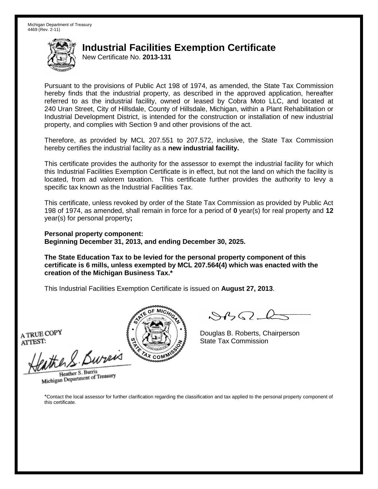New Certificate No. **2013-131**

Pursuant to the provisions of Public Act 198 of 1974, as amended, the State Tax Commission hereby finds that the industrial property, as described in the approved application, hereafter referred to as the industrial facility, owned or leased by Cobra Moto LLC, and located at 240 Uran Street, City of Hillsdale, County of Hillsdale, Michigan, within a Plant Rehabilitation or Industrial Development District, is intended for the construction or installation of new industrial property, and complies with Section 9 and other provisions of the act.

Therefore, as provided by MCL 207.551 to 207.572, inclusive, the State Tax Commission hereby certifies the industrial facility as a **new industrial facility.**

This certificate provides the authority for the assessor to exempt the industrial facility for which this Industrial Facilities Exemption Certificate is in effect, but not the land on which the facility is located, from ad valorem taxation. This certificate further provides the authority to levy a specific tax known as the Industrial Facilities Tax.

This certificate, unless revoked by order of the State Tax Commission as provided by Public Act 198 of 1974, as amended, shall remain in force for a period of **0** year(s) for real property and **12** year(s) for personal property**;**

**Personal property component: Beginning December 31, 2013, and ending December 30, 2025.**

**The State Education Tax to be levied for the personal property component of this certificate is 6 mills, unless exempted by MCL 207.564(4) which was enacted with the creation of the Michigan Business Tax.\***

This Industrial Facilities Exemption Certificate is issued on **August 27, 2013**.

A TRUE COPY ATTEST:

eather & Bureix

Heather S. Burris Heather S. Burns<br>Michigan Department of Treasury



 $84562-6$ 

Douglas B. Roberts, Chairperson State Tax Commission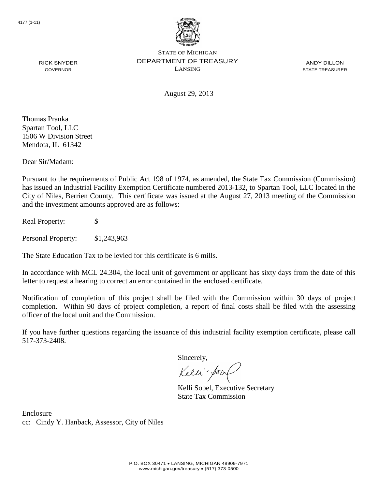

ANDY DILLON STATE TREASURER

August 29, 2013

Thomas Pranka Spartan Tool, LLC 1506 W Division Street Mendota, IL 61342

RICK SNYDER GOVERNOR

Dear Sir/Madam:

Pursuant to the requirements of Public Act 198 of 1974, as amended, the State Tax Commission (Commission) has issued an Industrial Facility Exemption Certificate numbered 2013-132, to Spartan Tool, LLC located in the City of Niles, Berrien County. This certificate was issued at the August 27, 2013 meeting of the Commission and the investment amounts approved are as follows:

Real Property: \$

Personal Property: \$1,243,963

The State Education Tax to be levied for this certificate is 6 mills.

In accordance with MCL 24.304, the local unit of government or applicant has sixty days from the date of this letter to request a hearing to correct an error contained in the enclosed certificate.

Notification of completion of this project shall be filed with the Commission within 30 days of project completion. Within 90 days of project completion, a report of final costs shall be filed with the assessing officer of the local unit and the Commission.

If you have further questions regarding the issuance of this industrial facility exemption certificate, please call 517-373-2408.

Sincerely,

Kelli-Sorr

Kelli Sobel, Executive Secretary State Tax Commission

Enclosure cc: Cindy Y. Hanback, Assessor, City of Niles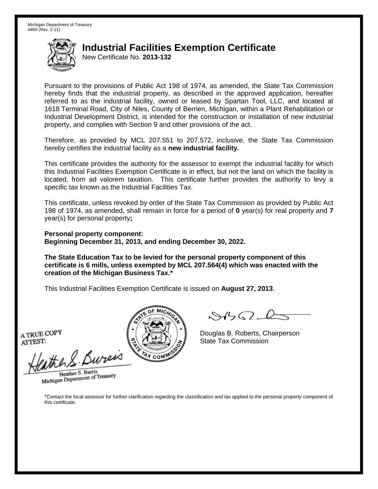New Certificate No. **2013-132**

Pursuant to the provisions of Public Act 198 of 1974, as amended, the State Tax Commission hereby finds that the industrial property, as described in the approved application, hereafter referred to as the industrial facility, owned or leased by Spartan Tool, LLC, and located at 1618 Terminal Road, City of Niles, County of Berrien, Michigan, within a Plant Rehabilitation or Industrial Development District, is intended for the construction or installation of new industrial property, and complies with Section 9 and other provisions of the act.

Therefore, as provided by MCL 207.551 to 207.572, inclusive, the State Tax Commission hereby certifies the industrial facility as a **new industrial facility.**

This certificate provides the authority for the assessor to exempt the industrial facility for which this Industrial Facilities Exemption Certificate is in effect, but not the land on which the facility is located, from ad valorem taxation. This certificate further provides the authority to levy a specific tax known as the Industrial Facilities Tax.

This certificate, unless revoked by order of the State Tax Commission as provided by Public Act 198 of 1974, as amended, shall remain in force for a period of **0** year(s) for real property and **7** year(s) for personal property**;**

**Personal property component: Beginning December 31, 2013, and ending December 30, 2022.**

**The State Education Tax to be levied for the personal property component of this certificate is 6 mills, unless exempted by MCL 207.564(4) which was enacted with the creation of the Michigan Business Tax.\***

This Industrial Facilities Exemption Certificate is issued on **August 27, 2013**.

A TRUE COPY ATTEST:

eather & Bureix

Heather S. Burris Heather S. Burns<br>Michigan Department of Treasury



 $84562-6$ 

Douglas B. Roberts, Chairperson State Tax Commission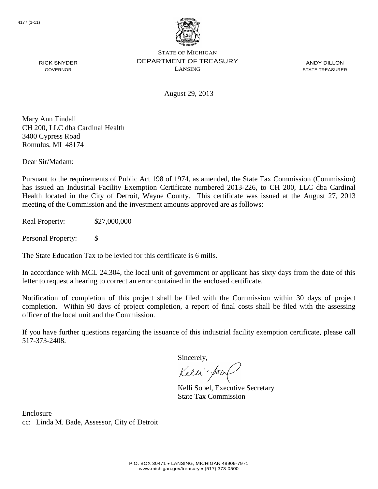

ANDY DILLON STATE TREASURER

August 29, 2013

Mary Ann Tindall CH 200, LLC dba Cardinal Health 3400 Cypress Road Romulus, MI 48174

RICK SNYDER GOVERNOR

Dear Sir/Madam:

Pursuant to the requirements of Public Act 198 of 1974, as amended, the State Tax Commission (Commission) has issued an Industrial Facility Exemption Certificate numbered 2013-226, to CH 200, LLC dba Cardinal Health located in the City of Detroit, Wayne County. This certificate was issued at the August 27, 2013 meeting of the Commission and the investment amounts approved are as follows:

Real Property: \$27,000,000

Personal Property: \$

The State Education Tax to be levied for this certificate is 6 mills.

In accordance with MCL 24.304, the local unit of government or applicant has sixty days from the date of this letter to request a hearing to correct an error contained in the enclosed certificate.

Notification of completion of this project shall be filed with the Commission within 30 days of project completion. Within 90 days of project completion, a report of final costs shall be filed with the assessing officer of the local unit and the Commission.

If you have further questions regarding the issuance of this industrial facility exemption certificate, please call 517-373-2408.

Sincerely,

Kelli-Sorr

Kelli Sobel, Executive Secretary State Tax Commission

Enclosure cc: Linda M. Bade, Assessor, City of Detroit